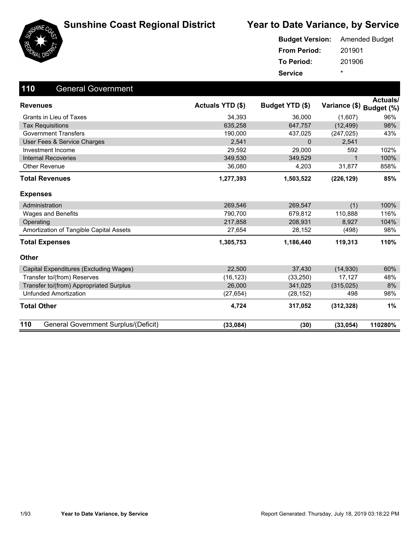





#### 201901 201906 **From Period: To Period: Service** \* **Budget Version:** Amended Budget

| 110<br><b>General Government</b>            |                  |                 |                          |          |
|---------------------------------------------|------------------|-----------------|--------------------------|----------|
| <b>Revenues</b>                             | Actuals YTD (\$) | Budget YTD (\$) | Variance (\$) Budget (%) | Actuals/ |
| Grants in Lieu of Taxes                     | 34,393           | 36,000          | (1,607)                  | 96%      |
| <b>Tax Requisitions</b>                     | 635,258          | 647,757         | (12, 499)                | 98%      |
| <b>Government Transfers</b>                 | 190,000          | 437,025         | (247, 025)               | 43%      |
| User Fees & Service Charges                 | 2,541            | $\Omega$        | 2,541                    |          |
| Investment Income                           | 29,592           | 29,000          | 592                      | 102%     |
| <b>Internal Recoveries</b>                  | 349.530          | 349,529         |                          | 100%     |
| <b>Other Revenue</b>                        | 36,080           | 4,203           | 31,877                   | 858%     |
| <b>Total Revenues</b>                       | 1,277,393        | 1,503,522       | (226, 129)               | 85%      |
| <b>Expenses</b>                             |                  |                 |                          |          |
| Administration                              | 269,546          | 269,547         | (1)                      | 100%     |
| <b>Wages and Benefits</b>                   | 790.700          | 679,812         | 110,888                  | 116%     |
| Operating                                   | 217,858          | 208,931         | 8,927                    | 104%     |
| Amortization of Tangible Capital Assets     | 27,654           | 28,152          | (498)                    | 98%      |
| <b>Total Expenses</b>                       | 1,305,753        | 1,186,440       | 119,313                  | 110%     |
| Other                                       |                  |                 |                          |          |
| Capital Expenditures (Excluding Wages)      | 22,500           | 37,430          | (14, 930)                | 60%      |
| Transfer to/(from) Reserves                 | (16, 123)        | (33,250)        | 17,127                   | 48%      |
| Transfer to/(from) Appropriated Surplus     | 26,000           | 341,025         | (315, 025)               | 8%       |
| <b>Unfunded Amortization</b>                | (27, 654)        | (28, 152)       | 498                      | 98%      |
| <b>Total Other</b>                          | 4,724            | 317,052         | (312, 328)               | 1%       |
| 110<br>General Government Surplus/(Deficit) | (33,084)         | (30)            | (33,054)                 | 110280%  |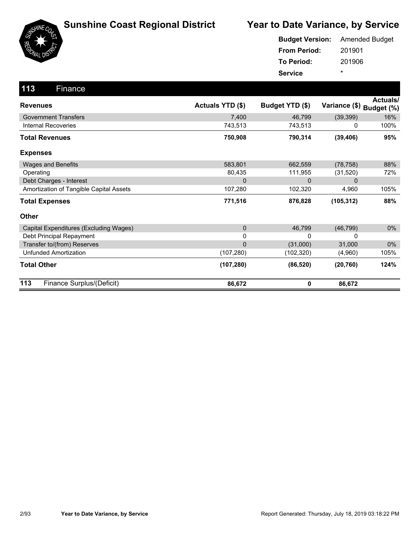

|                     | <b>Budget Version:</b> Amended Budget |
|---------------------|---------------------------------------|
| <b>From Period:</b> | 201901                                |
| <b>To Period:</b>   | 201906                                |
| <b>Service</b>      | ÷                                     |

| 113<br>Finance                          |                  |                 |                          |                 |
|-----------------------------------------|------------------|-----------------|--------------------------|-----------------|
| <b>Revenues</b>                         | Actuals YTD (\$) | Budget YTD (\$) | Variance (\$) Budget (%) | <b>Actuals/</b> |
| <b>Government Transfers</b>             | 7,400            | 46,799          | (39, 399)                | 16%             |
| <b>Internal Recoveries</b>              | 743,513          | 743,513         | 0                        | 100%            |
| Total Revenues                          | 750,908          | 790,314         | (39, 406)                | 95%             |
| <b>Expenses</b>                         |                  |                 |                          |                 |
| <b>Wages and Benefits</b>               | 583,801          | 662,559         | (78, 758)                | 88%             |
| Operating                               | 80,435           | 111,955         | (31,520)                 | 72%             |
| Debt Charges - Interest                 | $\mathbf 0$      | $\Omega$        | 0                        |                 |
| Amortization of Tangible Capital Assets | 107,280          | 102,320         | 4,960                    | 105%            |
| <b>Total Expenses</b>                   | 771,516          | 876,828         | (105, 312)               | 88%             |
| <b>Other</b>                            |                  |                 |                          |                 |
| Capital Expenditures (Excluding Wages)  | $\mathbf 0$      | 46,799          | (46, 799)                | 0%              |
| Debt Principal Repayment                | 0                | 0               | 0                        |                 |
| Transfer to/(from) Reserves             | $\mathbf 0$      | (31,000)        | 31,000                   | $0\%$           |
| <b>Unfunded Amortization</b>            | (107, 280)       | (102, 320)      | (4,960)                  | 105%            |
| <b>Total Other</b>                      | (107, 280)       | (86, 520)       | (20, 760)                | 124%            |
| 113<br>Finance Surplus/(Deficit)        | 86,672           | 0               | 86,672                   |                 |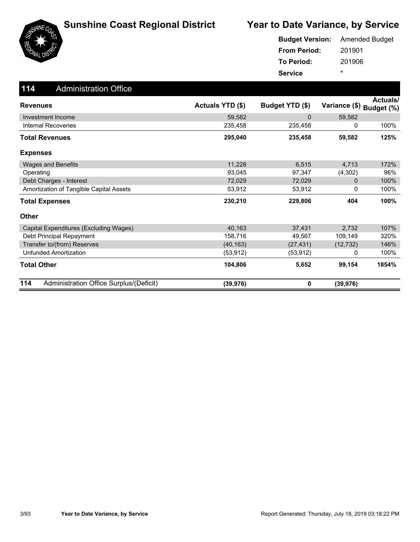

|                     | <b>Budget Version:</b> Amended Budget |
|---------------------|---------------------------------------|
| <b>From Period:</b> | 201901                                |
| <b>To Period:</b>   | 201906                                |
| <b>Service</b>      | ÷                                     |

| 114<br>Administration Office Surplus/(Deficit) | (39, 976)        | 0               | (39, 976)     |                        |
|------------------------------------------------|------------------|-----------------|---------------|------------------------|
| <b>Total Other</b>                             | 104,806          | 5,652           | 99,154        | 1854%                  |
| <b>Unfunded Amortization</b>                   | (53, 912)        | (53, 912)       | 0             | 100%                   |
| Transfer to/(from) Reserves                    | (40, 163)        | (27, 431)       | (12, 732)     | 146%                   |
| Debt Principal Repayment                       | 158,716          | 49,567          | 109,149       | 320%                   |
| Capital Expenditures (Excluding Wages)         | 40,163           | 37,431          | 2,732         | 107%                   |
| <b>Other</b>                                   |                  |                 |               |                        |
| <b>Total Expenses</b>                          | 230,210          | 229,806         | 404           | 100%                   |
| Amortization of Tangible Capital Assets        | 53,912           | 53,912          | 0             | 100%                   |
| Debt Charges - Interest                        | 72,029           | 72,029          | 0             | 100%                   |
| Operating                                      | 93,045           | 97,347          | (4,302)       | 96%                    |
| <b>Wages and Benefits</b>                      | 11,228           | 6,515           | 4,713         | 172%                   |
| <b>Expenses</b>                                |                  |                 |               |                        |
| <b>Total Revenues</b>                          | 295,040          | 235,458         | 59,582        | 125%                   |
| <b>Internal Recoveries</b>                     | 235,458          | 235,458         | 0             | 100%                   |
| Investment Income                              | 59,582           | $\mathbf{0}$    | 59,582        |                        |
| <b>Revenues</b>                                | Actuals YTD (\$) | Budget YTD (\$) | Variance (\$) | Actuals/<br>Budget (%) |
| 114<br><b>Administration Office</b>            |                  |                 |               |                        |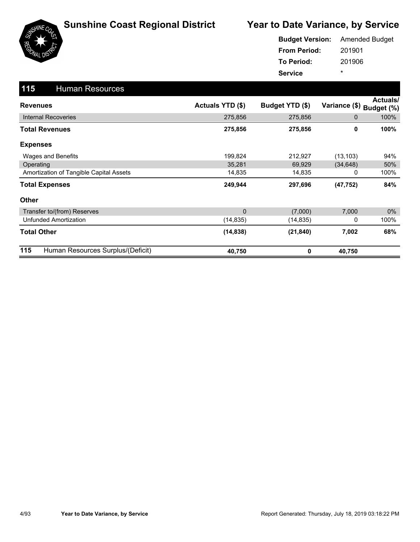

|                     | <b>Budget Version:</b> Amended Budget |
|---------------------|---------------------------------------|
| <b>From Period:</b> | 201901                                |
| To Period:          | 201906                                |
| <b>Service</b>      | ÷                                     |

| 115<br><b>Human Resources</b>            |                  |                 |               |                               |
|------------------------------------------|------------------|-----------------|---------------|-------------------------------|
| <b>Revenues</b>                          | Actuals YTD (\$) | Budget YTD (\$) | Variance (\$) | <b>Actuals/</b><br>Budget (%) |
| <b>Internal Recoveries</b>               | 275,856          | 275,856         | 0             | 100%                          |
| <b>Total Revenues</b>                    | 275,856          | 275,856         | 0             | 100%                          |
| <b>Expenses</b>                          |                  |                 |               |                               |
| Wages and Benefits                       | 199,824          | 212,927         | (13, 103)     | 94%                           |
| Operating                                | 35,281           | 69,929          | (34, 648)     | 50%                           |
| Amortization of Tangible Capital Assets  | 14,835           | 14,835          | 0             | 100%                          |
| <b>Total Expenses</b>                    | 249,944          | 297,696         | (47, 752)     | 84%                           |
| <b>Other</b>                             |                  |                 |               |                               |
| Transfer to/(from) Reserves              | $\mathbf{0}$     | (7,000)         | 7,000         | $0\%$                         |
| Unfunded Amortization                    | (14,835)         | (14, 835)       | 0             | 100%                          |
| <b>Total Other</b>                       | (14, 838)        | (21, 840)       | 7,002         | 68%                           |
| 115<br>Human Resources Surplus/(Deficit) | 40,750           | 0               | 40,750        |                               |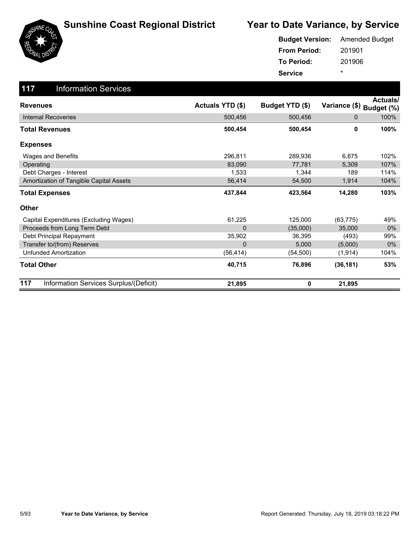

|                     | <b>Budget Version:</b> Amended Budget |
|---------------------|---------------------------------------|
| <b>From Period:</b> | 201901                                |
| To Period:          | 201906                                |
| <b>Service</b>      | ÷                                     |

| 117<br><b>Information Services</b>            |                  |                 |                          |          |
|-----------------------------------------------|------------------|-----------------|--------------------------|----------|
| <b>Revenues</b>                               | Actuals YTD (\$) | Budget YTD (\$) | Variance (\$) Budget (%) | Actuals/ |
| <b>Internal Recoveries</b>                    | 500,456          | 500,456         | 0                        | 100%     |
| Total Revenues                                | 500,454          | 500,454         | 0                        | 100%     |
| <b>Expenses</b>                               |                  |                 |                          |          |
| Wages and Benefits                            | 296,811          | 289,936         | 6,875                    | 102%     |
| Operating                                     | 83,090           | 77,781          | 5,309                    | 107%     |
| Debt Charges - Interest                       | 1,533            | 1,344           | 189                      | 114%     |
| Amortization of Tangible Capital Assets       | 56,414           | 54,500          | 1,914                    | 104%     |
| <b>Total Expenses</b>                         | 437,844          | 423,564         | 14,280                   | 103%     |
| Other                                         |                  |                 |                          |          |
| Capital Expenditures (Excluding Wages)        | 61,225           | 125,000         | (63, 775)                | 49%      |
| Proceeds from Long Term Debt                  | $\overline{0}$   | (35,000)        | 35,000                   | $0\%$    |
| Debt Principal Repayment                      | 35,902           | 36,395          | (493)                    | 99%      |
| Transfer to/(from) Reserves                   | 0                | 5,000           | (5,000)                  | $0\%$    |
| <b>Unfunded Amortization</b>                  | (56, 414)        | (54, 500)       | (1, 914)                 | 104%     |
| <b>Total Other</b>                            | 40,715           | 76,896          | (36, 181)                | 53%      |
| 117<br>Information Services Surplus/(Deficit) | 21,895           | 0               | 21,895                   |          |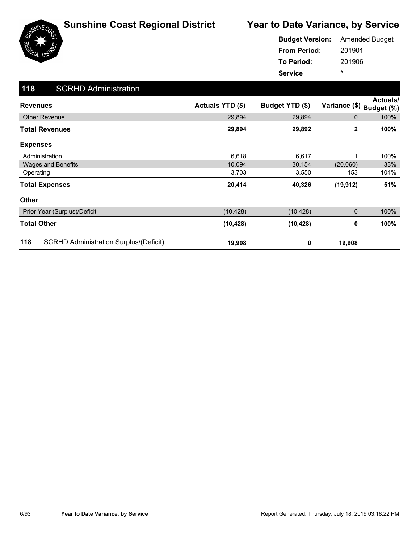

|                     | <b>Budget Version:</b> Amended Budget |
|---------------------|---------------------------------------|
| <b>From Period:</b> | 201901                                |
| <b>To Period:</b>   | 201906                                |
| <b>Service</b>      | ÷                                     |

| 118<br><b>SCRHD Administration</b>                   |                         |                 |                          |                 |
|------------------------------------------------------|-------------------------|-----------------|--------------------------|-----------------|
| <b>Revenues</b>                                      | <b>Actuals YTD (\$)</b> | Budget YTD (\$) | Variance (\$) Budget (%) | <b>Actuals/</b> |
| <b>Other Revenue</b>                                 | 29,894                  | 29,894          | $\mathbf{0}$             | 100%            |
| <b>Total Revenues</b>                                | 29,894                  | 29,892          | $\overline{2}$           | 100%            |
| <b>Expenses</b>                                      |                         |                 |                          |                 |
| Administration                                       | 6,618                   | 6,617           | 1                        | 100%            |
| <b>Wages and Benefits</b>                            | 10,094                  | 30,154          | (20,060)                 | 33%             |
| Operating                                            | 3,703                   | 3,550           | 153                      | 104%            |
| <b>Total Expenses</b>                                | 20,414                  | 40,326          | (19, 912)                | 51%             |
| <b>Other</b>                                         |                         |                 |                          |                 |
| Prior Year (Surplus)/Deficit                         | (10, 428)               | (10, 428)       | 0                        | 100%            |
| <b>Total Other</b>                                   | (10, 428)               | (10, 428)       | 0                        | 100%            |
| 118<br><b>SCRHD Administration Surplus/(Deficit)</b> | 19,908                  | 0               | 19,908                   |                 |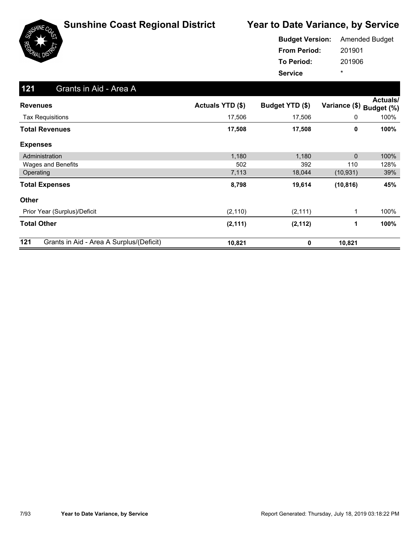

|                     | <b>Budget Version:</b> Amended Budget |
|---------------------|---------------------------------------|
| <b>From Period:</b> | 201901                                |
| To Period:          | 201906                                |
| <b>Service</b>      | ÷                                     |

| 121<br>Grants in Aid - Area A                   |                  |                 |               |                        |
|-------------------------------------------------|------------------|-----------------|---------------|------------------------|
| <b>Revenues</b>                                 | Actuals YTD (\$) | Budget YTD (\$) | Variance (\$) | Actuals/<br>Budget (%) |
| <b>Tax Requisitions</b>                         | 17,506           | 17,506          | 0             | 100%                   |
| <b>Total Revenues</b>                           | 17,508           | 17,508          | 0             | 100%                   |
| <b>Expenses</b>                                 |                  |                 |               |                        |
| Administration                                  | 1,180            | 1,180           | 0             | 100%                   |
| Wages and Benefits                              | 502              | 392             | 110           | 128%                   |
| Operating                                       | 7,113            | 18,044          | (10, 931)     | 39%                    |
| <b>Total Expenses</b>                           | 8,798            | 19,614          | (10, 816)     | 45%                    |
| <b>Other</b>                                    |                  |                 |               |                        |
| Prior Year (Surplus)/Deficit                    | (2, 110)         | (2, 111)        | 1             | 100%                   |
| <b>Total Other</b>                              | (2, 111)         | (2, 112)        | 1             | 100%                   |
| 121<br>Grants in Aid - Area A Surplus/(Deficit) | 10,821           | 0               | 10,821        |                        |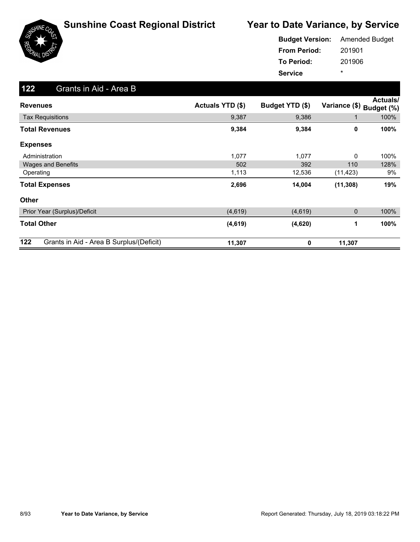

|                     | <b>Budget Version:</b> Amended Budget |
|---------------------|---------------------------------------|
| <b>From Period:</b> | 201901                                |
| <b>To Period:</b>   | 201906                                |
| <b>Service</b>      | ÷                                     |

| 122<br>Grants in Aid - Area B                   |                         |                 |                          |                 |
|-------------------------------------------------|-------------------------|-----------------|--------------------------|-----------------|
| <b>Revenues</b>                                 | <b>Actuals YTD (\$)</b> | Budget YTD (\$) | Variance (\$) Budget (%) | <b>Actuals/</b> |
| <b>Tax Requisitions</b>                         | 9,387                   | 9,386           | 1                        | 100%            |
| <b>Total Revenues</b>                           | 9,384                   | 9,384           | 0                        | 100%            |
| <b>Expenses</b>                                 |                         |                 |                          |                 |
| Administration                                  | 1,077                   | 1,077           | 0                        | 100%            |
| <b>Wages and Benefits</b>                       | 502                     | 392             | 110                      | 128%            |
| Operating                                       | 1,113                   | 12,536          | (11, 423)                | 9%              |
| <b>Total Expenses</b>                           | 2,696                   | 14,004          | (11, 308)                | 19%             |
| <b>Other</b>                                    |                         |                 |                          |                 |
| Prior Year (Surplus)/Deficit                    | (4,619)                 | (4,619)         | 0                        | 100%            |
| <b>Total Other</b>                              | (4,619)                 | (4,620)         | 1                        | 100%            |
| 122<br>Grants in Aid - Area B Surplus/(Deficit) | 11,307                  | $\mathbf 0$     | 11,307                   |                 |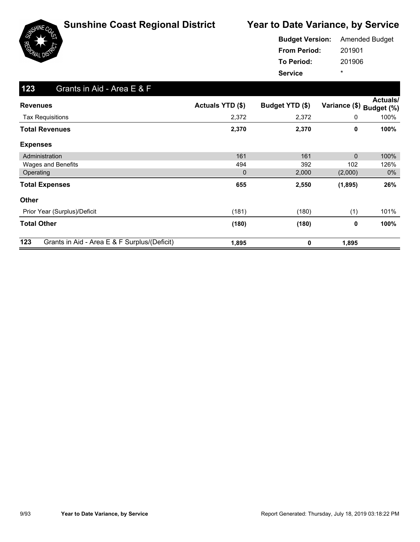

|                     | <b>Budget Version:</b> Amended Budget |
|---------------------|---------------------------------------|
| <b>From Period:</b> | 201901                                |
| To Period:          | 201906                                |
| <b>Service</b>      | ÷                                     |

| 123<br>Grants in Aid - Area E & F                   |                  |                 |               |                               |
|-----------------------------------------------------|------------------|-----------------|---------------|-------------------------------|
| <b>Revenues</b>                                     | Actuals YTD (\$) | Budget YTD (\$) | Variance (\$) | <b>Actuals/</b><br>Budget (%) |
| <b>Tax Requisitions</b>                             | 2,372            | 2,372           | 0             | 100%                          |
| <b>Total Revenues</b>                               | 2,370            | 2,370           | 0             | 100%                          |
| <b>Expenses</b>                                     |                  |                 |               |                               |
| Administration                                      | 161              | 161             | $\mathbf{0}$  | 100%                          |
| Wages and Benefits                                  | 494              | 392             | 102           | 126%                          |
| Operating                                           | $\mathbf 0$      | 2,000           | (2,000)       | $0\%$                         |
| <b>Total Expenses</b>                               | 655              | 2,550           | (1,895)       | 26%                           |
| Other                                               |                  |                 |               |                               |
| Prior Year (Surplus)/Deficit                        | (181)            | (180)           | (1)           | 101%                          |
| <b>Total Other</b>                                  | (180)            | (180)           | 0             | 100%                          |
| 123<br>Grants in Aid - Area E & F Surplus/(Deficit) | 1,895            | 0               | 1,895         |                               |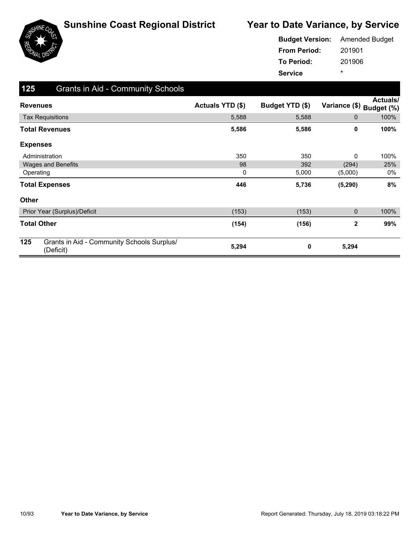

|                     | <b>Budget Version:</b> Amended Budget |
|---------------------|---------------------------------------|
| <b>From Period:</b> | 201901                                |
| To Period:          | 201906                                |
| <b>Service</b>      | ÷                                     |

| 125             | <b>Grants in Aid - Community Schools</b>                |                  |                 |               |                        |
|-----------------|---------------------------------------------------------|------------------|-----------------|---------------|------------------------|
| <b>Revenues</b> |                                                         | Actuals YTD (\$) | Budget YTD (\$) | Variance (\$) | Actuals/<br>Budget (%) |
|                 | <b>Tax Requisitions</b>                                 | 5,588            | 5,588           | 0             | 100%                   |
|                 | <b>Total Revenues</b>                                   | 5,586            | 5,586           | 0             | 100%                   |
| <b>Expenses</b> |                                                         |                  |                 |               |                        |
|                 | Administration                                          | 350              | 350             | 0             | 100%                   |
|                 | <b>Wages and Benefits</b>                               | 98               | 392             | (294)         | 25%                    |
| Operating       |                                                         | 0                | 5,000           | (5,000)       | 0%                     |
|                 | <b>Total Expenses</b>                                   | 446              | 5,736           | (5, 290)      | 8%                     |
| <b>Other</b>    |                                                         |                  |                 |               |                        |
|                 | Prior Year (Surplus)/Deficit                            | (153)            | (153)           | $\mathbf 0$   | 100%                   |
|                 | <b>Total Other</b>                                      | (154)            | (156)           | 2             | 99%                    |
| 125             | Grants in Aid - Community Schools Surplus/<br>(Deficit) | 5,294            | 0               | 5,294         |                        |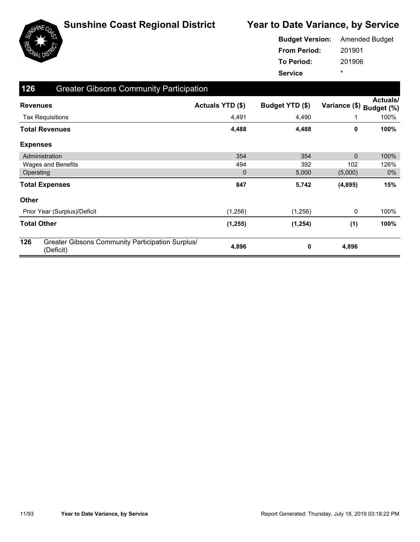

|                     | <b>Budget Version:</b> Amended Budget |
|---------------------|---------------------------------------|
| <b>From Period:</b> | 201901                                |
| <b>To Period:</b>   | 201906                                |
| <b>Service</b>      | ÷                                     |

| 126          | <b>Greater Gibsons Community Participation</b>                |                  |                 |                          |                 |
|--------------|---------------------------------------------------------------|------------------|-----------------|--------------------------|-----------------|
|              | <b>Revenues</b>                                               | Actuals YTD (\$) | Budget YTD (\$) | Variance (\$) Budget (%) | <b>Actuals/</b> |
|              | <b>Tax Requisitions</b>                                       | 4,491            | 4,490           |                          | 100%            |
|              | <b>Total Revenues</b>                                         | 4,488            | 4,488           | 0                        | 100%            |
|              | <b>Expenses</b>                                               |                  |                 |                          |                 |
|              | Administration                                                | 354              | 354             | $\mathbf{0}$             | 100%            |
|              | Wages and Benefits                                            | 494              | 392             | 102                      | 126%            |
|              | Operating                                                     | $\mathbf{0}$     | 5,000           | (5,000)                  | 0%              |
|              | <b>Total Expenses</b>                                         | 847              | 5,742           | (4,895)                  | 15%             |
| <b>Other</b> |                                                               |                  |                 |                          |                 |
|              | Prior Year (Surplus)/Deficit                                  | (1,256)          | (1,256)         | 0                        | 100%            |
|              | <b>Total Other</b>                                            | (1, 255)         | (1, 254)        | (1)                      | 100%            |
| 126          | Greater Gibsons Community Participation Surplus/<br>(Deficit) | 4,896            | 0               | 4,896                    |                 |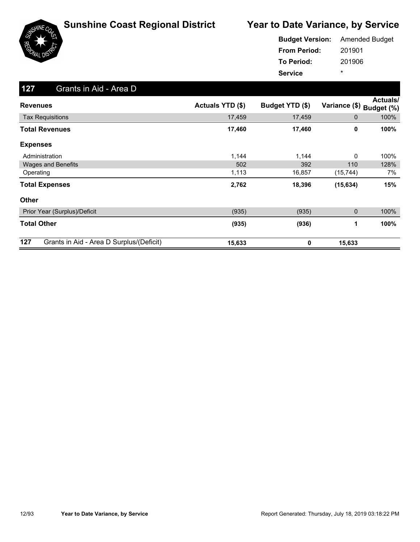

|                     | <b>Budget Version:</b> Amended Budget |
|---------------------|---------------------------------------|
| <b>From Period:</b> | 201901                                |
| <b>To Period:</b>   | 201906                                |
| <b>Service</b>      | ÷                                     |

| 127<br>Grants in Aid - Area D                   |                  |                 |               |                               |
|-------------------------------------------------|------------------|-----------------|---------------|-------------------------------|
| <b>Revenues</b>                                 | Actuals YTD (\$) | Budget YTD (\$) | Variance (\$) | <b>Actuals/</b><br>Budget (%) |
| <b>Tax Requisitions</b>                         | 17,459           | 17,459          | 0             | 100%                          |
| <b>Total Revenues</b>                           | 17,460           | 17,460          | 0             | 100%                          |
| <b>Expenses</b>                                 |                  |                 |               |                               |
| Administration                                  | 1,144            | 1,144           | 0             | 100%                          |
| <b>Wages and Benefits</b>                       | 502              | 392             | 110           | 128%                          |
| Operating                                       | 1,113            | 16,857          | (15, 744)     | 7%                            |
| <b>Total Expenses</b>                           | 2,762            | 18,396          | (15, 634)     | 15%                           |
| <b>Other</b>                                    |                  |                 |               |                               |
| Prior Year (Surplus)/Deficit                    | (935)            | (935)           | 0             | 100%                          |
| <b>Total Other</b>                              | (935)            | (936)           | 1             | 100%                          |
| 127<br>Grants in Aid - Area D Surplus/(Deficit) | 15,633           | 0               | 15,633        |                               |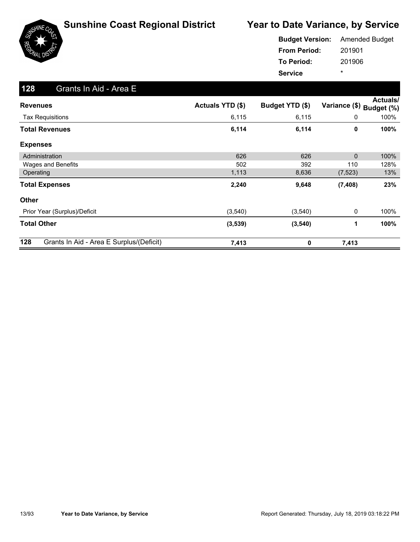

|                     | <b>Budget Version:</b> Amended Budget |
|---------------------|---------------------------------------|
| <b>From Period:</b> | 201901                                |
| To Period:          | 201906                                |
| <b>Service</b>      | ÷                                     |

| 128<br>Grants In Aid - Area E                   |                  |                 |               |                        |
|-------------------------------------------------|------------------|-----------------|---------------|------------------------|
| <b>Revenues</b>                                 | Actuals YTD (\$) | Budget YTD (\$) | Variance (\$) | Actuals/<br>Budget (%) |
| <b>Tax Requisitions</b>                         | 6,115            | 6,115           | 0             | 100%                   |
| <b>Total Revenues</b>                           | 6,114            | 6,114           | 0             | 100%                   |
| <b>Expenses</b>                                 |                  |                 |               |                        |
| Administration                                  | 626              | 626             | 0             | 100%                   |
| Wages and Benefits                              | 502              | 392             | 110           | 128%                   |
| Operating                                       | 1,113            | 8,636           | (7, 523)      | 13%                    |
| <b>Total Expenses</b>                           | 2,240            | 9,648           | (7, 408)      | 23%                    |
| <b>Other</b>                                    |                  |                 |               |                        |
| Prior Year (Surplus)/Deficit                    | (3, 540)         | (3, 540)        | 0             | 100%                   |
| <b>Total Other</b>                              | (3,539)          | (3, 540)        | 1             | 100%                   |
| 128<br>Grants In Aid - Area E Surplus/(Deficit) | 7,413            | 0               | 7,413         |                        |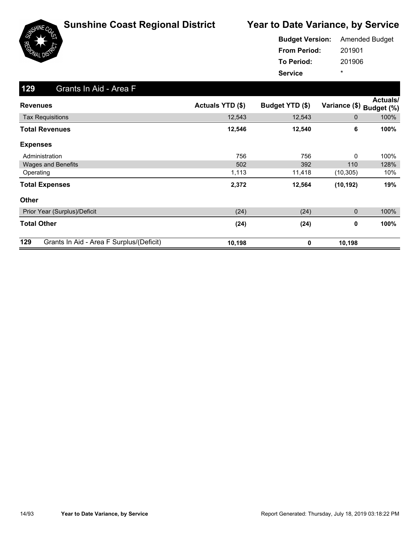

|                     | <b>Budget Version:</b> Amended Budget |
|---------------------|---------------------------------------|
| <b>From Period:</b> | 201901                                |
| <b>To Period:</b>   | 201906                                |
| <b>Service</b>      | ÷                                     |

| 129<br>Grants In Aid - Area F                   |                         |                 |               |                               |
|-------------------------------------------------|-------------------------|-----------------|---------------|-------------------------------|
| <b>Revenues</b>                                 | <b>Actuals YTD (\$)</b> | Budget YTD (\$) | Variance (\$) | <b>Actuals/</b><br>Budget (%) |
| <b>Tax Requisitions</b>                         | 12,543                  | 12,543          | $\mathbf{0}$  | 100%                          |
| <b>Total Revenues</b>                           | 12,546                  | 12,540          | 6             | 100%                          |
| <b>Expenses</b>                                 |                         |                 |               |                               |
| Administration                                  | 756                     | 756             | 0             | 100%                          |
| <b>Wages and Benefits</b>                       | 502                     | 392             | 110           | 128%                          |
| Operating                                       | 1,113                   | 11,418          | (10, 305)     | 10%                           |
| <b>Total Expenses</b>                           | 2,372                   | 12,564          | (10, 192)     | 19%                           |
| <b>Other</b>                                    |                         |                 |               |                               |
| Prior Year (Surplus)/Deficit                    | (24)                    | (24)            | 0             | 100%                          |
| <b>Total Other</b>                              | (24)                    | (24)            | 0             | 100%                          |
| 129<br>Grants In Aid - Area F Surplus/(Deficit) | 10,198                  | 0               | 10,198        |                               |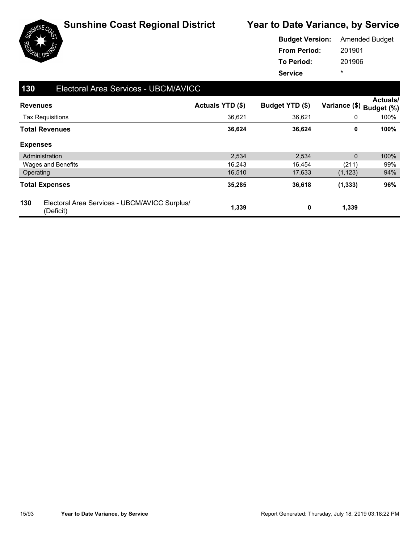

|                     | <b>Budget Version:</b> Amended Budget |
|---------------------|---------------------------------------|
| <b>From Period:</b> | 201901                                |
| <b>To Period:</b>   | 201906                                |
| <b>Service</b>      | ÷                                     |

| 130             | Electoral Area Services - UBCM/AVICC                       |                  |                 |                          |                 |
|-----------------|------------------------------------------------------------|------------------|-----------------|--------------------------|-----------------|
| <b>Revenues</b> |                                                            | Actuals YTD (\$) | Budget YTD (\$) | Variance (\$) Budget (%) | <b>Actuals/</b> |
|                 | <b>Tax Requisitions</b>                                    | 36,621           | 36,621          | 0                        | 100%            |
|                 | <b>Total Revenues</b>                                      | 36,624           | 36,624          | 0                        | 100%            |
| <b>Expenses</b> |                                                            |                  |                 |                          |                 |
|                 | Administration                                             | 2,534            | 2,534           | $\mathbf{0}$             | 100%            |
|                 | Wages and Benefits                                         | 16,243           | 16,454          | (211)                    | 99%             |
| Operating       |                                                            | 16,510           | 17,633          | (1, 123)                 | 94%             |
|                 | <b>Total Expenses</b>                                      | 35,285           | 36,618          | (1, 333)                 | 96%             |
| 130             | Electoral Area Services - UBCM/AVICC Surplus/<br>(Deficit) | 1,339            | 0               | 1,339                    |                 |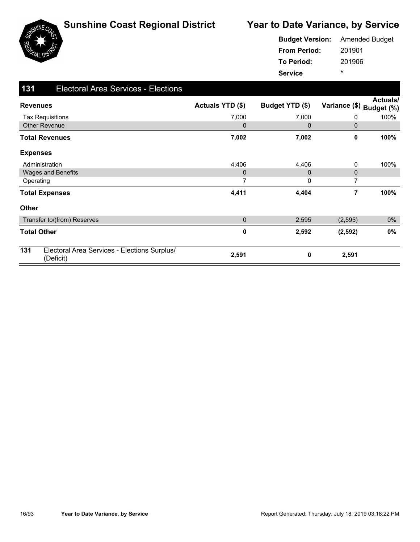

| <b>Budget Version:</b> | <b>Amended Budget</b> |
|------------------------|-----------------------|
| <b>From Period:</b>    | 201901                |
| <b>To Period:</b>      | 201906                |
| <b>Service</b>         | ÷                     |

| 131             | <b>Electoral Area Services - Elections</b>                |                  |                 |               |                               |
|-----------------|-----------------------------------------------------------|------------------|-----------------|---------------|-------------------------------|
| <b>Revenues</b> |                                                           | Actuals YTD (\$) | Budget YTD (\$) | Variance (\$) | <b>Actuals/</b><br>Budget (%) |
|                 | <b>Tax Requisitions</b>                                   | 7,000            | 7,000           | 0             | 100%                          |
|                 | <b>Other Revenue</b>                                      | $\mathbf{0}$     | 0               | 0             |                               |
|                 | <b>Total Revenues</b>                                     | 7,002            | 7,002           | 0             | 100%                          |
| <b>Expenses</b> |                                                           |                  |                 |               |                               |
|                 | Administration                                            | 4,406            | 4,406           | 0             | 100%                          |
|                 | Wages and Benefits                                        | $\mathbf{0}$     | $\Omega$        | $\mathbf 0$   |                               |
| Operating       |                                                           | 7                | 0               | 7             |                               |
|                 | <b>Total Expenses</b>                                     | 4,411            | 4,404           | 7             | 100%                          |
| <b>Other</b>    |                                                           |                  |                 |               |                               |
|                 | Transfer to/(from) Reserves                               | $\pmb{0}$        | 2,595           | (2,595)       | $0\%$                         |
|                 | <b>Total Other</b>                                        | 0                | 2,592           | (2, 592)      | 0%                            |
| 131             | Electoral Area Services - Elections Surplus/<br>(Deficit) | 2,591            | 0               | 2,591         |                               |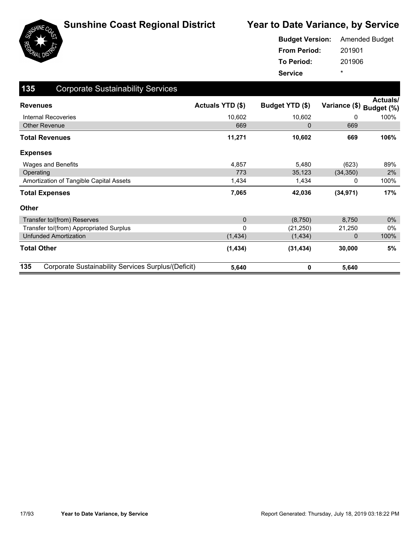

|                     | <b>Budget Version:</b> Amended Budget |
|---------------------|---------------------------------------|
| <b>From Period:</b> | 201901                                |
| To Period:          | 201906                                |
| <b>Service</b>      | ÷                                     |

| 135                | <b>Corporate Sustainability Services</b>            |                  |                 |               |                               |
|--------------------|-----------------------------------------------------|------------------|-----------------|---------------|-------------------------------|
| <b>Revenues</b>    |                                                     | Actuals YTD (\$) | Budget YTD (\$) | Variance (\$) | <b>Actuals/</b><br>Budget (%) |
|                    | <b>Internal Recoveries</b>                          | 10,602           | 10,602          | 0             | 100%                          |
|                    | <b>Other Revenue</b>                                | 669              | $\overline{0}$  | 669           |                               |
|                    | Total Revenues                                      | 11,271           | 10,602          | 669           | 106%                          |
| <b>Expenses</b>    |                                                     |                  |                 |               |                               |
|                    | Wages and Benefits                                  | 4,857            | 5,480           | (623)         | 89%                           |
| Operating          |                                                     | 773              | 35,123          | (34, 350)     | 2%                            |
|                    | Amortization of Tangible Capital Assets             | 1,434            | 1,434           | 0             | 100%                          |
|                    | <b>Total Expenses</b>                               | 7,065            | 42,036          | (34, 971)     | 17%                           |
| <b>Other</b>       |                                                     |                  |                 |               |                               |
|                    | Transfer to/(from) Reserves                         | $\mathbf 0$      | (8,750)         | 8,750         | $0\%$                         |
|                    | Transfer to/(from) Appropriated Surplus             | 0                | (21, 250)       | 21,250        | 0%                            |
|                    | <b>Unfunded Amortization</b>                        | (1, 434)         | (1, 434)        | 0             | 100%                          |
| <b>Total Other</b> |                                                     | (1, 434)         | (31, 434)       | 30,000        | 5%                            |
| 135                | Corporate Sustainability Services Surplus/(Deficit) | 5,640            | 0               | 5,640         |                               |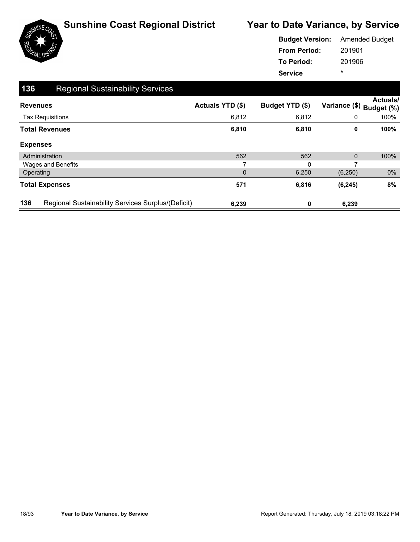

|                     | <b>Budget Version:</b> Amended Budget |
|---------------------|---------------------------------------|
| <b>From Period:</b> | 201901                                |
| <b>To Period:</b>   | 201906                                |
| <b>Service</b>      | ÷                                     |

| 136 | <b>Regional Sustainability Services</b>            |                  |                 |                          |                 |
|-----|----------------------------------------------------|------------------|-----------------|--------------------------|-----------------|
|     | <b>Revenues</b>                                    | Actuals YTD (\$) | Budget YTD (\$) | Variance (\$) Budget (%) | <b>Actuals/</b> |
|     | <b>Tax Requisitions</b>                            | 6,812            | 6,812           | 0                        | 100%            |
|     | <b>Total Revenues</b>                              | 6,810            | 6,810           | 0                        | 100%            |
|     | <b>Expenses</b>                                    |                  |                 |                          |                 |
|     | Administration                                     | 562              | 562             | 0                        | 100%            |
|     | Wages and Benefits                                 | 7                | 0               | 7                        |                 |
|     | Operating                                          | $\mathbf{0}$     | 6,250           | (6, 250)                 | $0\%$           |
|     | <b>Total Expenses</b>                              | 571              | 6,816           | (6, 245)                 | 8%              |
| 136 | Regional Sustainability Services Surplus/(Deficit) | 6,239            | 0               | 6,239                    |                 |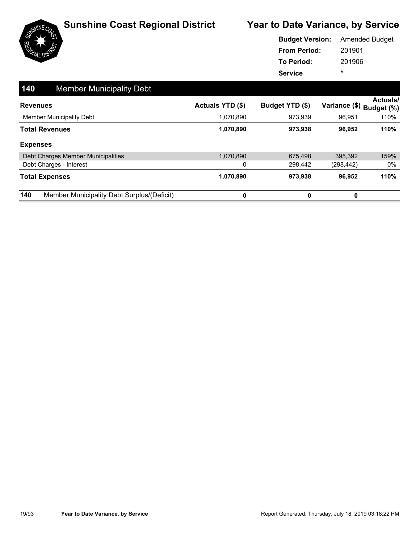

|                     | <b>Budget Version:</b> Amended Budget |
|---------------------|---------------------------------------|
| <b>From Period:</b> | 201901                                |
| To Period:          | 201906                                |
| <b>Service</b>      | ÷                                     |

| 140                             | <b>Member Municipality Debt</b>            |                         |                 |                          |          |
|---------------------------------|--------------------------------------------|-------------------------|-----------------|--------------------------|----------|
| <b>Revenues</b>                 |                                            | <b>Actuals YTD (\$)</b> | Budget YTD (\$) | Variance (\$) Budget (%) | Actuals/ |
| <b>Member Municipality Debt</b> |                                            | 1,070,890               | 973,939         | 96.951                   | 110%     |
| <b>Total Revenues</b>           |                                            | 1,070,890               | 973,938         | 96,952                   | 110%     |
| <b>Expenses</b>                 |                                            |                         |                 |                          |          |
|                                 | Debt Charges Member Municipalities         | 1,070,890               | 675.498         | 395.392                  | 159%     |
| Debt Charges - Interest         |                                            | 0                       | 298,442         | (298,442)                | 0%       |
| <b>Total Expenses</b>           |                                            | 1,070,890               | 973,938         | 96,952                   | 110%     |
| 140                             | Member Municipality Debt Surplus/(Deficit) | 0                       | 0               | 0                        |          |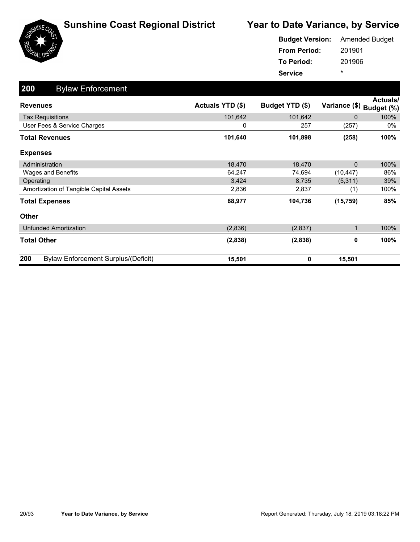

|                     | <b>Budget Version:</b> Amended Budget |
|---------------------|---------------------------------------|
| <b>From Period:</b> | 201901                                |
| To Period:          | 201906                                |
| <b>Service</b>      | ÷                                     |

| 200<br><b>Bylaw Enforcement</b>                   |                  |                 |               |                               |
|---------------------------------------------------|------------------|-----------------|---------------|-------------------------------|
| <b>Revenues</b>                                   | Actuals YTD (\$) | Budget YTD (\$) | Variance (\$) | <b>Actuals/</b><br>Budget (%) |
| <b>Tax Requisitions</b>                           | 101,642          | 101,642         | 0             | 100%                          |
| User Fees & Service Charges                       | 0                | 257             | (257)         | 0%                            |
| <b>Total Revenues</b>                             | 101,640          | 101,898         | (258)         | 100%                          |
| <b>Expenses</b>                                   |                  |                 |               |                               |
| Administration                                    | 18,470           | 18,470          | $\mathbf{0}$  | 100%                          |
| Wages and Benefits                                | 64,247           | 74,694          | (10, 447)     | 86%                           |
| Operating                                         | 3,424            | 8,735           | (5,311)       | 39%                           |
| Amortization of Tangible Capital Assets           | 2,836            | 2,837           | (1)           | 100%                          |
| <b>Total Expenses</b>                             | 88,977           | 104,736         | (15, 759)     | 85%                           |
| <b>Other</b>                                      |                  |                 |               |                               |
| Unfunded Amortization                             | (2,836)          | (2, 837)        | 1             | 100%                          |
| <b>Total Other</b>                                | (2,838)          | (2,838)         | 0             | 100%                          |
| 200<br><b>Bylaw Enforcement Surplus/(Deficit)</b> | 15,501           | 0               | 15,501        |                               |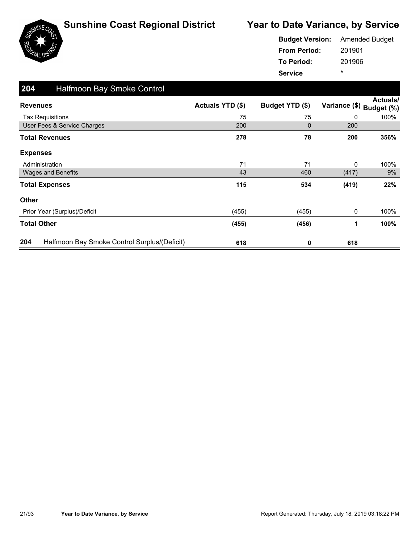



201901 201906 **From Period: To Period: Service** \* **Budget Version:** Amended Budget

| 204<br>Halfmoon Bay Smoke Control                   |                  |                 |               |                        |
|-----------------------------------------------------|------------------|-----------------|---------------|------------------------|
| <b>Revenues</b>                                     | Actuals YTD (\$) | Budget YTD (\$) | Variance (\$) | Actuals/<br>Budget (%) |
| <b>Tax Requisitions</b>                             | 75               | 75              | 0             | 100%                   |
| User Fees & Service Charges                         | 200              | 0               | 200           |                        |
| <b>Total Revenues</b>                               | 278              | 78              | 200           | 356%                   |
| <b>Expenses</b>                                     |                  |                 |               |                        |
| Administration                                      | 71               | 71              | 0             | 100%                   |
| Wages and Benefits                                  | 43               | 460             | (417)         | 9%                     |
| <b>Total Expenses</b>                               | 115              | 534             | (419)         | 22%                    |
| <b>Other</b>                                        |                  |                 |               |                        |
| Prior Year (Surplus)/Deficit                        | (455)            | (455)           | 0             | 100%                   |
| <b>Total Other</b>                                  | (455)            | (456)           | 1             | 100%                   |
| 204<br>Halfmoon Bay Smoke Control Surplus/(Deficit) | 618              | 0               | 618           |                        |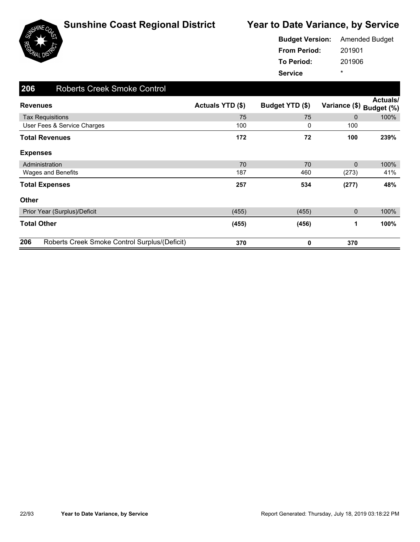



201901 201906 **From Period: To Period: Service** \* **Budget Version:** Amended Budget

| 206<br><b>Roberts Creek Smoke Control</b>            |                  |                 |               |                        |
|------------------------------------------------------|------------------|-----------------|---------------|------------------------|
| <b>Revenues</b>                                      | Actuals YTD (\$) | Budget YTD (\$) | Variance (\$) | Actuals/<br>Budget (%) |
| <b>Tax Requisitions</b>                              | 75               | 75              | $\mathbf{0}$  | 100%                   |
| User Fees & Service Charges                          | 100              | 0               | 100           |                        |
| <b>Total Revenues</b>                                | 172              | 72              | 100           | 239%                   |
| <b>Expenses</b>                                      |                  |                 |               |                        |
| Administration                                       | 70               | 70              | $\mathbf{0}$  | 100%                   |
| Wages and Benefits                                   | 187              | 460             | (273)         | 41%                    |
| <b>Total Expenses</b>                                | 257              | 534             | (277)         | 48%                    |
| <b>Other</b>                                         |                  |                 |               |                        |
| Prior Year (Surplus)/Deficit                         | (455)            | (455)           | $\mathbf{0}$  | 100%                   |
| <b>Total Other</b>                                   | (455)            | (456)           | 1             | 100%                   |
| 206<br>Roberts Creek Smoke Control Surplus/(Deficit) | 370              | 0               | 370           |                        |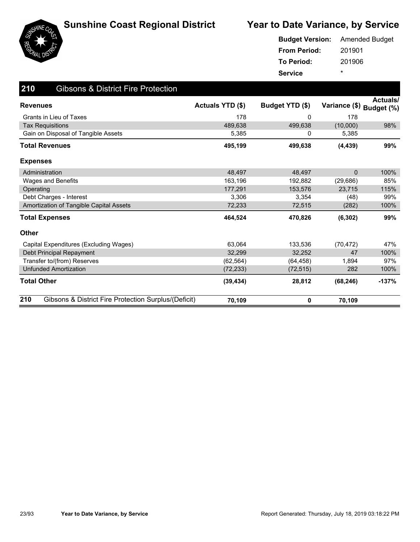



| <b>Budget Version:</b> Amended Budget |        |
|---------------------------------------|--------|
| <b>From Period:</b>                   | 201901 |
| To Period:                            | 201906 |
| <b>Service</b>                        | ÷      |

| 210<br><b>Gibsons &amp; District Fire Protection</b>        |                  |                 |               |                               |
|-------------------------------------------------------------|------------------|-----------------|---------------|-------------------------------|
| <b>Revenues</b>                                             | Actuals YTD (\$) | Budget YTD (\$) | Variance (\$) | <b>Actuals/</b><br>Budget (%) |
| Grants in Lieu of Taxes                                     | 178              | 0               | 178           |                               |
| <b>Tax Requisitions</b>                                     | 489,638          | 499,638         | (10,000)      | 98%                           |
| Gain on Disposal of Tangible Assets                         | 5,385            | 0               | 5,385         |                               |
| <b>Total Revenues</b>                                       | 495,199          | 499,638         | (4, 439)      | 99%                           |
| <b>Expenses</b>                                             |                  |                 |               |                               |
| Administration                                              | 48,497           | 48,497          | $\mathbf{0}$  | 100%                          |
| <b>Wages and Benefits</b>                                   | 163,196          | 192,882         | (29, 686)     | 85%                           |
| Operating                                                   | 177,291          | 153,576         | 23,715        | 115%                          |
| Debt Charges - Interest                                     | 3,306            | 3,354           | (48)          | 99%                           |
| Amortization of Tangible Capital Assets                     | 72,233           | 72,515          | (282)         | 100%                          |
| <b>Total Expenses</b>                                       | 464,524          | 470,826         | (6, 302)      | 99%                           |
| <b>Other</b>                                                |                  |                 |               |                               |
| Capital Expenditures (Excluding Wages)                      | 63,064           | 133,536         | (70, 472)     | 47%                           |
| Debt Principal Repayment                                    | 32,299           | 32,252          | 47            | 100%                          |
| Transfer to/(from) Reserves                                 | (62, 564)        | (64, 458)       | 1,894         | 97%                           |
| <b>Unfunded Amortization</b>                                | (72, 233)        | (72, 515)       | 282           | 100%                          |
| <b>Total Other</b>                                          | (39, 434)        | 28,812          | (68, 246)     | $-137%$                       |
| 210<br>Gibsons & District Fire Protection Surplus/(Deficit) | 70,109           | 0               | 70,109        |                               |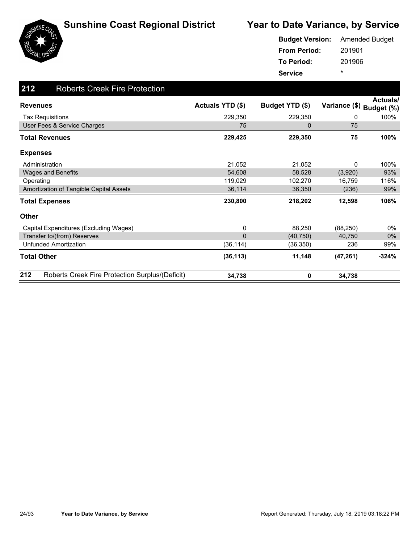

| <b>Budget Version:</b> | <b>Amended Budget</b> |
|------------------------|-----------------------|
| <b>From Period:</b>    | 201901                |
| To Period:             | 201906                |
| <b>Service</b>         | ÷                     |

| 212<br><b>Roberts Creek Fire Protection</b>            |                  |                 |               |                        |
|--------------------------------------------------------|------------------|-----------------|---------------|------------------------|
| <b>Revenues</b>                                        | Actuals YTD (\$) | Budget YTD (\$) | Variance (\$) | Actuals/<br>Budget (%) |
| <b>Tax Requisitions</b>                                | 229,350          | 229,350         | 0             | 100%                   |
| User Fees & Service Charges                            | 75               | 0               | 75            |                        |
| <b>Total Revenues</b>                                  | 229,425          | 229,350         | 75            | 100%                   |
| <b>Expenses</b>                                        |                  |                 |               |                        |
| Administration                                         | 21,052           | 21,052          | 0             | 100%                   |
| <b>Wages and Benefits</b>                              | 54,608           | 58,528          | (3,920)       | 93%                    |
| Operating                                              | 119,029          | 102,270         | 16,759        | 116%                   |
| Amortization of Tangible Capital Assets                | 36,114           | 36,350          | (236)         | 99%                    |
| <b>Total Expenses</b>                                  | 230,800          | 218,202         | 12,598        | 106%                   |
| <b>Other</b>                                           |                  |                 |               |                        |
| Capital Expenditures (Excluding Wages)                 | 0                | 88,250          | (88, 250)     | $0\%$                  |
| Transfer to/(from) Reserves                            | $\Omega$         | (40, 750)       | 40,750        | $0\%$                  |
| <b>Unfunded Amortization</b>                           | (36, 114)        | (36, 350)       | 236           | 99%                    |
| <b>Total Other</b>                                     | (36, 113)        | 11,148          | (47, 261)     | $-324%$                |
| 212<br>Roberts Creek Fire Protection Surplus/(Deficit) | 34,738           | 0               | 34,738        |                        |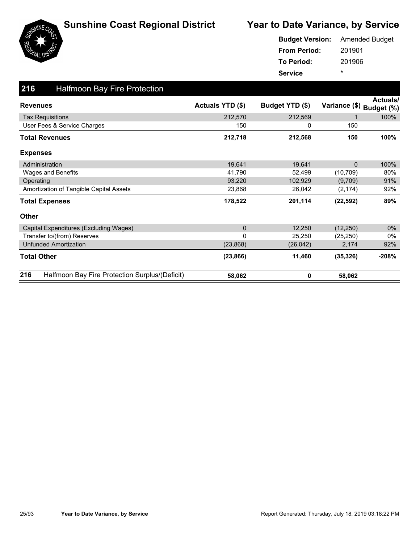

|                     | <b>Budget Version:</b> Amended Budget |
|---------------------|---------------------------------------|
| <b>From Period:</b> | 201901                                |
| To Period:          | 201906                                |
| <b>Service</b>      | ÷                                     |

| 216<br><b>Halfmoon Bay Fire Protection</b>            |                  |                 |               |                               |
|-------------------------------------------------------|------------------|-----------------|---------------|-------------------------------|
| <b>Revenues</b>                                       | Actuals YTD (\$) | Budget YTD (\$) | Variance (\$) | <b>Actuals/</b><br>Budget (%) |
| <b>Tax Requisitions</b>                               | 212,570          | 212,569         |               | 100%                          |
| User Fees & Service Charges                           | 150              | 0               | 150           |                               |
| <b>Total Revenues</b>                                 | 212,718          | 212,568         | 150           | 100%                          |
| <b>Expenses</b>                                       |                  |                 |               |                               |
| Administration                                        | 19,641           | 19,641          | $\Omega$      | 100%                          |
| Wages and Benefits                                    | 41,790           | 52,499          | (10, 709)     | 80%                           |
| Operating                                             | 93,220           | 102,929         | (9,709)       | 91%                           |
| Amortization of Tangible Capital Assets               | 23,868           | 26,042          | (2, 174)      | 92%                           |
| <b>Total Expenses</b>                                 | 178,522          | 201,114         | (22, 592)     | 89%                           |
| <b>Other</b>                                          |                  |                 |               |                               |
| Capital Expenditures (Excluding Wages)                | $\mathbf 0$      | 12,250          | (12, 250)     | $0\%$                         |
| Transfer to/(from) Reserves                           | 0                | 25,250          | (25, 250)     | $0\%$                         |
| <b>Unfunded Amortization</b>                          | (23, 868)        | (26, 042)       | 2,174         | 92%                           |
| <b>Total Other</b>                                    | (23, 866)        | 11,460          | (35, 326)     | $-208%$                       |
| 216<br>Halfmoon Bay Fire Protection Surplus/(Deficit) | 58,062           | 0               | 58,062        |                               |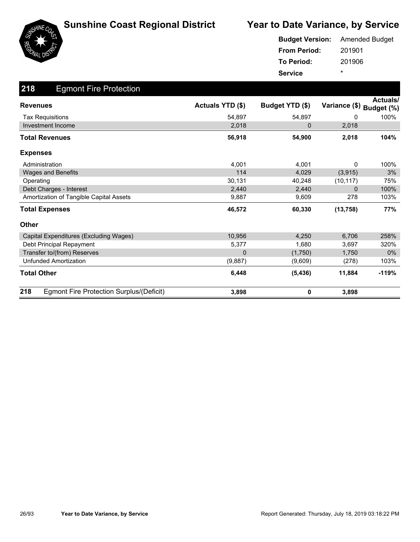



|                     | <b>Budget Version:</b> Amended Budget |
|---------------------|---------------------------------------|
| <b>From Period:</b> | 201901                                |
| To Period:          | 201906                                |
| <b>Service</b>      | *                                     |

| 218<br><b>Egmont Fire Protection</b>            |                  |                 |               |                               |
|-------------------------------------------------|------------------|-----------------|---------------|-------------------------------|
| <b>Revenues</b>                                 | Actuals YTD (\$) | Budget YTD (\$) | Variance (\$) | <b>Actuals/</b><br>Budget (%) |
| <b>Tax Requisitions</b>                         | 54,897           | 54,897          | 0             | 100%                          |
| <b>Investment Income</b>                        | 2,018            | 0               | 2,018         |                               |
| Total Revenues                                  | 56,918           | 54,900          | 2,018         | 104%                          |
| <b>Expenses</b>                                 |                  |                 |               |                               |
| Administration                                  | 4,001            | 4,001           | 0             | 100%                          |
| <b>Wages and Benefits</b>                       | 114              | 4,029           | (3, 915)      | 3%                            |
| Operating                                       | 30,131           | 40,248          | (10, 117)     | 75%                           |
| Debt Charges - Interest                         | 2,440            | 2,440           | $\Omega$      | 100%                          |
| Amortization of Tangible Capital Assets         | 9,887            | 9,609           | 278           | 103%                          |
| <b>Total Expenses</b>                           | 46,572           | 60,330          | (13, 758)     | 77%                           |
| Other                                           |                  |                 |               |                               |
| Capital Expenditures (Excluding Wages)          | 10,956           | 4,250           | 6,706         | 258%                          |
| Debt Principal Repayment                        | 5,377            | 1,680           | 3,697         | 320%                          |
| Transfer to/(from) Reserves                     | $\mathbf 0$      | (1,750)         | 1,750         | $0\%$                         |
| <b>Unfunded Amortization</b>                    | (9,887)          | (9,609)         | (278)         | 103%                          |
| <b>Total Other</b>                              | 6,448            | (5, 436)        | 11,884        | $-119%$                       |
| 218<br>Egmont Fire Protection Surplus/(Deficit) | 3,898            | 0               | 3,898         |                               |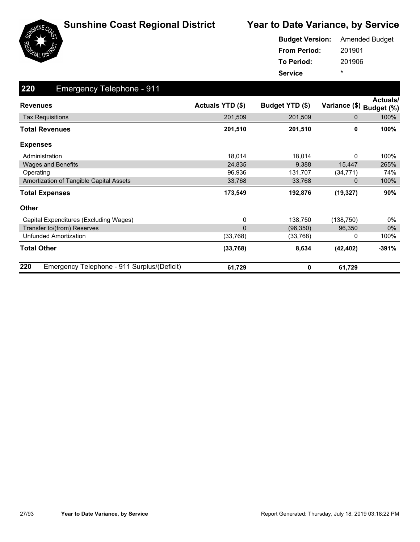

|                     | <b>Budget Version:</b> Amended Budget |
|---------------------|---------------------------------------|
| <b>From Period:</b> | 201901                                |
| To Period:          | 201906                                |
| <b>Service</b>      | ÷                                     |

| 220<br><b>Emergency Telephone - 911</b>            |                  |                 |               |                               |
|----------------------------------------------------|------------------|-----------------|---------------|-------------------------------|
| <b>Revenues</b>                                    | Actuals YTD (\$) | Budget YTD (\$) | Variance (\$) | <b>Actuals/</b><br>Budget (%) |
| <b>Tax Requisitions</b>                            | 201,509          | 201,509         | 0             | 100%                          |
| <b>Total Revenues</b>                              | 201,510          | 201,510         | 0             | 100%                          |
| <b>Expenses</b>                                    |                  |                 |               |                               |
| Administration                                     | 18,014           | 18,014          | 0             | 100%                          |
| <b>Wages and Benefits</b>                          | 24,835           | 9,388           | 15,447        | 265%                          |
| Operating                                          | 96,936           | 131,707         | (34, 771)     | 74%                           |
| Amortization of Tangible Capital Assets            | 33,768           | 33,768          | 0             | 100%                          |
| <b>Total Expenses</b>                              | 173,549          | 192,876         | (19, 327)     | 90%                           |
| Other                                              |                  |                 |               |                               |
| Capital Expenditures (Excluding Wages)             | 0                | 138,750         | (138, 750)    | 0%                            |
| Transfer to/(from) Reserves                        | $\mathbf{0}$     | (96, 350)       | 96,350        | $0\%$                         |
| <b>Unfunded Amortization</b>                       | (33, 768)        | (33,768)        | 0             | 100%                          |
| <b>Total Other</b>                                 | (33, 768)        | 8,634           | (42, 402)     | $-391%$                       |
| 220<br>Emergency Telephone - 911 Surplus/(Deficit) | 61,729           | 0               | 61,729        |                               |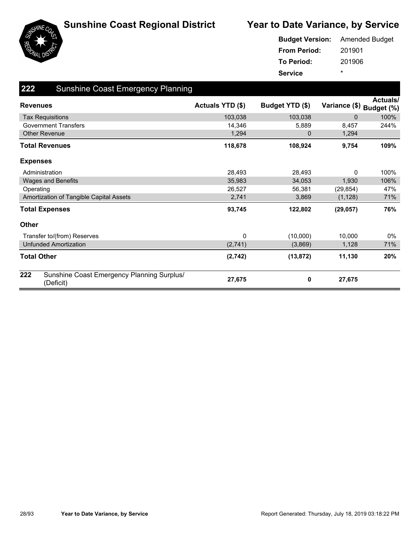





| <b>Budget Version:</b> | <b>Amended Budget</b> |
|------------------------|-----------------------|
| <b>From Period:</b>    | 201901                |
| <b>To Period:</b>      | 201906                |
| <b>Service</b>         | ÷                     |

| 222             | <b>Sunshine Coast Emergency Planning</b>                |                  |                 |                          |          |
|-----------------|---------------------------------------------------------|------------------|-----------------|--------------------------|----------|
| <b>Revenues</b> |                                                         | Actuals YTD (\$) | Budget YTD (\$) | Variance (\$) Budget (%) | Actuals/ |
|                 | <b>Tax Requisitions</b>                                 | 103,038          | 103,038         | $\mathbf{0}$             | 100%     |
|                 | <b>Government Transfers</b>                             | 14,346           | 5,889           | 8,457                    | 244%     |
|                 | <b>Other Revenue</b>                                    | 1,294            | 0               | 1,294                    |          |
|                 | Total Revenues                                          | 118,678          | 108,924         | 9,754                    | 109%     |
| <b>Expenses</b> |                                                         |                  |                 |                          |          |
|                 | Administration                                          | 28,493           | 28,493          | $\Omega$                 | 100%     |
|                 | <b>Wages and Benefits</b>                               | 35,983           | 34,053          | 1,930                    | 106%     |
|                 | Operating                                               | 26,527           | 56,381          | (29, 854)                | 47%      |
|                 | Amortization of Tangible Capital Assets                 | 2,741            | 3,869           | (1, 128)                 | 71%      |
|                 | <b>Total Expenses</b>                                   | 93,745           | 122,802         | (29, 057)                | 76%      |
| <b>Other</b>    |                                                         |                  |                 |                          |          |
|                 | Transfer to/(from) Reserves                             | 0                | (10,000)        | 10,000                   | $0\%$    |
|                 | <b>Unfunded Amortization</b>                            | (2,741)          | (3,869)         | 1,128                    | 71%      |
|                 | <b>Total Other</b>                                      | (2,742)          | (13, 872)       | 11,130                   | 20%      |
| 222             | Sunshine Coast Emergency Planning Surplus/<br>(Deficit) | 27,675           | 0               | 27,675                   |          |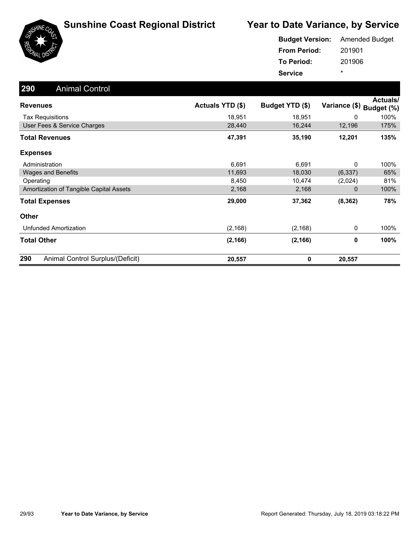

|                     | <b>Budget Version:</b> Amended Budget |
|---------------------|---------------------------------------|
| <b>From Period:</b> | 201901                                |
| <b>To Period:</b>   | 201906                                |
| <b>Service</b>      | ÷                                     |

| 290<br><b>Animal Control</b>            |                  |                 |               |                        |
|-----------------------------------------|------------------|-----------------|---------------|------------------------|
| <b>Revenues</b>                         | Actuals YTD (\$) | Budget YTD (\$) | Variance (\$) | Actuals/<br>Budget (%) |
| <b>Tax Requisitions</b>                 | 18,951           | 18,951          | 0             | 100%                   |
| User Fees & Service Charges             | 28,440           | 16,244          | 12,196        | 175%                   |
| <b>Total Revenues</b>                   | 47,391           | 35,190          | 12,201        | 135%                   |
| <b>Expenses</b>                         |                  |                 |               |                        |
| Administration                          | 6,691            | 6,691           | 0             | 100%                   |
| <b>Wages and Benefits</b>               | 11,693           | 18,030          | (6, 337)      | 65%                    |
| Operating                               | 8,450            | 10,474          | (2,024)       | 81%                    |
| Amortization of Tangible Capital Assets | 2,168            | 2,168           | 0             | 100%                   |
| <b>Total Expenses</b>                   | 29,000           | 37,362          | (8, 362)      | 78%                    |
| Other                                   |                  |                 |               |                        |
| <b>Unfunded Amortization</b>            | (2, 168)         | (2, 168)        | 0             | 100%                   |
| <b>Total Other</b>                      | (2, 166)         | (2, 166)        | 0             | 100%                   |
| 290<br>Animal Control Surplus/(Deficit) | 20,557           | 0               | 20,557        |                        |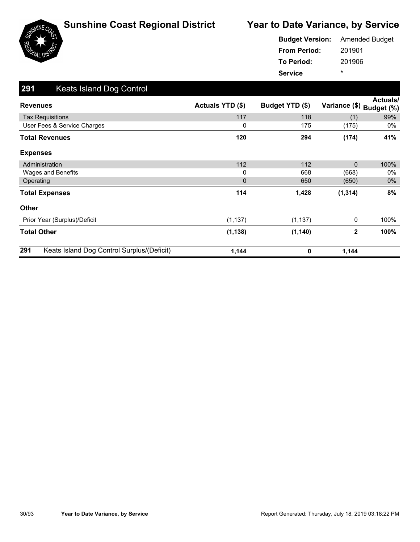



201901 201906 **From Period: To Period: Service** \* **Budget Version:** Amended Budget

| 291<br>Keats Island Dog Control                   |                  |                 |               |                              |
|---------------------------------------------------|------------------|-----------------|---------------|------------------------------|
| <b>Revenues</b>                                   | Actuals YTD (\$) | Budget YTD (\$) | Variance (\$) | <b>Actuals</b><br>Budget (%) |
| <b>Tax Requisitions</b>                           | 117              | 118             | (1)           | 99%                          |
| User Fees & Service Charges                       | 0                | 175             | (175)         | 0%                           |
| <b>Total Revenues</b>                             | 120              | 294             | (174)         | 41%                          |
| <b>Expenses</b>                                   |                  |                 |               |                              |
| Administration                                    | 112              | 112             | $\Omega$      | 100%                         |
| Wages and Benefits                                | 0                | 668             | (668)         | 0%                           |
| Operating                                         | $\mathbf{0}$     | 650             | (650)         | $0\%$                        |
| <b>Total Expenses</b>                             | 114              | 1,428           | (1, 314)      | 8%                           |
| <b>Other</b>                                      |                  |                 |               |                              |
| Prior Year (Surplus)/Deficit                      | (1, 137)         | (1, 137)        | 0             | 100%                         |
| <b>Total Other</b>                                | (1, 138)         | (1, 140)        | $\mathbf{2}$  | 100%                         |
| Keats Island Dog Control Surplus/(Deficit)<br>291 | 1,144            | 0               | 1,144         |                              |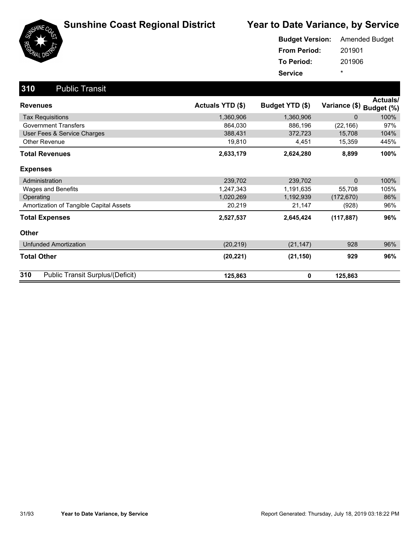

|                     | <b>Budget Version:</b> Amended Budget |
|---------------------|---------------------------------------|
| <b>From Period:</b> | 201901                                |
| <b>To Period:</b>   | 201906                                |
| <b>Service</b>      | ÷                                     |

| 310<br><b>Public Transit</b>            |                  |                 |                          |          |
|-----------------------------------------|------------------|-----------------|--------------------------|----------|
| <b>Revenues</b>                         | Actuals YTD (\$) | Budget YTD (\$) | Variance (\$) Budget (%) | Actuals/ |
| <b>Tax Requisitions</b>                 | 1,360,906        | 1,360,906       | 0                        | 100%     |
| <b>Government Transfers</b>             | 864,030          | 886,196         | (22, 166)                | 97%      |
| User Fees & Service Charges             | 388,431          | 372,723         | 15,708                   | 104%     |
| <b>Other Revenue</b>                    | 19,810           | 4,451           | 15,359                   | 445%     |
| <b>Total Revenues</b>                   | 2,633,179        | 2,624,280       | 8,899                    | 100%     |
| <b>Expenses</b>                         |                  |                 |                          |          |
| Administration                          | 239,702          | 239,702         | $\Omega$                 | 100%     |
| <b>Wages and Benefits</b>               | 1,247,343        | 1,191,635       | 55,708                   | 105%     |
| Operating                               | 1,020,269        | 1,192,939       | (172, 670)               | 86%      |
| Amortization of Tangible Capital Assets | 20,219           | 21,147          | (928)                    | 96%      |
| <b>Total Expenses</b>                   | 2,527,537        | 2,645,424       | (117, 887)               | 96%      |
| <b>Other</b>                            |                  |                 |                          |          |
| <b>Unfunded Amortization</b>            | (20, 219)        | (21, 147)       | 928                      | 96%      |
| <b>Total Other</b>                      | (20, 221)        | (21, 150)       | 929                      | 96%      |
| 310<br>Public Transit Surplus/(Deficit) | 125,863          | 0               | 125,863                  |          |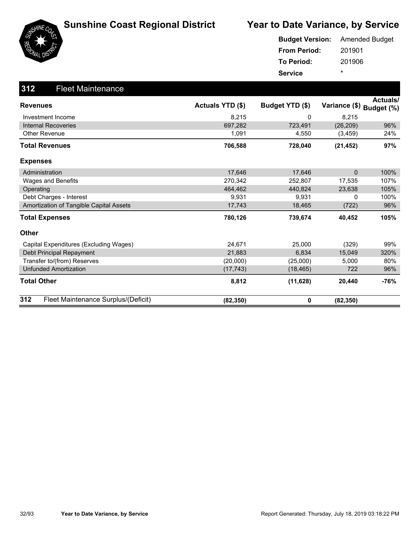



| <b>Budget Version:</b> Amended Budget |        |
|---------------------------------------|--------|
| <b>From Period:</b>                   | 201901 |
| To Period:                            | 201906 |
| <b>Service</b>                        | ÷      |

| 312<br><b>Fleet Maintenance</b>            |                  |                 |                          |          |
|--------------------------------------------|------------------|-----------------|--------------------------|----------|
| <b>Revenues</b>                            | Actuals YTD (\$) | Budget YTD (\$) | Variance (\$) Budget (%) | Actuals/ |
|                                            |                  |                 |                          |          |
| Investment Income                          | 8,215            | 0               | 8,215                    |          |
| <b>Internal Recoveries</b>                 | 697,282          | 723,491         | (26, 209)                | 96%      |
| <b>Other Revenue</b>                       | 1,091            | 4,550           | (3, 459)                 | 24%      |
| <b>Total Revenues</b>                      | 706,588          | 728,040         | (21, 452)                | 97%      |
| <b>Expenses</b>                            |                  |                 |                          |          |
| Administration                             | 17,646           | 17,646          | $\mathbf{0}$             | 100%     |
| Wages and Benefits                         | 270.342          | 252,807         | 17,535                   | 107%     |
| Operating                                  | 464,462          | 440,824         | 23,638                   | 105%     |
| Debt Charges - Interest                    | 9,931            | 9,931           | 0                        | 100%     |
| Amortization of Tangible Capital Assets    | 17,743           | 18,465          | (722)                    | 96%      |
| <b>Total Expenses</b>                      | 780,126          | 739,674         | 40,452                   | 105%     |
| <b>Other</b>                               |                  |                 |                          |          |
| Capital Expenditures (Excluding Wages)     | 24,671           | 25,000          | (329)                    | 99%      |
| Debt Principal Repayment                   | 21,883           | 6,834           | 15,049                   | 320%     |
| Transfer to/(from) Reserves                | (20,000)         | (25,000)        | 5,000                    | 80%      |
| <b>Unfunded Amortization</b>               | (17, 743)        | (18, 465)       | 722                      | 96%      |
| <b>Total Other</b>                         | 8,812            | (11, 628)       | 20,440                   | -76%     |
| 312<br>Fleet Maintenance Surplus/(Deficit) | (82, 350)        | 0               | (82, 350)                |          |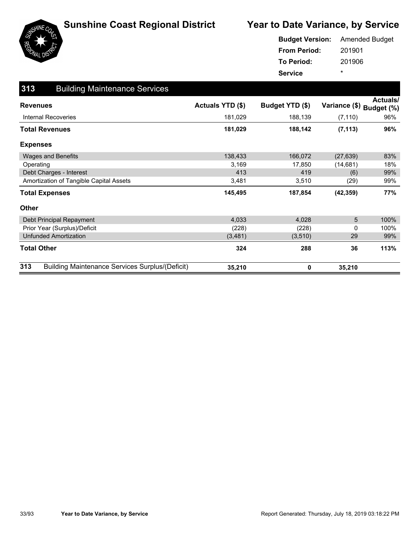

|                     | <b>Budget Version:</b> Amended Budget |
|---------------------|---------------------------------------|
| <b>From Period:</b> | 201901                                |
| To Period:          | 201906                                |
| <b>Service</b>      | ÷                                     |

| 313<br><b>Building Maintenance Services</b>                   |                  |                 |                          |                 |
|---------------------------------------------------------------|------------------|-----------------|--------------------------|-----------------|
| <b>Revenues</b>                                               | Actuals YTD (\$) | Budget YTD (\$) | Variance (\$) Budget (%) | <b>Actuals/</b> |
| Internal Recoveries                                           | 181,029          | 188,139         | (7, 110)                 | 96%             |
| <b>Total Revenues</b>                                         | 181,029          | 188,142         | (7, 113)                 | 96%             |
| <b>Expenses</b>                                               |                  |                 |                          |                 |
| <b>Wages and Benefits</b>                                     | 138,433          | 166,072         | (27, 639)                | 83%             |
| Operating                                                     | 3,169            | 17,850          | (14,681)                 | 18%             |
| Debt Charges - Interest                                       | 413              | 419             | (6)                      | 99%             |
| Amortization of Tangible Capital Assets                       | 3,481            | 3,510           | (29)                     | 99%             |
| <b>Total Expenses</b>                                         | 145,495          | 187,854         | (42, 359)                | 77%             |
| <b>Other</b>                                                  |                  |                 |                          |                 |
| Debt Principal Repayment                                      | 4,033            | 4,028           | 5                        | 100%            |
| Prior Year (Surplus)/Deficit                                  | (228)            | (228)           | 0                        | 100%            |
| <b>Unfunded Amortization</b>                                  | (3,481)          | (3,510)         | 29                       | 99%             |
| <b>Total Other</b>                                            | 324              | 288             | 36                       | 113%            |
| 313<br><b>Building Maintenance Services Surplus/(Deficit)</b> | 35,210           | 0               | 35,210                   |                 |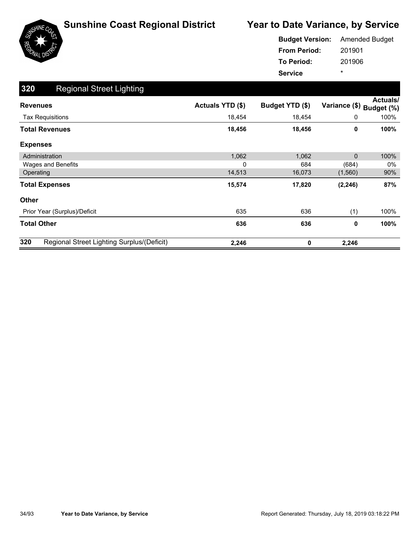

|                     | <b>Budget Version:</b> Amended Budget |
|---------------------|---------------------------------------|
| <b>From Period:</b> | 201901                                |
| To Period:          | 201906                                |
| <b>Service</b>      | ÷                                     |

| 320<br><b>Regional Street Lighting</b>            |                  |                 |                          |                 |
|---------------------------------------------------|------------------|-----------------|--------------------------|-----------------|
| <b>Revenues</b>                                   | Actuals YTD (\$) | Budget YTD (\$) | Variance (\$) Budget (%) | <b>Actuals/</b> |
| <b>Tax Requisitions</b>                           | 18,454           | 18,454          | 0                        | 100%            |
| <b>Total Revenues</b>                             | 18,456           | 18,456          | 0                        | 100%            |
| <b>Expenses</b>                                   |                  |                 |                          |                 |
| Administration                                    | 1,062            | 1,062           | $\mathbf{0}$             | 100%            |
| Wages and Benefits                                | 0                | 684             | (684)                    | $0\%$           |
| Operating                                         | 14,513           | 16,073          | (1,560)                  | 90%             |
| <b>Total Expenses</b>                             | 15,574           | 17,820          | (2, 246)                 | 87%             |
| <b>Other</b>                                      |                  |                 |                          |                 |
| Prior Year (Surplus)/Deficit                      | 635              | 636             | (1)                      | 100%            |
| <b>Total Other</b>                                | 636              | 636             | 0                        | 100%            |
| 320<br>Regional Street Lighting Surplus/(Deficit) | 2,246            | 0               | 2,246                    |                 |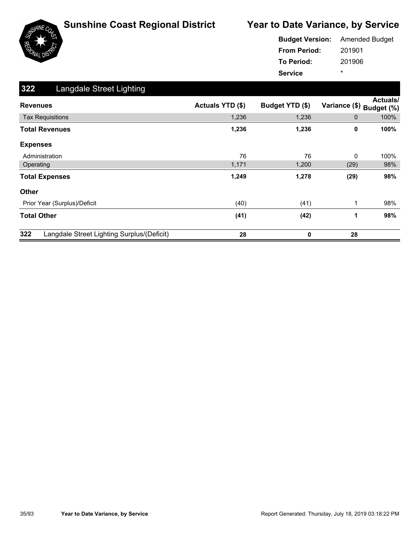

|                     | <b>Budget Version:</b> Amended Budget |
|---------------------|---------------------------------------|
| <b>From Period:</b> | 201901                                |
| To Period:          | 201906                                |
| <b>Service</b>      | ÷                                     |

| 322<br>Langdale Street Lighting                   |                  |                 |               |                               |
|---------------------------------------------------|------------------|-----------------|---------------|-------------------------------|
| <b>Revenues</b>                                   | Actuals YTD (\$) | Budget YTD (\$) | Variance (\$) | <b>Actuals/</b><br>Budget (%) |
| <b>Tax Requisitions</b>                           | 1,236            | 1,236           | 0             | 100%                          |
| <b>Total Revenues</b>                             | 1,236            | 1,236           | 0             | 100%                          |
| <b>Expenses</b>                                   |                  |                 |               |                               |
| Administration                                    | 76               | 76              | 0             | 100%                          |
| Operating                                         | 1,171            | 1,200           | (29)          | 98%                           |
| <b>Total Expenses</b>                             | 1,249            | 1,278           | (29)          | 98%                           |
| Other                                             |                  |                 |               |                               |
| Prior Year (Surplus)/Deficit                      | (40)             | (41)            | 1             | 98%                           |
| <b>Total Other</b>                                | (41)             | (42)            | 1             | 98%                           |
| 322<br>Langdale Street Lighting Surplus/(Deficit) | 28               | 0               | 28            |                               |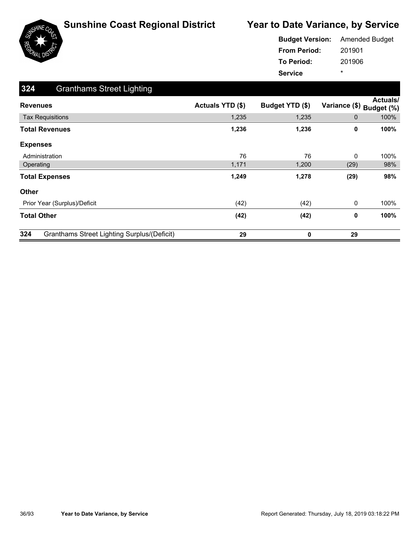

|                     | <b>Budget Version:</b> Amended Budget |
|---------------------|---------------------------------------|
| <b>From Period:</b> | 201901                                |
| <b>To Period:</b>   | 201906                                |
| <b>Service</b>      | ÷                                     |

| 324<br><b>Granthams Street Lighting</b>                   |                  |                 |                          |          |
|-----------------------------------------------------------|------------------|-----------------|--------------------------|----------|
| <b>Revenues</b>                                           | Actuals YTD (\$) | Budget YTD (\$) | Variance (\$) Budget (%) | Actuals/ |
| <b>Tax Requisitions</b>                                   | 1,235            | 1,235           | $\mathbf{0}$             | 100%     |
| <b>Total Revenues</b>                                     | 1,236            | 1,236           | 0                        | 100%     |
| <b>Expenses</b>                                           |                  |                 |                          |          |
| Administration                                            | 76               | 76              | $\Omega$                 | 100%     |
| Operating                                                 | 1,171            | 1,200           | (29)                     | 98%      |
| <b>Total Expenses</b>                                     | 1,249            | 1,278           | (29)                     | 98%      |
| <b>Other</b>                                              |                  |                 |                          |          |
| Prior Year (Surplus)/Deficit                              | (42)             | (42)            | $\mathbf 0$              | 100%     |
| <b>Total Other</b>                                        | (42)             | (42)            | $\mathbf 0$              | 100%     |
| 324<br><b>Granthams Street Lighting Surplus/(Deficit)</b> | 29               | 0               | 29                       |          |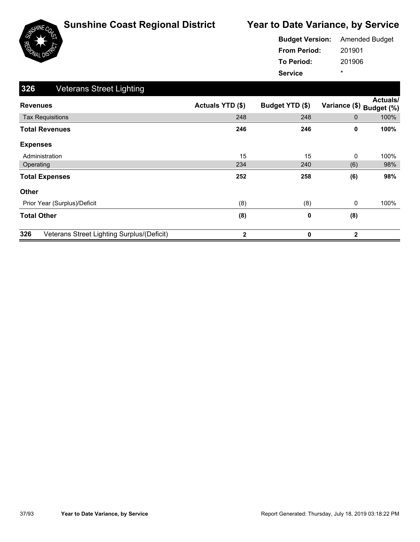

| <b>Budget Version:</b> | <b>Amended Budget</b> |
|------------------------|-----------------------|
| <b>From Period:</b>    | 201901                |
| <b>To Period:</b>      | 201906                |
| <b>Service</b>         | ÷                     |

| 326<br><b>Veterans Street Lighting</b>            |                  |                 |               |                        |
|---------------------------------------------------|------------------|-----------------|---------------|------------------------|
| <b>Revenues</b>                                   | Actuals YTD (\$) | Budget YTD (\$) | Variance (\$) | Actuals/<br>Budget (%) |
| <b>Tax Requisitions</b>                           | 248              | 248             | 0             | 100%                   |
| <b>Total Revenues</b>                             | 246              | 246             | 0             | 100%                   |
| <b>Expenses</b>                                   |                  |                 |               |                        |
| Administration                                    | 15               | 15              | 0             | 100%                   |
| Operating                                         | 234              | 240             | (6)           | 98%                    |
| <b>Total Expenses</b>                             | 252              | 258             | (6)           | 98%                    |
| Other                                             |                  |                 |               |                        |
| Prior Year (Surplus)/Deficit                      | (8)              | (8)             | 0             | 100%                   |
| <b>Total Other</b>                                | (8)              | 0               | (8)           |                        |
| 326<br>Veterans Street Lighting Surplus/(Deficit) | $\mathbf{2}$     | 0               | $\mathbf{2}$  |                        |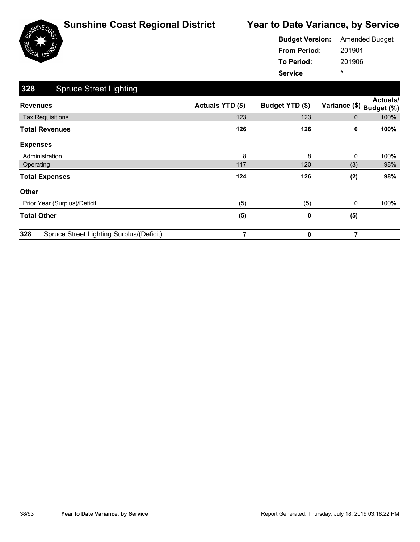

|                     | <b>Budget Version:</b> Amended Budget |
|---------------------|---------------------------------------|
| <b>From Period:</b> | 201901                                |
| To Period:          | 201906                                |
| <b>Service</b>      | ÷                                     |

| 328<br><b>Spruce Street Lighting</b>            |                  |                 |               |                               |
|-------------------------------------------------|------------------|-----------------|---------------|-------------------------------|
| <b>Revenues</b>                                 | Actuals YTD (\$) | Budget YTD (\$) | Variance (\$) | <b>Actuals/</b><br>Budget (%) |
| <b>Tax Requisitions</b>                         | 123              | 123             | 0             | 100%                          |
| <b>Total Revenues</b>                           | 126              | 126             | 0             | 100%                          |
| <b>Expenses</b>                                 |                  |                 |               |                               |
| Administration                                  | 8                | 8               | 0             | 100%                          |
| Operating                                       | 117              | 120             | (3)           | 98%                           |
| <b>Total Expenses</b>                           | 124              | 126             | (2)           | 98%                           |
| <b>Other</b>                                    |                  |                 |               |                               |
| Prior Year (Surplus)/Deficit                    | (5)              | (5)             | 0             | 100%                          |
| <b>Total Other</b>                              | (5)              | 0               | (5)           |                               |
| 328<br>Spruce Street Lighting Surplus/(Deficit) | 7                | 0               | 7             |                               |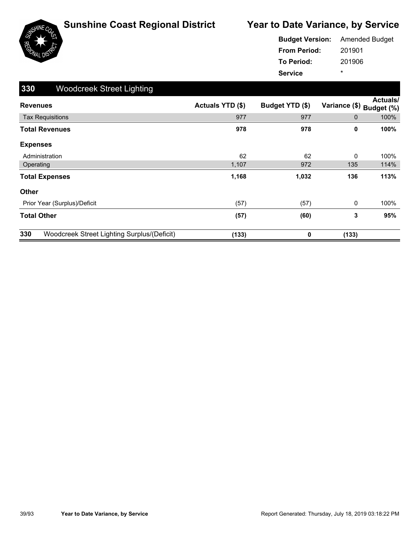



201901 201906 **From Period: To Period: Service** \* **Budget Version:** Amended Budget

| 330<br><b>Woodcreek Street Lighting</b>            |                         |                 |               |                        |
|----------------------------------------------------|-------------------------|-----------------|---------------|------------------------|
| <b>Revenues</b>                                    | <b>Actuals YTD (\$)</b> | Budget YTD (\$) | Variance (\$) | Actuals/<br>Budget (%) |
| <b>Tax Requisitions</b>                            | 977                     | 977             | $\mathbf{0}$  | 100%                   |
| <b>Total Revenues</b>                              | 978                     | 978             | 0             | 100%                   |
| <b>Expenses</b>                                    |                         |                 |               |                        |
| Administration                                     | 62                      | 62              | $\mathbf{0}$  | 100%                   |
| Operating                                          | 1,107                   | 972             | 135           | 114%                   |
| <b>Total Expenses</b>                              | 1,168                   | 1,032           | 136           | 113%                   |
| <b>Other</b>                                       |                         |                 |               |                        |
| Prior Year (Surplus)/Deficit                       | (57)                    | (57)            | $\mathbf 0$   | 100%                   |
| <b>Total Other</b>                                 | (57)                    | (60)            | 3             | 95%                    |
| 330<br>Woodcreek Street Lighting Surplus/(Deficit) | (133)                   | 0               | (133)         |                        |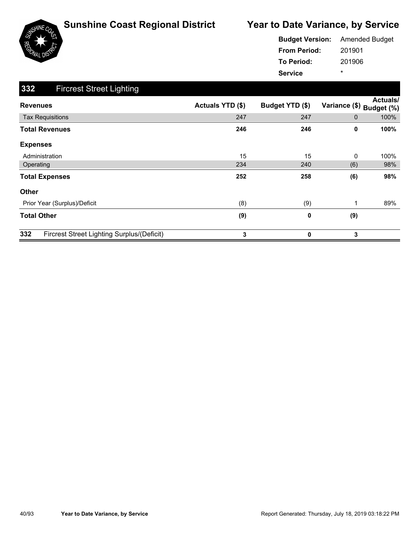

|                     | <b>Budget Version:</b> Amended Budget |
|---------------------|---------------------------------------|
| <b>From Period:</b> | 201901                                |
| <b>To Period:</b>   | 201906                                |
| <b>Service</b>      | ÷                                     |

| 332<br><b>Fircrest Street Lighting</b>            |                  |                 |                          |                 |
|---------------------------------------------------|------------------|-----------------|--------------------------|-----------------|
| <b>Revenues</b>                                   | Actuals YTD (\$) | Budget YTD (\$) | Variance (\$) Budget (%) | <b>Actuals/</b> |
| <b>Tax Requisitions</b>                           | 247              | 247             | 0                        | 100%            |
| <b>Total Revenues</b>                             | 246              | 246             | 0                        | 100%            |
| <b>Expenses</b>                                   |                  |                 |                          |                 |
| Administration                                    | 15               | 15              | 0                        | 100%            |
| Operating                                         | 234              | 240             | (6)                      | 98%             |
| <b>Total Expenses</b>                             | 252              | 258             | (6)                      | 98%             |
| <b>Other</b>                                      |                  |                 |                          |                 |
| Prior Year (Surplus)/Deficit                      | (8)              | (9)             | 1                        | 89%             |
| <b>Total Other</b>                                | (9)              | 0               | (9)                      |                 |
| 332<br>Fircrest Street Lighting Surplus/(Deficit) | 3                | 0               | 3                        |                 |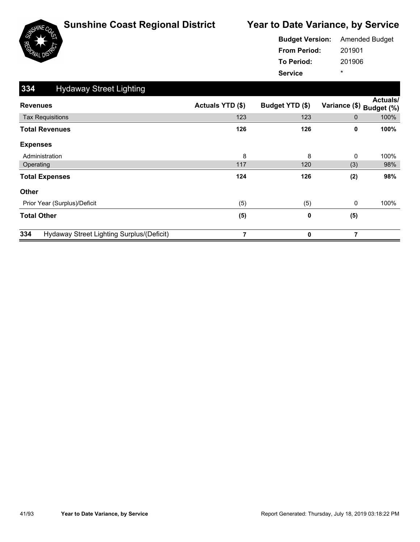

|                     | <b>Budget Version:</b> Amended Budget |
|---------------------|---------------------------------------|
| <b>From Period:</b> | 201901                                |
| <b>To Period:</b>   | 201906                                |
| <b>Service</b>      | ÷                                     |

| 334<br><b>Hydaway Street Lighting</b>            |                  |                 |               |                               |
|--------------------------------------------------|------------------|-----------------|---------------|-------------------------------|
| <b>Revenues</b>                                  | Actuals YTD (\$) | Budget YTD (\$) | Variance (\$) | <b>Actuals/</b><br>Budget (%) |
| <b>Tax Requisitions</b>                          | 123              | 123             | 0             | 100%                          |
| <b>Total Revenues</b>                            | 126              | 126             | 0             | 100%                          |
| <b>Expenses</b>                                  |                  |                 |               |                               |
| Administration                                   | 8                | 8               | 0             | 100%                          |
| Operating                                        | 117              | 120             | (3)           | 98%                           |
| <b>Total Expenses</b>                            | 124              | 126             | (2)           | 98%                           |
| <b>Other</b>                                     |                  |                 |               |                               |
| Prior Year (Surplus)/Deficit                     | (5)              | (5)             | 0             | 100%                          |
| <b>Total Other</b>                               | (5)              | 0               | (5)           |                               |
| 334<br>Hydaway Street Lighting Surplus/(Deficit) | 7                | 0               | 7             |                               |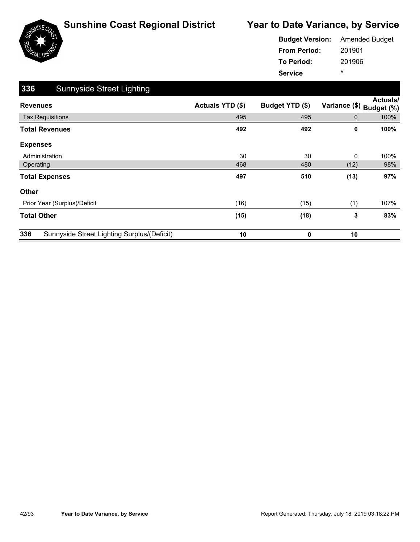

|                     | <b>Budget Version:</b> Amended Budget |
|---------------------|---------------------------------------|
| <b>From Period:</b> | 201901                                |
| To Period:          | 201906                                |
| <b>Service</b>      | ÷                                     |

| 336<br><b>Sunnyside Street Lighting</b>            |                  |                 |               |                               |
|----------------------------------------------------|------------------|-----------------|---------------|-------------------------------|
| <b>Revenues</b>                                    | Actuals YTD (\$) | Budget YTD (\$) | Variance (\$) | <b>Actuals/</b><br>Budget (%) |
| <b>Tax Requisitions</b>                            | 495              | 495             | 0             | 100%                          |
| <b>Total Revenues</b>                              | 492              | 492             | 0             | 100%                          |
| <b>Expenses</b>                                    |                  |                 |               |                               |
| Administration                                     | 30               | 30              | 0             | 100%                          |
| Operating                                          | 468              | 480             | (12)          | 98%                           |
| <b>Total Expenses</b>                              | 497              | 510             | (13)          | 97%                           |
| <b>Other</b>                                       |                  |                 |               |                               |
| Prior Year (Surplus)/Deficit                       | (16)             | (15)            | (1)           | 107%                          |
| <b>Total Other</b>                                 | (15)             | (18)            | 3             | 83%                           |
| 336<br>Sunnyside Street Lighting Surplus/(Deficit) | 10               | 0               | 10            |                               |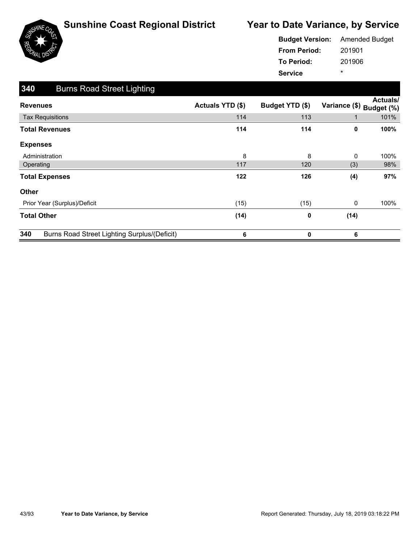

|                     | <b>Budget Version:</b> Amended Budget |
|---------------------|---------------------------------------|
| <b>From Period:</b> | 201901                                |
| <b>To Period:</b>   | 201906                                |
| <b>Service</b>      | ÷                                     |

| 340<br><b>Burns Road Street Lighting</b>                   |                         |                 |                          |          |
|------------------------------------------------------------|-------------------------|-----------------|--------------------------|----------|
| <b>Revenues</b>                                            | <b>Actuals YTD (\$)</b> | Budget YTD (\$) | Variance (\$) Budget (%) | Actuals/ |
| <b>Tax Requisitions</b>                                    | 114                     | 113             | 1                        | 101%     |
| <b>Total Revenues</b>                                      | 114                     | 114             | 0                        | 100%     |
| <b>Expenses</b>                                            |                         |                 |                          |          |
| Administration                                             | 8                       | 8               | $\Omega$                 | 100%     |
| Operating                                                  | 117                     | 120             | (3)                      | 98%      |
| <b>Total Expenses</b>                                      | 122                     | 126             | (4)                      | 97%      |
| <b>Other</b>                                               |                         |                 |                          |          |
| Prior Year (Surplus)/Deficit                               | (15)                    | (15)            | 0                        | 100%     |
| <b>Total Other</b>                                         | (14)                    | 0               | (14)                     |          |
| 340<br><b>Burns Road Street Lighting Surplus/(Deficit)</b> | 6                       | 0               | 6                        |          |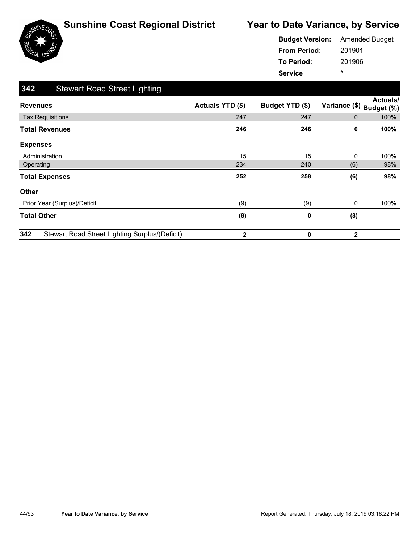

|                     | <b>Budget Version:</b> Amended Budget |
|---------------------|---------------------------------------|
| <b>From Period:</b> | 201901                                |
| To Period:          | 201906                                |
| <b>Service</b>      | ÷                                     |

| 342<br><b>Stewart Road Street Lighting</b>            |                  |                 |               |                               |
|-------------------------------------------------------|------------------|-----------------|---------------|-------------------------------|
| <b>Revenues</b>                                       | Actuals YTD (\$) | Budget YTD (\$) | Variance (\$) | <b>Actuals/</b><br>Budget (%) |
| <b>Tax Requisitions</b>                               | 247              | 247             | 0             | 100%                          |
| <b>Total Revenues</b>                                 | 246              | 246             | 0             | 100%                          |
| <b>Expenses</b>                                       |                  |                 |               |                               |
| Administration                                        | 15               | 15              | 0             | 100%                          |
| Operating                                             | 234              | 240             | (6)           | 98%                           |
| <b>Total Expenses</b>                                 | 252              | 258             | (6)           | 98%                           |
| <b>Other</b>                                          |                  |                 |               |                               |
| Prior Year (Surplus)/Deficit                          | (9)              | (9)             | 0             | 100%                          |
| <b>Total Other</b>                                    | (8)              | 0               | (8)           |                               |
| 342<br>Stewart Road Street Lighting Surplus/(Deficit) | $\mathbf{2}$     | 0               | $\mathbf{2}$  |                               |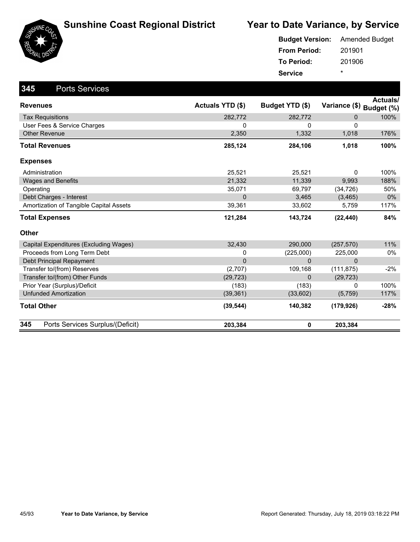



|                     | <b>Budget Version:</b> Amended Budget |
|---------------------|---------------------------------------|
| <b>From Period:</b> | 201901                                |
| To Period:          | 201906                                |
| <b>Service</b>      | *                                     |

| 345<br><b>Ports Services</b>            |                         |                 |                          |                 |
|-----------------------------------------|-------------------------|-----------------|--------------------------|-----------------|
| <b>Revenues</b>                         | <b>Actuals YTD (\$)</b> | Budget YTD (\$) | Variance (\$) Budget (%) | <b>Actuals/</b> |
| <b>Tax Requisitions</b>                 | 282,772                 | 282,772         | $\mathbf{0}$             | 100%            |
| User Fees & Service Charges             | 0                       | 0               | $\Omega$                 |                 |
| <b>Other Revenue</b>                    | 2,350                   | 1,332           | 1,018                    | 176%            |
| <b>Total Revenues</b>                   | 285,124                 | 284,106         | 1,018                    | 100%            |
| <b>Expenses</b>                         |                         |                 |                          |                 |
| Administration                          | 25,521                  | 25,521          | 0                        | 100%            |
| <b>Wages and Benefits</b>               | 21,332                  | 11,339          | 9,993                    | 188%            |
| Operating                               | 35,071                  | 69,797          | (34, 726)                | 50%             |
| Debt Charges - Interest                 | $\mathbf{0}$            | 3,465           | (3, 465)                 | $0\%$           |
| Amortization of Tangible Capital Assets | 39,361                  | 33,602          | 5,759                    | 117%            |
| <b>Total Expenses</b>                   | 121,284                 | 143,724         | (22, 440)                | 84%             |
| Other                                   |                         |                 |                          |                 |
| Capital Expenditures (Excluding Wages)  | 32,430                  | 290,000         | (257, 570)               | 11%             |
| Proceeds from Long Term Debt            | 0                       | (225,000)       | 225,000                  | 0%              |
| Debt Principal Repayment                | $\mathbf{0}$            | $\mathbf{0}$    | $\mathbf{0}$             |                 |
| Transfer to/(from) Reserves             | (2,707)                 | 109,168         | (111, 875)               | $-2\%$          |
| Transfer to/(from) Other Funds          | (29, 723)               | $\mathbf 0$     | (29, 723)                |                 |
| Prior Year (Surplus)/Deficit            | (183)                   | (183)           | $\Omega$                 | 100%            |
| <b>Unfunded Amortization</b>            | (39, 361)               | (33,602)        | (5,759)                  | 117%            |
| <b>Total Other</b>                      | (39, 544)               | 140,382         | (179, 926)               | $-28%$          |
| 345<br>Ports Services Surplus/(Deficit) | 203,384                 | $\mathbf 0$     | 203,384                  |                 |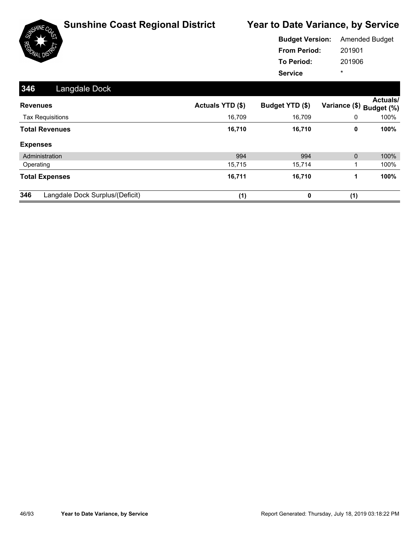

|                     | <b>Budget Version:</b> Amended Budget |
|---------------------|---------------------------------------|
| <b>From Period:</b> | 201901                                |
| <b>To Period:</b>   | 201906                                |
| <b>Service</b>      | ÷                                     |

| 346<br>Langdale Dock                   |                  |                 |                                             |
|----------------------------------------|------------------|-----------------|---------------------------------------------|
| <b>Revenues</b>                        | Actuals YTD (\$) | Budget YTD (\$) | <b>Actuals/</b><br>Variance (\$) Budget (%) |
| <b>Tax Requisitions</b>                | 16,709           | 16,709          | 100%<br>0                                   |
| <b>Total Revenues</b>                  | 16,710           | 16,710          | 100%<br>0                                   |
| <b>Expenses</b>                        |                  |                 |                                             |
| Administration                         | 994              | 994             | 100%<br>$\mathbf{0}$                        |
| Operating                              | 15,715           | 15,714          | 100%                                        |
| <b>Total Expenses</b>                  | 16,711           | 16,710          | 100%<br>1                                   |
| 346<br>Langdale Dock Surplus/(Deficit) | (1)              | $\Omega$        | (1)                                         |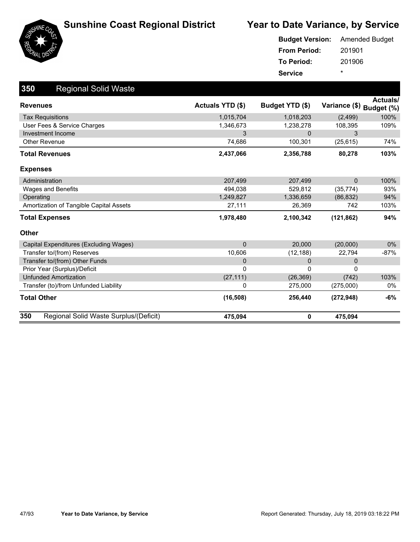



|                     | <b>Budget Version:</b> Amended Budget |
|---------------------|---------------------------------------|
| <b>From Period:</b> | 201901                                |
| <b>To Period:</b>   | 201906                                |
| <b>Service</b>      | $\star$                               |

| 350<br><b>Regional Solid Waste</b>            |                         |                 |                          |          |
|-----------------------------------------------|-------------------------|-----------------|--------------------------|----------|
| <b>Revenues</b>                               | <b>Actuals YTD (\$)</b> | Budget YTD (\$) | Variance (\$) Budget (%) | Actuals/ |
| <b>Tax Requisitions</b>                       | 1,015,704               | 1,018,203       | (2, 499)                 | 100%     |
| User Fees & Service Charges                   | 1,346,673               | 1,238,278       | 108,395                  | 109%     |
| Investment Income                             | 3                       | $\mathbf{0}$    | 3                        |          |
| <b>Other Revenue</b>                          | 74,686                  | 100,301         | (25, 615)                | 74%      |
| <b>Total Revenues</b>                         | 2,437,066               | 2,356,788       | 80,278                   | 103%     |
| <b>Expenses</b>                               |                         |                 |                          |          |
| Administration                                | 207,499                 | 207,499         | $\Omega$                 | 100%     |
| <b>Wages and Benefits</b>                     | 494,038                 | 529,812         | (35, 774)                | 93%      |
| Operating                                     | 1,249,827               | 1,336,659       | (86, 832)                | 94%      |
| Amortization of Tangible Capital Assets       | 27,111                  | 26,369          | 742                      | 103%     |
| <b>Total Expenses</b>                         | 1,978,480               | 2,100,342       | (121, 862)               | 94%      |
| Other                                         |                         |                 |                          |          |
| Capital Expenditures (Excluding Wages)        | $\Omega$                | 20,000          | (20,000)                 | $0\%$    |
| Transfer to/(from) Reserves                   | 10,606                  | (12, 188)       | 22,794                   | $-87%$   |
| Transfer to/(from) Other Funds                | $\mathbf 0$             | $\mathbf{0}$    | 0                        |          |
| Prior Year (Surplus)/Deficit                  | $\mathbf{0}$            | 0               | 0                        |          |
| <b>Unfunded Amortization</b>                  | (27, 111)               | (26, 369)       | (742)                    | 103%     |
| Transfer (to)/from Unfunded Liability         | 0                       | 275,000         | (275,000)                | 0%       |
| <b>Total Other</b>                            | (16, 508)               | 256,440         | (272, 948)               | -6%      |
| 350<br>Regional Solid Waste Surplus/(Deficit) | 475,094                 | $\mathbf 0$     | 475,094                  |          |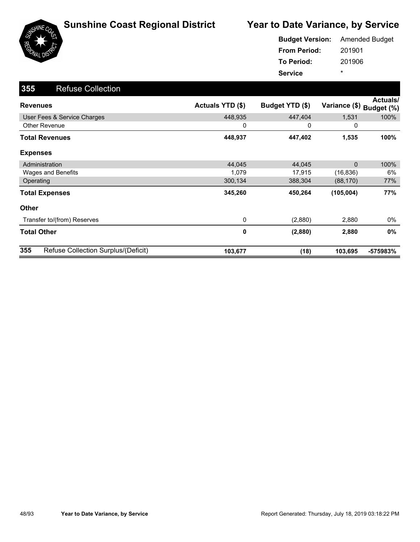

|                     | <b>Budget Version:</b> Amended Budget |
|---------------------|---------------------------------------|
| <b>From Period:</b> | 201901                                |
| To Period:          | 201906                                |
| <b>Service</b>      | ÷                                     |

| 355<br><b>Refuse Collection</b>            |                  |                 |               |                               |
|--------------------------------------------|------------------|-----------------|---------------|-------------------------------|
| <b>Revenues</b>                            | Actuals YTD (\$) | Budget YTD (\$) | Variance (\$) | <b>Actuals/</b><br>Budget (%) |
| User Fees & Service Charges                | 448,935          | 447,404         | 1,531         | 100%                          |
| <b>Other Revenue</b>                       | 0                | 0               | 0             |                               |
| <b>Total Revenues</b>                      | 448,937          | 447,402         | 1,535         | 100%                          |
| <b>Expenses</b>                            |                  |                 |               |                               |
| Administration                             | 44,045           | 44,045          | $\mathbf{0}$  | 100%                          |
| Wages and Benefits                         | 1,079            | 17,915          | (16, 836)     | 6%                            |
| Operating                                  | 300,134          | 388,304         | (88, 170)     | 77%                           |
| <b>Total Expenses</b>                      | 345,260          | 450,264         | (105, 004)    | 77%                           |
| <b>Other</b>                               |                  |                 |               |                               |
| Transfer to/(from) Reserves                | 0                | (2,880)         | 2,880         | 0%                            |
| <b>Total Other</b>                         | 0                | (2,880)         | 2,880         | 0%                            |
| 355<br>Refuse Collection Surplus/(Deficit) | 103,677          | (18)            | 103,695       | -575983%                      |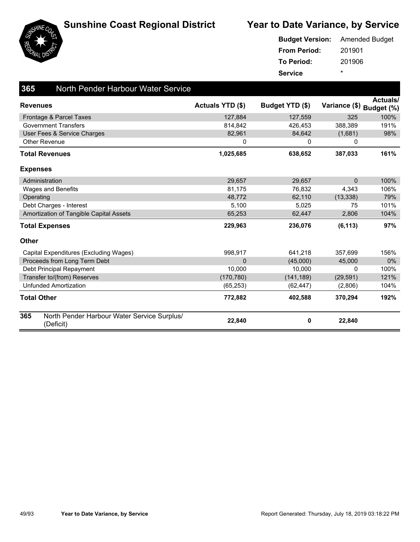



| <b>Budget Version:</b> | <b>Amended Budget</b> |
|------------------------|-----------------------|
| <b>From Period:</b>    | 201901                |
| <b>To Period:</b>      | 201906                |
| <b>Service</b>         | ÷                     |

| 365             | <b>North Pender Harbour Water Service</b>                |                  |                 |                          |          |
|-----------------|----------------------------------------------------------|------------------|-----------------|--------------------------|----------|
| <b>Revenues</b> |                                                          | Actuals YTD (\$) | Budget YTD (\$) | Variance (\$) Budget (%) | Actuals/ |
|                 | Frontage & Parcel Taxes                                  | 127,884          | 127,559         | 325                      | 100%     |
|                 | <b>Government Transfers</b>                              | 814,842          | 426,453         | 388,389                  | 191%     |
|                 | User Fees & Service Charges                              | 82,961           | 84,642          | (1,681)                  | 98%      |
|                 | <b>Other Revenue</b>                                     | 0                | 0               | 0                        |          |
|                 | <b>Total Revenues</b>                                    | 1,025,685        | 638,652         | 387,033                  | 161%     |
| <b>Expenses</b> |                                                          |                  |                 |                          |          |
|                 | Administration                                           | 29,657           | 29,657          | $\Omega$                 | 100%     |
|                 | <b>Wages and Benefits</b>                                | 81,175           | 76,832          | 4,343                    | 106%     |
| Operating       |                                                          | 48,772           | 62,110          | (13, 338)                | 79%      |
|                 | Debt Charges - Interest                                  | 5,100            | 5,025           | 75                       | 101%     |
|                 | Amortization of Tangible Capital Assets                  | 65,253           | 62,447          | 2,806                    | 104%     |
|                 | <b>Total Expenses</b>                                    | 229,963          | 236,076         | (6, 113)                 | 97%      |
| <b>Other</b>    |                                                          |                  |                 |                          |          |
|                 | Capital Expenditures (Excluding Wages)                   | 998,917          | 641,218         | 357,699                  | 156%     |
|                 | Proceeds from Long Term Debt                             | $\mathbf 0$      | (45,000)        | 45,000                   | $0\%$    |
|                 | Debt Principal Repayment                                 | 10,000           | 10,000          | 0                        | 100%     |
|                 | Transfer to/(from) Reserves                              | (170, 780)       | (141, 189)      | (29, 591)                | 121%     |
|                 | <b>Unfunded Amortization</b>                             | (65, 253)        | (62, 447)       | (2,806)                  | 104%     |
|                 | <b>Total Other</b>                                       | 772,882          | 402,588         | 370,294                  | 192%     |
| 365             | North Pender Harbour Water Service Surplus/<br>(Deficit) | 22,840           | 0               | 22,840                   |          |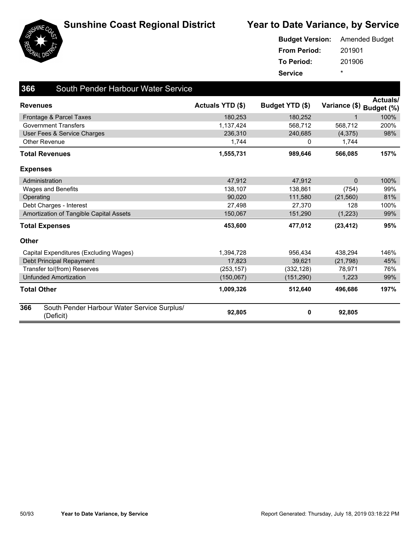





| <b>Budget Version:</b> | <b>Amended Budget</b> |
|------------------------|-----------------------|
| <b>From Period:</b>    | 201901                |
| <b>To Period:</b>      | 201906                |
| <b>Service</b>         | ÷                     |

| 366             | South Pender Harbour Water Service                       |                         |                 |                          |          |
|-----------------|----------------------------------------------------------|-------------------------|-----------------|--------------------------|----------|
| <b>Revenues</b> |                                                          | <b>Actuals YTD (\$)</b> | Budget YTD (\$) | Variance (\$) Budget (%) | Actuals/ |
|                 | Frontage & Parcel Taxes                                  | 180,253                 | 180,252         | 1                        | 100%     |
|                 | <b>Government Transfers</b>                              | 1,137,424               | 568,712         | 568,712                  | 200%     |
|                 | User Fees & Service Charges                              | 236,310                 | 240,685         | (4,375)                  | 98%      |
|                 | <b>Other Revenue</b>                                     | 1,744                   | 0               | 1,744                    |          |
|                 | <b>Total Revenues</b>                                    | 1,555,731               | 989,646         | 566,085                  | 157%     |
| <b>Expenses</b> |                                                          |                         |                 |                          |          |
|                 | Administration                                           | 47,912                  | 47,912          | $\Omega$                 | 100%     |
|                 | <b>Wages and Benefits</b>                                | 138,107                 | 138,861         | (754)                    | 99%      |
| Operating       |                                                          | 90,020                  | 111,580         | (21, 560)                | 81%      |
|                 | Debt Charges - Interest                                  | 27,498                  | 27,370          | 128                      | 100%     |
|                 | Amortization of Tangible Capital Assets                  | 150,067                 | 151,290         | (1,223)                  | 99%      |
|                 | <b>Total Expenses</b>                                    | 453,600                 | 477,012         | (23, 412)                | 95%      |
| <b>Other</b>    |                                                          |                         |                 |                          |          |
|                 | Capital Expenditures (Excluding Wages)                   | 1,394,728               | 956,434         | 438,294                  | 146%     |
|                 | Debt Principal Repayment                                 | 17,823                  | 39,621          | (21, 798)                | 45%      |
|                 | Transfer to/(from) Reserves                              | (253, 157)              | (332, 128)      | 78,971                   | 76%      |
|                 | <b>Unfunded Amortization</b>                             | (150,067)               | (151, 290)      | 1,223                    | 99%      |
|                 | <b>Total Other</b>                                       | 1,009,326               | 512,640         | 496,686                  | 197%     |
| 366             | South Pender Harbour Water Service Surplus/<br>(Deficit) | 92,805                  | 0               | 92,805                   |          |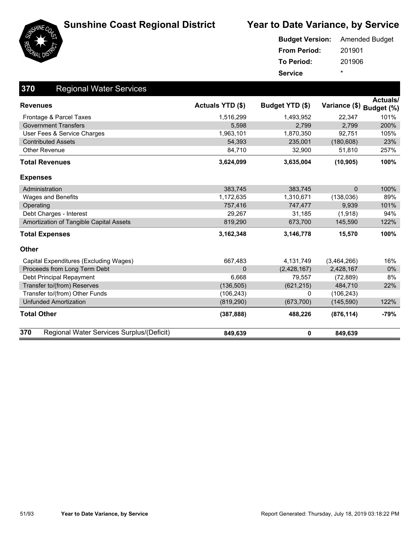





|                     | <b>Budget Version:</b> Amended Budget |  |  |
|---------------------|---------------------------------------|--|--|
| <b>From Period:</b> | 201901                                |  |  |
| <b>To Period:</b>   | 201906                                |  |  |
| <b>Service</b>      | ÷                                     |  |  |

| 370<br><b>Regional Water Services</b>            |                  |                 |                          |                 |
|--------------------------------------------------|------------------|-----------------|--------------------------|-----------------|
| <b>Revenues</b>                                  | Actuals YTD (\$) | Budget YTD (\$) | Variance (\$) Budget (%) | <b>Actuals/</b> |
| Frontage & Parcel Taxes                          | 1,516,299        | 1,493,952       | 22,347                   | 101%            |
| <b>Government Transfers</b>                      | 5,598            | 2,799           | 2,799                    | 200%            |
| User Fees & Service Charges                      | 1,963,101        | 1,870,350       | 92,751                   | 105%            |
| <b>Contributed Assets</b>                        | 54,393           | 235,001         | (180, 608)               | 23%             |
| <b>Other Revenue</b>                             | 84,710           | 32,900          | 51,810                   | 257%            |
| <b>Total Revenues</b>                            | 3,624,099        | 3,635,004       | (10, 905)                | 100%            |
| <b>Expenses</b>                                  |                  |                 |                          |                 |
| Administration                                   | 383,745          | 383,745         | $\Omega$                 | 100%            |
| <b>Wages and Benefits</b>                        | 1,172,635        | 1,310,671       | (138, 036)               | 89%             |
| Operating                                        | 757,416          | 747,477         | 9,939                    | 101%            |
| Debt Charges - Interest                          | 29,267           | 31,185          | (1,918)                  | 94%             |
| Amortization of Tangible Capital Assets          | 819,290          | 673,700         | 145,590                  | 122%            |
| <b>Total Expenses</b>                            | 3,162,348        | 3,146,778       | 15,570                   | 100%            |
| <b>Other</b>                                     |                  |                 |                          |                 |
| Capital Expenditures (Excluding Wages)           | 667,483          | 4,131,749       | (3,464,266)              | 16%             |
| Proceeds from Long Term Debt                     | 0                | (2, 428, 167)   | 2,428,167                | 0%              |
| Debt Principal Repayment                         | 6,668            | 79,557          | (72, 889)                | 8%              |
| Transfer to/(from) Reserves                      | (136, 505)       | (621, 215)      | 484,710                  | 22%             |
| Transfer to/(from) Other Funds                   | (106, 243)       | 0               | (106, 243)               |                 |
| <b>Unfunded Amortization</b>                     | (819, 290)       | (673, 700)      | (145, 590)               | 122%            |
| <b>Total Other</b>                               | (387, 888)       | 488,226         | (876, 114)               | -79%            |
| 370<br>Regional Water Services Surplus/(Deficit) | 849,639          | 0               | 849,639                  |                 |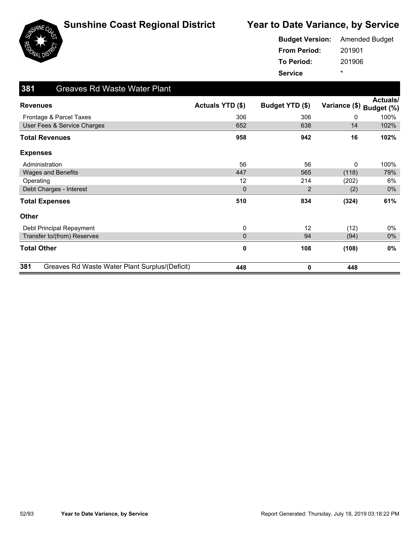



| <b>Budget Version:</b> | <b>Amended Budget</b> |
|------------------------|-----------------------|
| <b>From Period:</b>    | 201901                |
| <b>To Period:</b>      | 201906                |
| <b>Service</b>         | ÷                     |

| 381<br><b>Greaves Rd Waste Water Plant</b>            |                         |                 |               |                               |
|-------------------------------------------------------|-------------------------|-----------------|---------------|-------------------------------|
| <b>Revenues</b>                                       | <b>Actuals YTD (\$)</b> | Budget YTD (\$) | Variance (\$) | <b>Actuals/</b><br>Budget (%) |
| Frontage & Parcel Taxes                               | 306                     | 306             | 0             | 100%                          |
| User Fees & Service Charges                           | 652                     | 638             | 14            | 102%                          |
| <b>Total Revenues</b>                                 | 958                     | 942             | 16            | 102%                          |
| <b>Expenses</b>                                       |                         |                 |               |                               |
| Administration                                        | 56                      | 56              | 0             | 100%                          |
| <b>Wages and Benefits</b>                             | 447                     | 565             | (118)         | 79%                           |
| Operating                                             | 12                      | 214             | (202)         | 6%                            |
| Debt Charges - Interest                               | $\mathbf 0$             | $\overline{2}$  | (2)           | $0\%$                         |
| <b>Total Expenses</b>                                 | 510                     | 834             | (324)         | 61%                           |
| <b>Other</b>                                          |                         |                 |               |                               |
| Debt Principal Repayment                              | 0                       | 12              | (12)          | 0%                            |
| Transfer to/(from) Reserves                           | $\mathbf{0}$            | 94              | (94)          | $0\%$                         |
| <b>Total Other</b>                                    | $\mathbf 0$             | 108             | (108)         | 0%                            |
| 381<br>Greaves Rd Waste Water Plant Surplus/(Deficit) | 448                     | 0               | 448           |                               |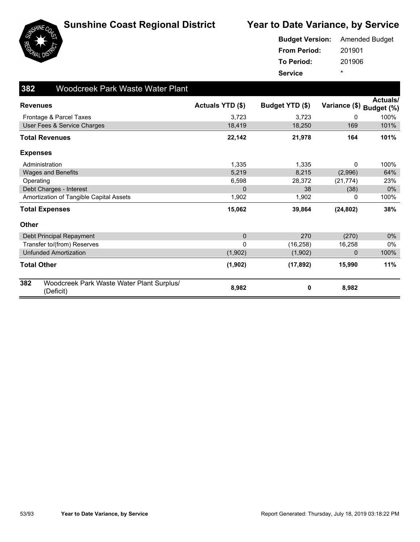



|                     | <b>Budget Version:</b> Amended Budget |
|---------------------|---------------------------------------|
| <b>From Period:</b> | 201901                                |
| <b>To Period:</b>   | 201906                                |
| <b>Service</b>      | ÷                                     |

| 382             | Woodcreek Park Waste Water Plant                       |                  |                 |               |                               |
|-----------------|--------------------------------------------------------|------------------|-----------------|---------------|-------------------------------|
|                 | <b>Revenues</b>                                        | Actuals YTD (\$) | Budget YTD (\$) | Variance (\$) | <b>Actuals/</b><br>Budget (%) |
|                 | Frontage & Parcel Taxes                                | 3,723            | 3,723           | 0             | 100%                          |
|                 | User Fees & Service Charges                            | 18,419           | 18,250          | 169           | 101%                          |
|                 | <b>Total Revenues</b>                                  | 22,142           | 21,978          | 164           | 101%                          |
| <b>Expenses</b> |                                                        |                  |                 |               |                               |
|                 | Administration                                         | 1,335            | 1,335           | 0             | 100%                          |
|                 | <b>Wages and Benefits</b>                              | 5,219            | 8,215           | (2,996)       | 64%                           |
|                 | Operating                                              | 6,598            | 28,372          | (21, 774)     | 23%                           |
|                 | Debt Charges - Interest                                | $\Omega$         | 38              | (38)          | $0\%$                         |
|                 | Amortization of Tangible Capital Assets                | 1,902            | 1,902           | 0             | 100%                          |
|                 | <b>Total Expenses</b>                                  | 15,062           | 39,864          | (24, 802)     | 38%                           |
| <b>Other</b>    |                                                        |                  |                 |               |                               |
|                 | Debt Principal Repayment                               | $\mathbf{0}$     | 270             | (270)         | $0\%$                         |
|                 | Transfer to/(from) Reserves                            | 0                | (16, 258)       | 16,258        | 0%                            |
|                 | <b>Unfunded Amortization</b>                           | (1,902)          | (1,902)         | 0             | 100%                          |
|                 | <b>Total Other</b>                                     | (1,902)          | (17, 892)       | 15,990        | 11%                           |
| 382             | Woodcreek Park Waste Water Plant Surplus/<br>(Deficit) | 8,982            | 0               | 8,982         |                               |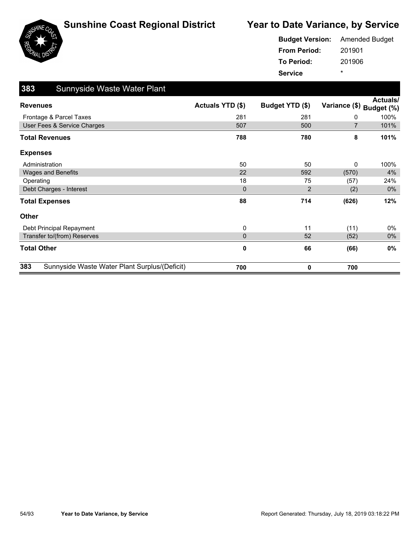



| <b>Budget Version:</b> | <b>Amended Budget</b> |
|------------------------|-----------------------|
| <b>From Period:</b>    | 201901                |
| <b>To Period:</b>      | 201906                |
| <b>Service</b>         | ÷                     |

| 383<br>Sunnyside Waste Water Plant                   |                  |                 |                |                               |
|------------------------------------------------------|------------------|-----------------|----------------|-------------------------------|
| <b>Revenues</b>                                      | Actuals YTD (\$) | Budget YTD (\$) | Variance (\$)  | <b>Actuals/</b><br>Budget (%) |
| Frontage & Parcel Taxes                              | 281              | 281             | 0              | 100%                          |
| User Fees & Service Charges                          | 507              | 500             | $\overline{7}$ | 101%                          |
| <b>Total Revenues</b>                                | 788              | 780             | 8              | 101%                          |
| <b>Expenses</b>                                      |                  |                 |                |                               |
| Administration                                       | 50               | 50              | 0              | 100%                          |
| <b>Wages and Benefits</b>                            | 22               | 592             | (570)          | 4%                            |
| Operating                                            | 18               | 75              | (57)           | 24%                           |
| Debt Charges - Interest                              | $\mathbf 0$      | 2               | (2)            | $0\%$                         |
| <b>Total Expenses</b>                                | 88               | 714             | (626)          | 12%                           |
| <b>Other</b>                                         |                  |                 |                |                               |
| Debt Principal Repayment                             | 0                | 11              | (11)           | $0\%$                         |
| Transfer to/(from) Reserves                          | $\overline{0}$   | 52              | (52)           | $0\%$                         |
| <b>Total Other</b>                                   | $\mathbf 0$      | 66              | (66)           | 0%                            |
| 383<br>Sunnyside Waste Water Plant Surplus/(Deficit) | 700              | 0               | 700            |                               |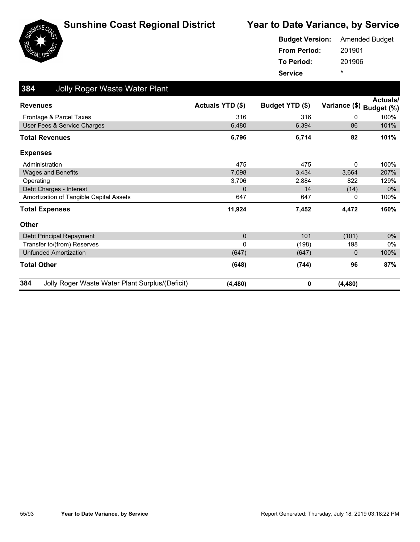





#### 201901 201906 **From Period: To Period: Service** \* **Budget Version:** Amended Budget

| 384<br><b>Jolly Roger Waste Water Plant</b>            |                  |                 |                          |          |
|--------------------------------------------------------|------------------|-----------------|--------------------------|----------|
| <b>Revenues</b>                                        | Actuals YTD (\$) | Budget YTD (\$) | Variance (\$) Budget (%) | Actuals/ |
| Frontage & Parcel Taxes                                | 316              | 316             | 0                        | 100%     |
| User Fees & Service Charges                            | 6,480            | 6,394           | 86                       | 101%     |
| <b>Total Revenues</b>                                  | 6,796            | 6,714           | 82                       | 101%     |
| <b>Expenses</b>                                        |                  |                 |                          |          |
| Administration                                         | 475              | 475             | 0                        | 100%     |
| <b>Wages and Benefits</b>                              | 7,098            | 3,434           | 3.664                    | 207%     |
| Operating                                              | 3,706            | 2,884           | 822                      | 129%     |
| Debt Charges - Interest                                | $\mathbf 0$      | 14              | (14)                     | $0\%$    |
| Amortization of Tangible Capital Assets                | 647              | 647             | 0                        | 100%     |
| <b>Total Expenses</b>                                  | 11,924           | 7,452           | 4,472                    | 160%     |
| <b>Other</b>                                           |                  |                 |                          |          |
| Debt Principal Repayment                               | $\mathbf 0$      | 101             | (101)                    | $0\%$    |
| Transfer to/(from) Reserves                            | 0                | (198)           | 198                      | $0\%$    |
| <b>Unfunded Amortization</b>                           | (647)            | (647)           | 0                        | 100%     |
| <b>Total Other</b>                                     | (648)            | (744)           | 96                       | 87%      |
| 384<br>Jolly Roger Waste Water Plant Surplus/(Deficit) | (4, 480)         | 0               | (4, 480)                 |          |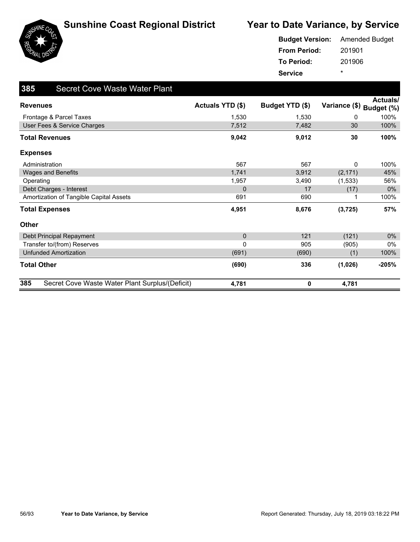



|                     | <b>Budget Version:</b> Amended Budget |
|---------------------|---------------------------------------|
| <b>From Period:</b> | 201901                                |
| <b>To Period:</b>   | 201906                                |
| <b>Service</b>      | ÷                                     |

| 385<br><b>Secret Cove Waste Water Plant</b>            |                  |                 |                          |                 |
|--------------------------------------------------------|------------------|-----------------|--------------------------|-----------------|
| <b>Revenues</b>                                        | Actuals YTD (\$) | Budget YTD (\$) | Variance (\$) Budget (%) | <b>Actuals/</b> |
| Frontage & Parcel Taxes                                | 1,530            | 1.530           | 0                        | 100%            |
| User Fees & Service Charges                            | 7,512            | 7,482           | 30                       | 100%            |
| <b>Total Revenues</b>                                  | 9,042            | 9,012           | 30                       | 100%            |
| <b>Expenses</b>                                        |                  |                 |                          |                 |
| Administration                                         | 567              | 567             | 0                        | 100%            |
| Wages and Benefits                                     | 1,741            | 3,912           | (2, 171)                 | 45%             |
| Operating                                              | 1,957            | 3,490           | (1,533)                  | 56%             |
| Debt Charges - Interest                                | $\mathbf{0}$     | 17              | (17)                     | $0\%$           |
| Amortization of Tangible Capital Assets                | 691              | 690             | 1                        | 100%            |
| <b>Total Expenses</b>                                  | 4,951            | 8,676           | (3, 725)                 | 57%             |
| <b>Other</b>                                           |                  |                 |                          |                 |
| Debt Principal Repayment                               | $\mathbf{0}$     | 121             | (121)                    | 0%              |
| Transfer to/(from) Reserves                            | $\mathbf{0}$     | 905             | (905)                    | 0%              |
| <b>Unfunded Amortization</b>                           | (691)            | (690)           | (1)                      | 100%            |
| <b>Total Other</b>                                     | (690)            | 336             | (1,026)                  | $-205%$         |
| 385<br>Secret Cove Waste Water Plant Surplus/(Deficit) | 4,781            | 0               | 4,781                    |                 |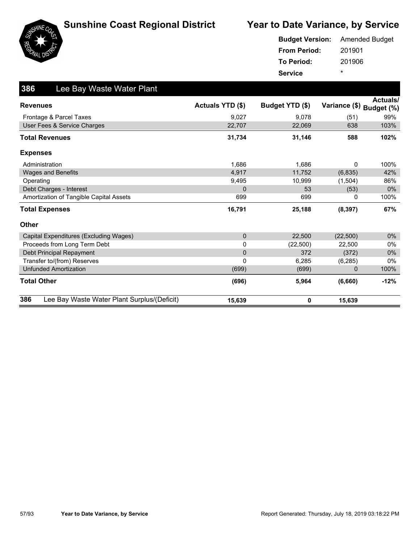



|                     | <b>Budget Version:</b> Amended Budget |
|---------------------|---------------------------------------|
| <b>From Period:</b> | 201901                                |
| To Period:          | 201906                                |
| <b>Service</b>      | ÷                                     |

| 386<br>Lee Bay Waste Water Plant                   |                  |                 |               |                               |
|----------------------------------------------------|------------------|-----------------|---------------|-------------------------------|
| <b>Revenues</b>                                    | Actuals YTD (\$) | Budget YTD (\$) | Variance (\$) | <b>Actuals/</b><br>Budget (%) |
| Frontage & Parcel Taxes                            | 9,027            | 9,078           | (51)          | 99%                           |
| User Fees & Service Charges                        | 22,707           | 22,069          | 638           | 103%                          |
| <b>Total Revenues</b>                              | 31,734           | 31,146          | 588           | 102%                          |
| <b>Expenses</b>                                    |                  |                 |               |                               |
| Administration                                     | 1,686            | 1,686           | 0             | 100%                          |
| <b>Wages and Benefits</b>                          | 4,917            | 11,752          | (6, 835)      | 42%                           |
| Operating                                          | 9,495            | 10,999          | (1,504)       | 86%                           |
| Debt Charges - Interest                            | 0                | 53              | (53)          | $0\%$                         |
| Amortization of Tangible Capital Assets            | 699              | 699             | 0             | 100%                          |
| <b>Total Expenses</b>                              | 16,791           | 25,188          | (8, 397)      | 67%                           |
| <b>Other</b>                                       |                  |                 |               |                               |
| Capital Expenditures (Excluding Wages)             | $\mathbf{0}$     | 22,500          | (22,500)      | $0\%$                         |
| Proceeds from Long Term Debt                       | 0                | (22, 500)       | 22,500        | 0%                            |
| Debt Principal Repayment                           | $\mathbf 0$      | 372             | (372)         | $0\%$                         |
| Transfer to/(from) Reserves                        | $\mathbf 0$      | 6,285           | (6, 285)      | $0\%$                         |
| <b>Unfunded Amortization</b>                       | (699)            | (699)           | $\mathbf{0}$  | 100%                          |
| <b>Total Other</b>                                 | (696)            | 5,964           | (6,660)       | $-12%$                        |
| 386<br>Lee Bay Waste Water Plant Surplus/(Deficit) | 15,639           | 0               | 15,639        |                               |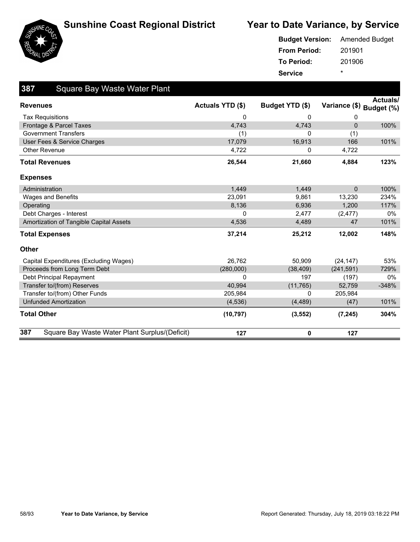



|                     | <b>Budget Version:</b> Amended Budget |
|---------------------|---------------------------------------|
| <b>From Period:</b> | 201901                                |
| To Period:          | 201906                                |
| <b>Service</b>      | ÷                                     |

| 387<br><b>Square Bay Waste Water Plant</b>            |                  |                 |                          |                 |
|-------------------------------------------------------|------------------|-----------------|--------------------------|-----------------|
| <b>Revenues</b>                                       | Actuals YTD (\$) | Budget YTD (\$) | Variance (\$) Budget (%) | <b>Actuals/</b> |
| <b>Tax Requisitions</b>                               | 0                | 0               | 0                        |                 |
| Frontage & Parcel Taxes                               | 4,743            | 4,743           | $\Omega$                 | 100%            |
| <b>Government Transfers</b>                           | (1)              | $\mathbf{0}$    | (1)                      |                 |
| User Fees & Service Charges                           | 17,079           | 16,913          | 166                      | 101%            |
| <b>Other Revenue</b>                                  | 4,722            | 0               | 4,722                    |                 |
| <b>Total Revenues</b>                                 | 26,544           | 21,660          | 4,884                    | 123%            |
| <b>Expenses</b>                                       |                  |                 |                          |                 |
| Administration                                        | 1,449            | 1,449           | $\Omega$                 | 100%            |
| <b>Wages and Benefits</b>                             | 23,091           | 9,861           | 13,230                   | 234%            |
| Operating                                             | 8,136            | 6,936           | 1,200                    | 117%            |
| Debt Charges - Interest                               | 0                | 2,477           | (2, 477)                 | 0%              |
| Amortization of Tangible Capital Assets               | 4,536            | 4,489           | 47                       | 101%            |
| <b>Total Expenses</b>                                 | 37,214           | 25,212          | 12,002                   | 148%            |
| <b>Other</b>                                          |                  |                 |                          |                 |
| Capital Expenditures (Excluding Wages)                | 26,762           | 50,909          | (24, 147)                | 53%             |
| Proceeds from Long Term Debt                          | (280,000)        | (38, 409)       | (241, 591)               | 729%            |
| Debt Principal Repayment                              | 0                | 197             | (197)                    | $0\%$           |
| Transfer to/(from) Reserves                           | 40.994           | (11, 765)       | 52,759                   | $-348%$         |
| Transfer to/(from) Other Funds                        | 205,984          | $\Omega$        | 205,984                  |                 |
| <b>Unfunded Amortization</b>                          | (4,536)          | (4, 489)        | (47)                     | 101%            |
| <b>Total Other</b>                                    | (10, 797)        | (3, 552)        | (7, 245)                 | 304%            |
| 387<br>Square Bay Waste Water Plant Surplus/(Deficit) | 127              | 0               | 127                      |                 |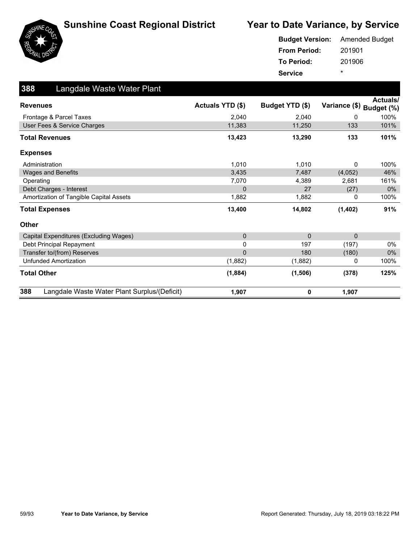



|                     | <b>Budget Version:</b> Amended Budget |
|---------------------|---------------------------------------|
| <b>From Period:</b> | 201901                                |
| <b>To Period:</b>   | 201906                                |
| <b>Service</b>      | ÷                                     |

| 388<br>Langdale Waste Water Plant                   |                  |                 |               |                               |
|-----------------------------------------------------|------------------|-----------------|---------------|-------------------------------|
| <b>Revenues</b>                                     | Actuals YTD (\$) | Budget YTD (\$) | Variance (\$) | <b>Actuals/</b><br>Budget (%) |
| Frontage & Parcel Taxes                             | 2.040            | 2,040           | 0             | 100%                          |
| User Fees & Service Charges                         | 11,383           | 11,250          | 133           | 101%                          |
| <b>Total Revenues</b>                               | 13,423           | 13,290          | 133           | 101%                          |
| <b>Expenses</b>                                     |                  |                 |               |                               |
| Administration                                      | 1.010            | 1,010           | 0             | 100%                          |
| <b>Wages and Benefits</b>                           | 3,435            | 7,487           | (4,052)       | 46%                           |
| Operating                                           | 7,070            | 4,389           | 2,681         | 161%                          |
| Debt Charges - Interest                             | $\Omega$         | 27              | (27)          | $0\%$                         |
| Amortization of Tangible Capital Assets             | 1,882            | 1,882           | 0             | 100%                          |
| <b>Total Expenses</b>                               | 13,400           | 14,802          | (1,402)       | 91%                           |
| <b>Other</b>                                        |                  |                 |               |                               |
| Capital Expenditures (Excluding Wages)              | $\mathbf 0$      | $\Omega$        | $\mathbf{0}$  |                               |
| Debt Principal Repayment                            | 0                | 197             | (197)         | $0\%$                         |
| Transfer to/(from) Reserves                         | $\mathbf{0}$     | 180             | (180)         | $0\%$                         |
| <b>Unfunded Amortization</b>                        | (1,882)          | (1,882)         | 0             | 100%                          |
| <b>Total Other</b>                                  | (1,884)          | (1, 506)        | (378)         | 125%                          |
| 388<br>Langdale Waste Water Plant Surplus/(Deficit) | 1,907            | 0               | 1,907         |                               |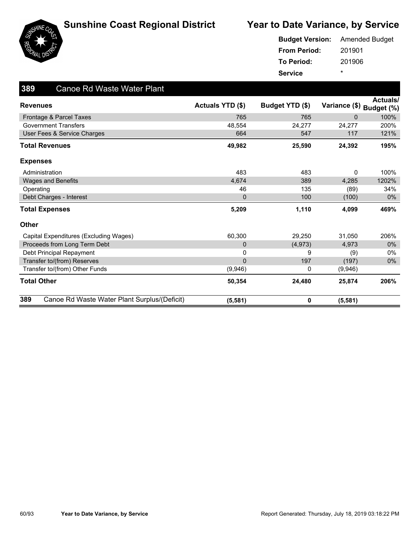





### 201901 201906 **From Period: To Period: Service** \* **Budget Version:** Amended Budget

| 389<br>Canoe Rd Waste Water Plant                   |                  |                 |               |                               |
|-----------------------------------------------------|------------------|-----------------|---------------|-------------------------------|
| <b>Revenues</b>                                     | Actuals YTD (\$) | Budget YTD (\$) | Variance (\$) | <b>Actuals/</b><br>Budget (%) |
| Frontage & Parcel Taxes                             | 765              | 765             | $\Omega$      | 100%                          |
| <b>Government Transfers</b>                         | 48,554           | 24,277          | 24,277        | 200%                          |
| User Fees & Service Charges                         | 664              | 547             | 117           | 121%                          |
| <b>Total Revenues</b>                               | 49,982           | 25,590          | 24,392        | 195%                          |
| <b>Expenses</b>                                     |                  |                 |               |                               |
| Administration                                      | 483              | 483             | 0             | 100%                          |
| <b>Wages and Benefits</b>                           | 4.674            | 389             | 4,285         | 1202%                         |
| Operating                                           | 46               | 135             | (89)          | 34%                           |
| Debt Charges - Interest                             | $\mathbf{0}$     | 100             | (100)         | $0\%$                         |
| <b>Total Expenses</b>                               | 5,209            | 1,110           | 4,099         | 469%                          |
| <b>Other</b>                                        |                  |                 |               |                               |
| Capital Expenditures (Excluding Wages)              | 60,300           | 29,250          | 31,050        | 206%                          |
| Proceeds from Long Term Debt                        | 0                | (4, 973)        | 4,973         | $0\%$                         |
| Debt Principal Repayment                            | 0                | 9               | (9)           | $0\%$                         |
| Transfer to/(from) Reserves                         | $\overline{0}$   | 197             | (197)         | $0\%$                         |
| Transfer to/(from) Other Funds                      | (9,946)          | 0               | (9,946)       |                               |
| <b>Total Other</b>                                  | 50,354           | 24,480          | 25,874        | 206%                          |
| 389<br>Canoe Rd Waste Water Plant Surplus/(Deficit) | (5, 581)         | 0               | (5, 581)      |                               |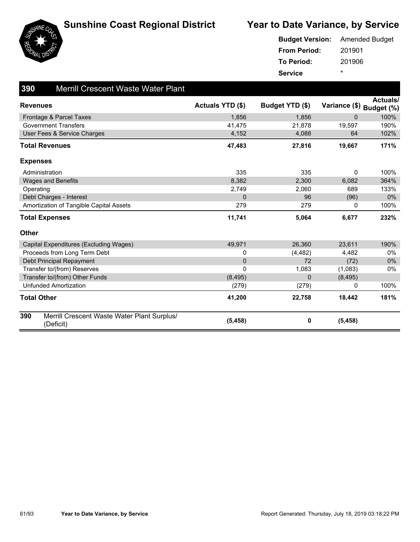





|                     | <b>Budget Version:</b> Amended Budget |
|---------------------|---------------------------------------|
| <b>From Period:</b> | 201901                                |
| <b>To Period:</b>   | 201906                                |
| <b>Service</b>      | ÷                                     |

| 390<br><b>Merrill Crescent Waste Water Plant</b>                |                         |                 |                          |                 |
|-----------------------------------------------------------------|-------------------------|-----------------|--------------------------|-----------------|
| <b>Revenues</b>                                                 | <b>Actuals YTD (\$)</b> | Budget YTD (\$) | Variance (\$) Budget (%) | <b>Actuals/</b> |
| Frontage & Parcel Taxes                                         | 1,856                   | 1,856           | $\Omega$                 | 100%            |
| <b>Government Transfers</b>                                     | 41,475                  | 21,878          | 19,597                   | 190%            |
| User Fees & Service Charges                                     | 4,152                   | 4,088           | 64                       | 102%            |
| <b>Total Revenues</b>                                           | 47,483                  | 27,816          | 19,667                   | 171%            |
| <b>Expenses</b>                                                 |                         |                 |                          |                 |
| Administration                                                  | 335                     | 335             | $\Omega$                 | 100%            |
| <b>Wages and Benefits</b>                                       | 8,382                   | 2,300           | 6,082                    | 364%            |
| Operating                                                       | 2,749                   | 2,060           | 689                      | 133%            |
| Debt Charges - Interest                                         | $\mathbf{0}$            | 96              | (96)                     | $0\%$           |
| Amortization of Tangible Capital Assets                         | 279                     | 279             | 0                        | 100%            |
| <b>Total Expenses</b>                                           | 11,741                  | 5,064           | 6,677                    | 232%            |
| <b>Other</b>                                                    |                         |                 |                          |                 |
| Capital Expenditures (Excluding Wages)                          | 49,971                  | 26,360          | 23,611                   | 190%            |
| Proceeds from Long Term Debt                                    | 0                       | (4, 482)        | 4,482                    | $0\%$           |
| Debt Principal Repayment                                        | $\mathbf{0}$            | 72              | (72)                     | $0\%$           |
| Transfer to/(from) Reserves                                     | $\mathbf{0}$            | 1,083           | (1,083)                  | $0\%$           |
| Transfer to/(from) Other Funds                                  | (8, 495)                | $\Omega$        | (8, 495)                 |                 |
| <b>Unfunded Amortization</b>                                    | (279)                   | (279)           | 0                        | 100%            |
| <b>Total Other</b>                                              | 41,200                  | 22,758          | 18,442                   | 181%            |
| 390<br>Merrill Crescent Waste Water Plant Surplus/<br>(Deficit) | (5, 458)                | 0               | (5, 458)                 |                 |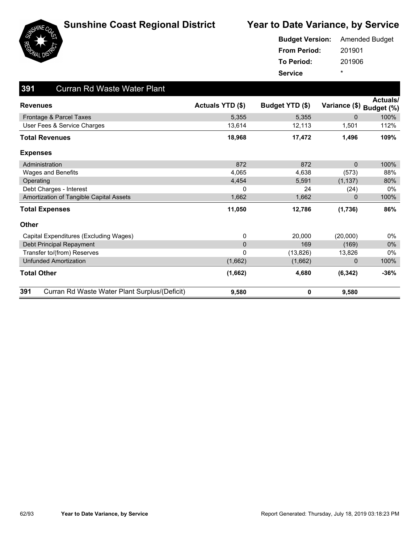





|                     | <b>Budget Version:</b> Amended Budget |
|---------------------|---------------------------------------|
| <b>From Period:</b> | 201901                                |
| <b>To Period:</b>   | 201906                                |
| <b>Service</b>      | ÷                                     |

| 391<br><b>Curran Rd Waste Water Plant</b>            |                  |                 |                          |          |
|------------------------------------------------------|------------------|-----------------|--------------------------|----------|
| <b>Revenues</b>                                      | Actuals YTD (\$) | Budget YTD (\$) | Variance (\$) Budget (%) | Actuals/ |
| Frontage & Parcel Taxes                              | 5,355            | 5,355           | $\mathbf 0$              | 100%     |
| User Fees & Service Charges                          | 13,614           | 12,113          | 1,501                    | 112%     |
| <b>Total Revenues</b>                                | 18,968           | 17,472          | 1,496                    | 109%     |
| <b>Expenses</b>                                      |                  |                 |                          |          |
| Administration                                       | 872              | 872             | $\Omega$                 | 100%     |
| <b>Wages and Benefits</b>                            | 4,065            | 4,638           | (573)                    | 88%      |
| Operating                                            | 4,454            | 5,591           | (1, 137)                 | 80%      |
| Debt Charges - Interest                              | 0                | 24              | (24)                     | $0\%$    |
| Amortization of Tangible Capital Assets              | 1,662            | 1,662           | 0                        | 100%     |
| <b>Total Expenses</b>                                | 11,050           | 12,786          | (1,736)                  | 86%      |
| <b>Other</b>                                         |                  |                 |                          |          |
| Capital Expenditures (Excluding Wages)               | 0                | 20,000          | (20,000)                 | $0\%$    |
| Debt Principal Repayment                             | $\mathbf{0}$     | 169             | (169)                    | $0\%$    |
| Transfer to/(from) Reserves                          | $\Omega$         | (13, 826)       | 13,826                   | $0\%$    |
| <b>Unfunded Amortization</b>                         | (1,662)          | (1,662)         | $\mathbf 0$              | 100%     |
| <b>Total Other</b>                                   | (1,662)          | 4,680           | (6, 342)                 | $-36%$   |
| 391<br>Curran Rd Waste Water Plant Surplus/(Deficit) | 9,580            | 0               | 9,580                    |          |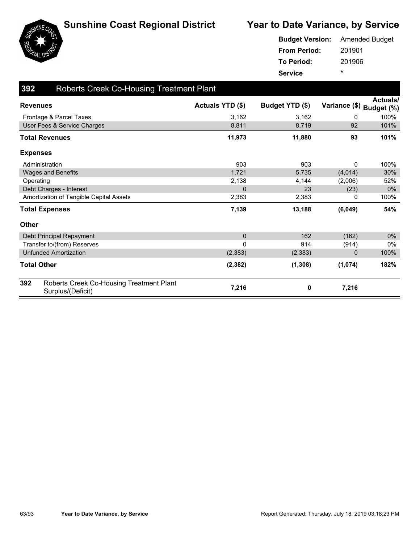



|                     | <b>Budget Version:</b> Amended Budget |
|---------------------|---------------------------------------|
| <b>From Period:</b> | 201901                                |
| <b>To Period:</b>   | 201906                                |
| <b>Service</b>      | ÷                                     |

| 392<br><b>Roberts Creek Co-Housing Treatment Plant</b>               |                  |                 |         |                                             |
|----------------------------------------------------------------------|------------------|-----------------|---------|---------------------------------------------|
| <b>Revenues</b>                                                      | Actuals YTD (\$) | Budget YTD (\$) |         | <b>Actuals/</b><br>Variance (\$) Budget (%) |
| Frontage & Parcel Taxes                                              | 3,162            | 3,162           | 0       | 100%                                        |
| User Fees & Service Charges                                          | 8,811            | 8,719           | 92      | 101%                                        |
| <b>Total Revenues</b>                                                | 11,973           | 11,880          | 93      | 101%                                        |
| <b>Expenses</b>                                                      |                  |                 |         |                                             |
| Administration                                                       | 903              | 903             | 0       | 100%                                        |
| <b>Wages and Benefits</b>                                            | 1,721            | 5,735           | (4,014) | 30%                                         |
| Operating                                                            | 2,138            | 4,144           | (2,006) | 52%                                         |
| Debt Charges - Interest                                              | $\Omega$         | 23              | (23)    | $0\%$                                       |
| Amortization of Tangible Capital Assets                              | 2,383            | 2,383           | 0       | 100%                                        |
| <b>Total Expenses</b>                                                | 7,139            | 13,188          | (6,049) | 54%                                         |
| <b>Other</b>                                                         |                  |                 |         |                                             |
| Debt Principal Repayment                                             | 0                | 162             | (162)   | $0\%$                                       |
| Transfer to/(from) Reserves                                          | 0                | 914             | (914)   | $0\%$                                       |
| <b>Unfunded Amortization</b>                                         | (2, 383)         | (2, 383)        | 0       | 100%                                        |
| <b>Total Other</b>                                                   | (2, 382)         | (1, 308)        | (1,074) | 182%                                        |
| 392<br>Roberts Creek Co-Housing Treatment Plant<br>Surplus/(Deficit) | 7,216            | 0               | 7,216   |                                             |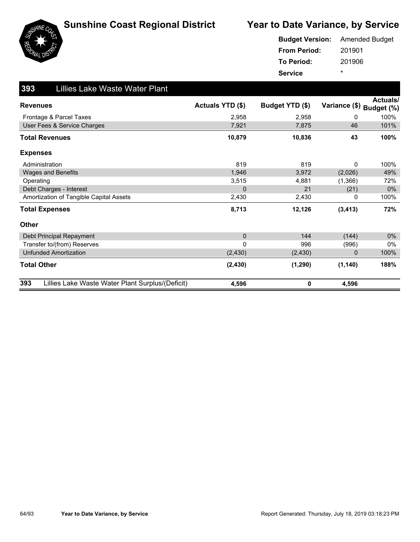



|                     | <b>Budget Version:</b> Amended Budget |
|---------------------|---------------------------------------|
| <b>From Period:</b> | 201901                                |
| <b>To Period:</b>   | 201906                                |
| <b>Service</b>      | ÷                                     |

| 393<br><b>Lillies Lake Waste Water Plant</b>            |                  |                 |                          |                 |
|---------------------------------------------------------|------------------|-----------------|--------------------------|-----------------|
| <b>Revenues</b>                                         | Actuals YTD (\$) | Budget YTD (\$) | Variance (\$) Budget (%) | <b>Actuals/</b> |
| Frontage & Parcel Taxes                                 | 2.958            | 2,958           | 0                        | 100%            |
| User Fees & Service Charges                             | 7,921            | 7,875           | 46                       | 101%            |
| <b>Total Revenues</b>                                   | 10,879           | 10,836          | 43                       | 100%            |
| <b>Expenses</b>                                         |                  |                 |                          |                 |
| Administration                                          | 819              | 819             | 0                        | 100%            |
| <b>Wages and Benefits</b>                               | 1,946            | 3,972           | (2,026)                  | 49%             |
| Operating                                               | 3,515            | 4,881           | (1,366)                  | 72%             |
| Debt Charges - Interest                                 | $\mathbf{0}$     | 21              | (21)                     | 0%              |
| Amortization of Tangible Capital Assets                 | 2,430            | 2,430           | 0                        | 100%            |
| <b>Total Expenses</b>                                   | 8,713            | 12,126          | (3, 413)                 | 72%             |
| <b>Other</b>                                            |                  |                 |                          |                 |
| Debt Principal Repayment                                | $\mathbf 0$      | 144             | (144)                    | 0%              |
| Transfer to/(from) Reserves                             | $\mathbf{0}$     | 996             | (996)                    | $0\%$           |
| <b>Unfunded Amortization</b>                            | (2, 430)         | (2, 430)        | 0                        | 100%            |
| <b>Total Other</b>                                      | (2, 430)         | (1, 290)        | (1, 140)                 | 188%            |
| 393<br>Lillies Lake Waste Water Plant Surplus/(Deficit) | 4,596            | 0               | 4,596                    |                 |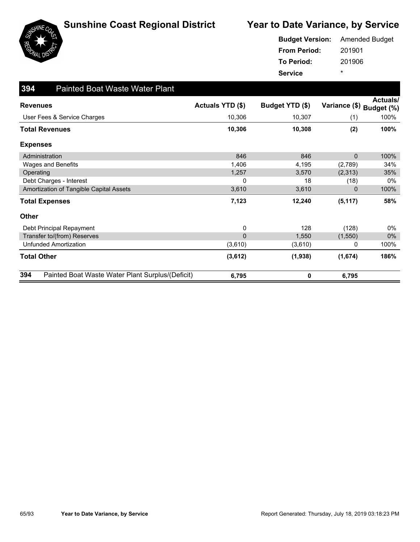

| <b>Budget Version:</b> Amended Budget |         |
|---------------------------------------|---------|
| <b>From Period:</b>                   | 201901  |
| To Period:                            | 201906  |
| <b>Service</b>                        | $\star$ |

| 394<br><b>Painted Boat Waste Water Plant</b>            |                  |                 |               |                        |
|---------------------------------------------------------|------------------|-----------------|---------------|------------------------|
| <b>Revenues</b>                                         | Actuals YTD (\$) | Budget YTD (\$) | Variance (\$) | Actuals/<br>Budget (%) |
| User Fees & Service Charges                             | 10,306           | 10,307          | (1)           | 100%                   |
| <b>Total Revenues</b>                                   | 10,306           | 10,308          | (2)           | 100%                   |
| <b>Expenses</b>                                         |                  |                 |               |                        |
| Administration                                          | 846              | 846             | 0             | 100%                   |
| Wages and Benefits                                      | 1,406            | 4,195           | (2,789)       | 34%                    |
| Operating                                               | 1,257            | 3,570           | (2,313)       | 35%                    |
| Debt Charges - Interest                                 | $\mathbf{0}$     | 18              | (18)          | $0\%$                  |
| Amortization of Tangible Capital Assets                 | 3,610            | 3,610           | 0             | 100%                   |
| <b>Total Expenses</b>                                   | 7,123            | 12,240          | (5, 117)      | 58%                    |
| <b>Other</b>                                            |                  |                 |               |                        |
| Debt Principal Repayment                                | 0                | 128             | (128)         | 0%                     |
| Transfer to/(from) Reserves                             | $\mathbf 0$      | 1,550           | (1,550)       | $0\%$                  |
| <b>Unfunded Amortization</b>                            | (3,610)          | (3,610)         | 0             | 100%                   |
| <b>Total Other</b>                                      | (3,612)          | (1,938)         | (1,674)       | 186%                   |
| 394<br>Painted Boat Waste Water Plant Surplus/(Deficit) | 6,795            | 0               | 6,795         |                        |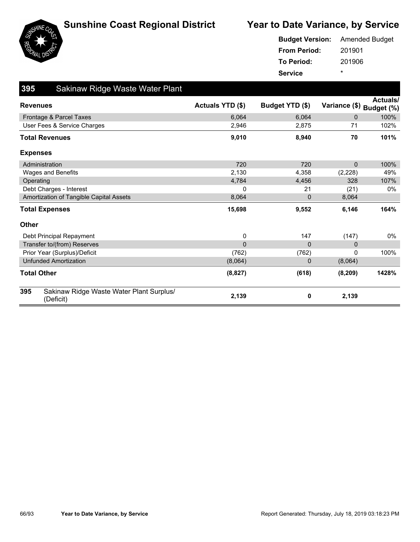



### 201901 201906 **From Period: To Period: Service** \* **Budget Version:** Amended Budget

| 395             | Sakinaw Ridge Waste Water Plant                       |                         |                 |                          |          |
|-----------------|-------------------------------------------------------|-------------------------|-----------------|--------------------------|----------|
| <b>Revenues</b> |                                                       | <b>Actuals YTD (\$)</b> | Budget YTD (\$) | Variance (\$) Budget (%) | Actuals/ |
|                 | Frontage & Parcel Taxes                               | 6,064                   | 6,064           | $\Omega$                 | 100%     |
|                 | User Fees & Service Charges                           | 2,946                   | 2,875           | 71                       | 102%     |
|                 | <b>Total Revenues</b>                                 | 9,010                   | 8,940           | 70                       | 101%     |
| <b>Expenses</b> |                                                       |                         |                 |                          |          |
|                 | Administration                                        | 720                     | 720             | $\Omega$                 | 100%     |
|                 | Wages and Benefits                                    | 2,130                   | 4,358           | (2, 228)                 | 49%      |
| Operating       |                                                       | 4,784                   | 4,456           | 328                      | 107%     |
|                 | Debt Charges - Interest                               | 0                       | 21              | (21)                     | 0%       |
|                 | Amortization of Tangible Capital Assets               | 8,064                   | $\mathbf 0$     | 8,064                    |          |
|                 | <b>Total Expenses</b>                                 | 15,698                  | 9,552           | 6,146                    | 164%     |
| <b>Other</b>    |                                                       |                         |                 |                          |          |
|                 | Debt Principal Repayment                              | 0                       | 147             | (147)                    | 0%       |
|                 | Transfer to/(from) Reserves                           | 0                       | $\Omega$        | 0                        |          |
|                 | Prior Year (Surplus)/Deficit                          | (762)                   | (762)           | $\Omega$                 | 100%     |
|                 | <b>Unfunded Amortization</b>                          | (8,064)                 | $\mathbf 0$     | (8,064)                  |          |
|                 | <b>Total Other</b>                                    | (8, 827)                | (618)           | (8, 209)                 | 1428%    |
| 395             | Sakinaw Ridge Waste Water Plant Surplus/<br>(Deficit) | 2,139                   | 0               | 2,139                    |          |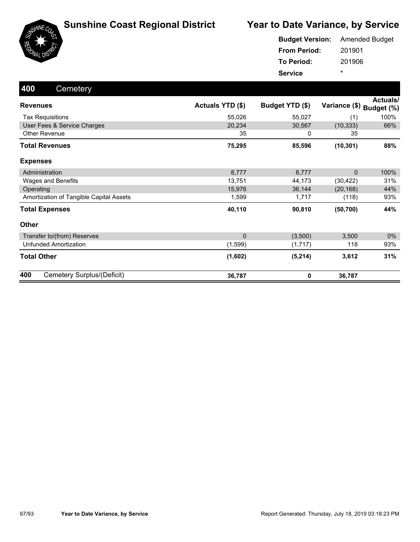



| <b>Budget Version:</b> | <b>Amended Budget</b> |
|------------------------|-----------------------|
| <b>From Period:</b>    | 201901                |
| <b>To Period:</b>      | 201906                |
| <b>Service</b>         | $\star$               |

| 400<br>Cemetery                         |                  |                 |               |                        |
|-----------------------------------------|------------------|-----------------|---------------|------------------------|
| <b>Revenues</b>                         | Actuals YTD (\$) | Budget YTD (\$) | Variance (\$) | Actuals/<br>Budget (%) |
| <b>Tax Requisitions</b>                 | 55,026           | 55,027          | (1)           | 100%                   |
| User Fees & Service Charges             | 20,234           | 30,567          | (10, 333)     | 66%                    |
| <b>Other Revenue</b>                    | 35               | 0               | 35            |                        |
| <b>Total Revenues</b>                   | 75,295           | 85,596          | (10, 301)     | 88%                    |
| <b>Expenses</b>                         |                  |                 |               |                        |
| Administration                          | 8,777            | 8,777           | $\mathbf{0}$  | 100%                   |
| Wages and Benefits                      | 13,751           | 44,173          | (30, 422)     | 31%                    |
| Operating                               | 15,976           | 36,144          | (20, 168)     | 44%                    |
| Amortization of Tangible Capital Assets | 1,599            | 1,717           | (118)         | 93%                    |
| <b>Total Expenses</b>                   | 40,110           | 90,810          | (50, 700)     | 44%                    |
| Other                                   |                  |                 |               |                        |
| Transfer to/(from) Reserves             | $\mathbf{0}$     | (3,500)         | 3,500         | 0%                     |
| <b>Unfunded Amortization</b>            | (1,599)          | (1,717)         | 118           | 93%                    |
| <b>Total Other</b>                      | (1,602)          | (5, 214)        | 3,612         | 31%                    |
| 400<br>Cemetery Surplus/(Deficit)       | 36,787           | 0               | 36,787        |                        |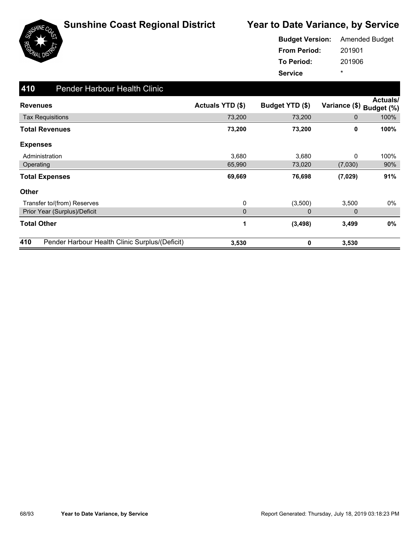

|                     | <b>Budget Version:</b> Amended Budget |
|---------------------|---------------------------------------|
| <b>From Period:</b> | 201901                                |
| <b>To Period:</b>   | 201906                                |
| <b>Service</b>      | ÷                                     |

| 410<br><b>Pender Harbour Health Clinic</b>            |                  |                 |               |                               |
|-------------------------------------------------------|------------------|-----------------|---------------|-------------------------------|
| <b>Revenues</b>                                       | Actuals YTD (\$) | Budget YTD (\$) | Variance (\$) | <b>Actuals/</b><br>Budget (%) |
| <b>Tax Requisitions</b>                               | 73,200           | 73,200          | 0             | 100%                          |
| Total Revenues                                        | 73,200           | 73,200          | 0             | 100%                          |
| <b>Expenses</b>                                       |                  |                 |               |                               |
| Administration                                        | 3,680            | 3,680           | 0             | 100%                          |
| Operating                                             | 65,990           | 73,020          | (7,030)       | 90%                           |
| <b>Total Expenses</b>                                 | 69,669           | 76,698          | (7,029)       | 91%                           |
| <b>Other</b>                                          |                  |                 |               |                               |
| Transfer to/(from) Reserves                           | 0                | (3,500)         | 3,500         | 0%                            |
| Prior Year (Surplus)/Deficit                          | $\mathbf 0$      | $\mathbf 0$     | 0             |                               |
| <b>Total Other</b>                                    | 1                | (3, 498)        | 3,499         | 0%                            |
| 410<br>Pender Harbour Health Clinic Surplus/(Deficit) | 3,530            | 0               | 3,530         |                               |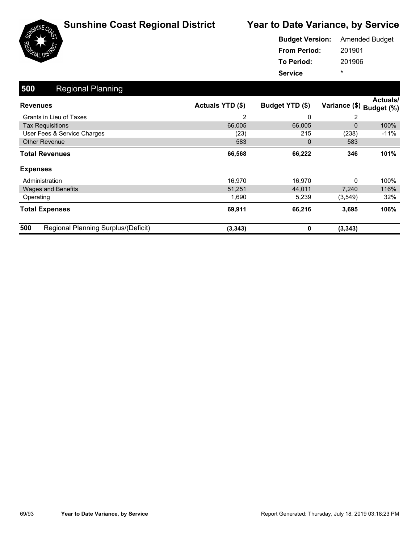





| <b>Budget Version:</b> | <b>Amended Budget</b> |
|------------------------|-----------------------|
| <b>From Period:</b>    | 201901                |
| To Period:             | 201906                |
| <b>Service</b>         | ÷                     |

| 500<br><b>Regional Planning</b>            |                  |                 |                          |                 |
|--------------------------------------------|------------------|-----------------|--------------------------|-----------------|
| <b>Revenues</b>                            | Actuals YTD (\$) | Budget YTD (\$) | Variance (\$) Budget (%) | <b>Actuals/</b> |
| Grants in Lieu of Taxes                    | 2                | 0               | 2                        |                 |
| <b>Tax Requisitions</b>                    | 66,005           | 66,005          | $\mathbf{0}$             | 100%            |
| User Fees & Service Charges                | (23)             | 215             | (238)                    | $-11%$          |
| <b>Other Revenue</b>                       | 583              | $\mathbf 0$     | 583                      |                 |
| <b>Total Revenues</b>                      | 66,568           | 66,222          | 346                      | 101%            |
| <b>Expenses</b>                            |                  |                 |                          |                 |
| Administration                             | 16,970           | 16,970          | $\mathbf{0}$             | 100%            |
| <b>Wages and Benefits</b>                  | 51,251           | 44,011          | 7,240                    | 116%            |
| Operating                                  | 1,690            | 5,239           | (3,549)                  | 32%             |
| <b>Total Expenses</b>                      | 69,911           | 66,216          | 3,695                    | 106%            |
| 500<br>Regional Planning Surplus/(Deficit) | (3, 343)         | 0               | (3, 343)                 |                 |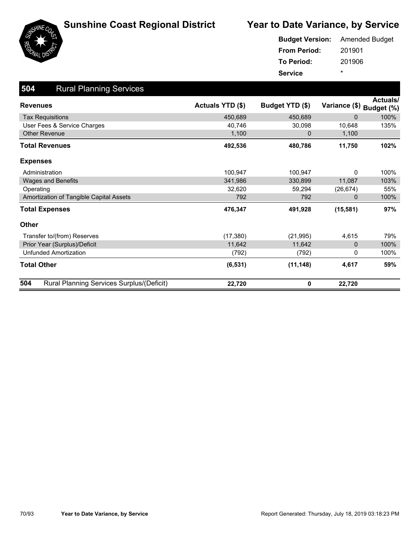



| <b>Budget Version:</b> Amended Budget |         |
|---------------------------------------|---------|
| <b>From Period:</b>                   | 201901  |
| To Period:                            | 201906  |
| <b>Service</b>                        | $\star$ |

| 504<br><b>Rural Planning Services</b>            |                         |                 |                          |          |
|--------------------------------------------------|-------------------------|-----------------|--------------------------|----------|
| <b>Revenues</b>                                  | <b>Actuals YTD (\$)</b> | Budget YTD (\$) | Variance (\$) Budget (%) | Actuals/ |
| <b>Tax Requisitions</b>                          | 450,689                 | 450,689         | $\mathbf 0$              | 100%     |
| User Fees & Service Charges                      | 40.746                  | 30,098          | 10,648                   | 135%     |
| <b>Other Revenue</b>                             | 1,100                   | 0               | 1,100                    |          |
| <b>Total Revenues</b>                            | 492,536                 | 480,786         | 11,750                   | 102%     |
| <b>Expenses</b>                                  |                         |                 |                          |          |
| Administration                                   | 100,947                 | 100,947         | $\mathbf{0}$             | 100%     |
| <b>Wages and Benefits</b>                        | 341,986                 | 330,899         | 11,087                   | 103%     |
| Operating                                        | 32,620                  | 59,294          | (26, 674)                | 55%      |
| Amortization of Tangible Capital Assets          | 792                     | 792             | $\mathbf 0$              | 100%     |
| <b>Total Expenses</b>                            | 476,347                 | 491,928         | (15, 581)                | 97%      |
| Other                                            |                         |                 |                          |          |
| Transfer to/(from) Reserves                      | (17, 380)               | (21, 995)       | 4,615                    | 79%      |
| Prior Year (Surplus)/Deficit                     | 11,642                  | 11,642          | $\mathbf 0$              | 100%     |
| <b>Unfunded Amortization</b>                     | (792)                   | (792)           | 0                        | 100%     |
| <b>Total Other</b>                               | (6, 531)                | (11, 148)       | 4,617                    | 59%      |
| 504<br>Rural Planning Services Surplus/(Deficit) | 22,720                  | 0               | 22,720                   |          |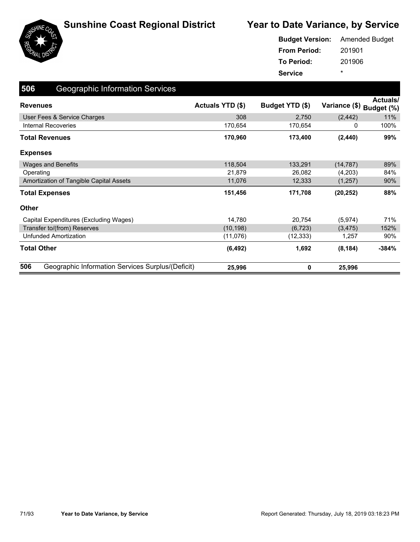

|                     | <b>Budget Version:</b> Amended Budget |
|---------------------|---------------------------------------|
| <b>From Period:</b> | 201901                                |
| <b>To Period:</b>   | 201906                                |
| <b>Service</b>      | ÷                                     |

| 506<br><b>Geographic Information Services</b>            |                  |                 |                          |                 |
|----------------------------------------------------------|------------------|-----------------|--------------------------|-----------------|
| <b>Revenues</b>                                          | Actuals YTD (\$) | Budget YTD (\$) | Variance (\$) Budget (%) | <b>Actuals/</b> |
| User Fees & Service Charges                              | 308              | 2,750           | (2, 442)                 | 11%             |
| Internal Recoveries                                      | 170,654          | 170,654         | 0                        | 100%            |
| Total Revenues                                           | 170,960          | 173,400         | (2, 440)                 | 99%             |
| <b>Expenses</b>                                          |                  |                 |                          |                 |
| <b>Wages and Benefits</b>                                | 118,504          | 133,291         | (14, 787)                | 89%             |
| Operating                                                | 21,879           | 26,082          | (4,203)                  | 84%             |
| Amortization of Tangible Capital Assets                  | 11,076           | 12,333          | (1,257)                  | 90%             |
| <b>Total Expenses</b>                                    | 151,456          | 171,708         | (20, 252)                | 88%             |
| <b>Other</b>                                             |                  |                 |                          |                 |
| Capital Expenditures (Excluding Wages)                   | 14,780           | 20,754          | (5, 974)                 | 71%             |
| Transfer to/(from) Reserves                              | (10, 198)        | (6, 723)        | (3, 475)                 | 152%            |
| Unfunded Amortization                                    | (11,076)         | (12, 333)       | 1,257                    | 90%             |
| <b>Total Other</b>                                       | (6, 492)         | 1,692           | (8, 184)                 | $-384%$         |
| 506<br>Geographic Information Services Surplus/(Deficit) | 25,996           | 0               | 25,996                   |                 |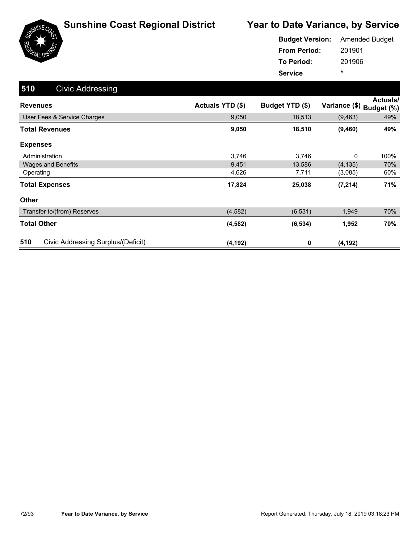

|                     | <b>Budget Version:</b> Amended Budget |
|---------------------|---------------------------------------|
| <b>From Period:</b> | 201901                                |
| To Period:          | 201906                                |
| <b>Service</b>      | ÷                                     |

| 510<br><b>Civic Addressing</b>            |                  |                 |               |                        |
|-------------------------------------------|------------------|-----------------|---------------|------------------------|
| <b>Revenues</b>                           | Actuals YTD (\$) | Budget YTD (\$) | Variance (\$) | Actuals/<br>Budget (%) |
| User Fees & Service Charges               | 9,050            | 18,513          | (9, 463)      | 49%                    |
| <b>Total Revenues</b>                     | 9,050            | 18,510          | (9,460)       | 49%                    |
| <b>Expenses</b>                           |                  |                 |               |                        |
| Administration                            | 3,746            | 3,746           | 0             | 100%                   |
| <b>Wages and Benefits</b>                 | 9,451            | 13,586          | (4, 135)      | 70%                    |
| Operating                                 | 4,626            | 7,711           | (3,085)       | 60%                    |
| <b>Total Expenses</b>                     | 17,824           | 25,038          | (7, 214)      | 71%                    |
| <b>Other</b>                              |                  |                 |               |                        |
| Transfer to/(from) Reserves               | (4, 582)         | (6, 531)        | 1,949         | 70%                    |
| <b>Total Other</b>                        | (4, 582)         | (6, 534)        | 1,952         | 70%                    |
| 510<br>Civic Addressing Surplus/(Deficit) | (4, 192)         | 0               | (4, 192)      |                        |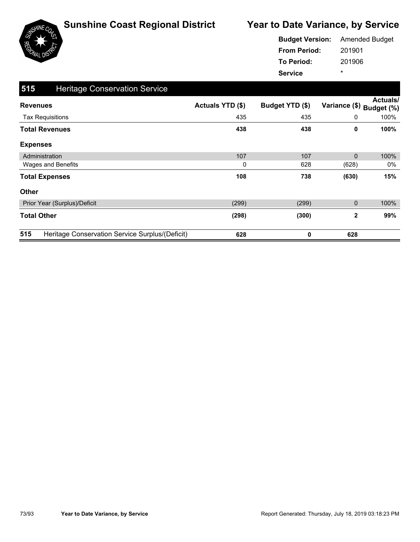

|                     | <b>Budget Version:</b> Amended Budget |
|---------------------|---------------------------------------|
| <b>From Period:</b> | 201901                                |
| To Period:          | 201906                                |
| <b>Service</b>      | ÷                                     |

| 515<br><b>Heritage Conservation Service</b>            |                  |                 |               |                               |
|--------------------------------------------------------|------------------|-----------------|---------------|-------------------------------|
| <b>Revenues</b>                                        | Actuals YTD (\$) | Budget YTD (\$) | Variance (\$) | <b>Actuals/</b><br>Budget (%) |
| <b>Tax Requisitions</b>                                | 435              | 435             | 0             | 100%                          |
| <b>Total Revenues</b>                                  | 438              | 438             | 0             | 100%                          |
| <b>Expenses</b>                                        |                  |                 |               |                               |
| Administration                                         | 107              | 107             | $\mathbf 0$   | 100%                          |
| Wages and Benefits                                     | 0                | 628             | (628)         | 0%                            |
| <b>Total Expenses</b>                                  | 108              | 738             | (630)         | 15%                           |
| <b>Other</b>                                           |                  |                 |               |                               |
| Prior Year (Surplus)/Deficit                           | (299)            | (299)           | 0             | 100%                          |
| <b>Total Other</b>                                     | (298)            | (300)           | 2             | 99%                           |
| 515<br>Heritage Conservation Service Surplus/(Deficit) | 628              | 0               | 628           |                               |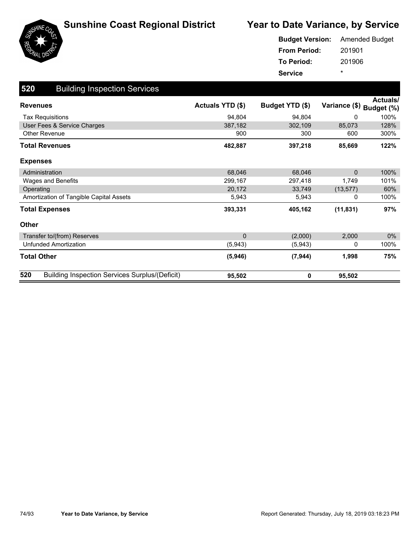



| <b>Budget Version:</b> | <b>Amended Budget</b> |
|------------------------|-----------------------|
| <b>From Period:</b>    | 201901                |
| To Period:             | 201906                |
| <b>Service</b>         | ÷                     |

| 520<br><b>Building Inspection Services</b>                   |                  |                 |               |                               |
|--------------------------------------------------------------|------------------|-----------------|---------------|-------------------------------|
| <b>Revenues</b>                                              | Actuals YTD (\$) | Budget YTD (\$) | Variance (\$) | <b>Actuals/</b><br>Budget (%) |
| <b>Tax Requisitions</b>                                      | 94,804           | 94,804          | 0             | 100%                          |
| User Fees & Service Charges                                  | 387,182          | 302,109         | 85,073        | 128%                          |
| Other Revenue                                                | 900              | 300             | 600           | 300%                          |
| Total Revenues                                               | 482,887          | 397,218         | 85,669        | 122%                          |
| <b>Expenses</b>                                              |                  |                 |               |                               |
| Administration                                               | 68,046           | 68,046          | $\mathbf 0$   | 100%                          |
| Wages and Benefits                                           | 299,167          | 297,418         | 1,749         | 101%                          |
| Operating                                                    | 20,172           | 33,749          | (13, 577)     | 60%                           |
| Amortization of Tangible Capital Assets                      | 5,943            | 5,943           | 0             | 100%                          |
| <b>Total Expenses</b>                                        | 393,331          | 405,162         | (11, 831)     | 97%                           |
| <b>Other</b>                                                 |                  |                 |               |                               |
| Transfer to/(from) Reserves                                  | $\pmb{0}$        | (2,000)         | 2,000         | $0\%$                         |
| <b>Unfunded Amortization</b>                                 | (5,943)          | (5,943)         | 0             | 100%                          |
| <b>Total Other</b>                                           | (5,946)          | (7, 944)        | 1,998         | 75%                           |
| 520<br><b>Building Inspection Services Surplus/(Deficit)</b> | 95,502           | 0               | 95,502        |                               |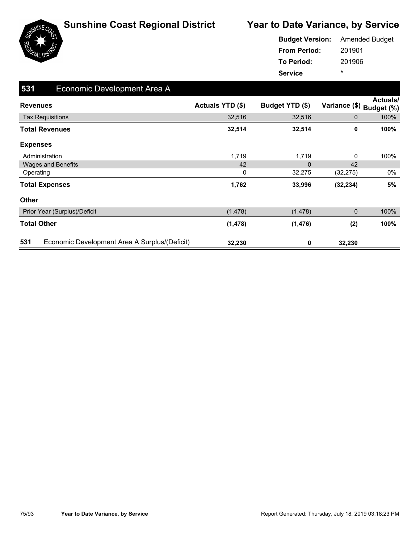

|                     | <b>Budget Version:</b> Amended Budget |
|---------------------|---------------------------------------|
| <b>From Period:</b> | 201901                                |
| <b>To Period:</b>   | 201906                                |
| <b>Service</b>      | ÷                                     |

| 531<br>Economic Development Area A                   |                  |                 |               |                               |
|------------------------------------------------------|------------------|-----------------|---------------|-------------------------------|
| <b>Revenues</b>                                      | Actuals YTD (\$) | Budget YTD (\$) | Variance (\$) | <b>Actuals/</b><br>Budget (%) |
| <b>Tax Requisitions</b>                              | 32,516           | 32,516          | $\mathbf 0$   | 100%                          |
| <b>Total Revenues</b>                                | 32,514           | 32,514          | 0             | 100%                          |
| <b>Expenses</b>                                      |                  |                 |               |                               |
| Administration                                       | 1,719            | 1,719           | 0             | 100%                          |
| <b>Wages and Benefits</b>                            | 42               | $\Omega$        | 42            |                               |
| Operating                                            | 0                | 32,275          | (32, 275)     | 0%                            |
| <b>Total Expenses</b>                                | 1,762            | 33,996          | (32, 234)     | 5%                            |
| <b>Other</b>                                         |                  |                 |               |                               |
| Prior Year (Surplus)/Deficit                         | (1, 478)         | (1, 478)        | 0             | 100%                          |
| <b>Total Other</b>                                   | (1, 478)         | (1, 476)        | (2)           | 100%                          |
| 531<br>Economic Development Area A Surplus/(Deficit) | 32,230           | 0               | 32,230        |                               |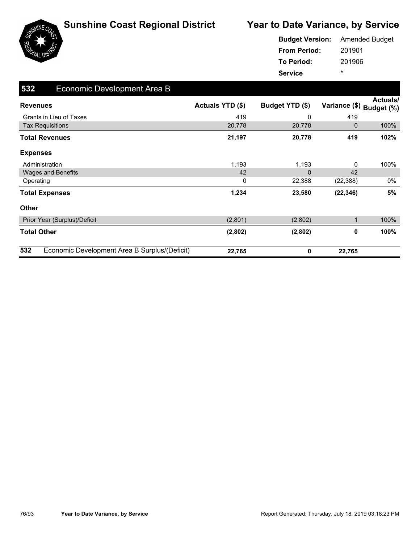



#### 201901 201906 **From Period: To Period: Service** \* **Budget Version:** Amended Budget

| 532<br><b>Economic Development Area B</b>            |                  |                 |               |                               |
|------------------------------------------------------|------------------|-----------------|---------------|-------------------------------|
| <b>Revenues</b>                                      | Actuals YTD (\$) | Budget YTD (\$) | Variance (\$) | <b>Actuals/</b><br>Budget (%) |
| Grants in Lieu of Taxes                              | 419              | 0               | 419           |                               |
| <b>Tax Requisitions</b>                              | 20,778           | 20,778          | 0             | 100%                          |
| <b>Total Revenues</b>                                | 21,197           | 20,778          | 419           | 102%                          |
| <b>Expenses</b>                                      |                  |                 |               |                               |
| Administration                                       | 1,193            | 1,193           | 0             | 100%                          |
| Wages and Benefits                                   | 42               | $\mathbf{0}$    | 42            |                               |
| Operating                                            | 0                | 22,388          | (22,388)      | 0%                            |
| <b>Total Expenses</b>                                | 1,234            | 23,580          | (22, 346)     | 5%                            |
| <b>Other</b>                                         |                  |                 |               |                               |
| Prior Year (Surplus)/Deficit                         | (2,801)          | (2,802)         | $\mathbf 1$   | 100%                          |
| <b>Total Other</b>                                   | (2,802)          | (2,802)         | 0             | 100%                          |
| 532<br>Economic Development Area B Surplus/(Deficit) | 22,765           | 0               | 22,765        |                               |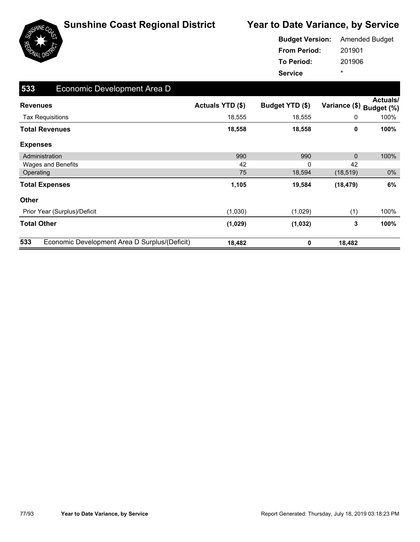

|                     | <b>Budget Version:</b> Amended Budget |
|---------------------|---------------------------------------|
| <b>From Period:</b> | 201901                                |
| To Period:          | 201906                                |
| <b>Service</b>      | ÷                                     |

| 533<br>Economic Development Area D                   |                  |                 |               |                        |
|------------------------------------------------------|------------------|-----------------|---------------|------------------------|
| <b>Revenues</b>                                      | Actuals YTD (\$) | Budget YTD (\$) | Variance (\$) | Actuals/<br>Budget (%) |
| <b>Tax Requisitions</b>                              | 18,555           | 18,555          | 0             | 100%                   |
| <b>Total Revenues</b>                                | 18,558           | 18,558          | 0             | 100%                   |
| <b>Expenses</b>                                      |                  |                 |               |                        |
| Administration                                       | 990              | 990             | 0             | 100%                   |
| Wages and Benefits                                   | 42               | 0               | 42            |                        |
| Operating                                            | 75               | 18,594          | (18, 519)     | 0%                     |
| <b>Total Expenses</b>                                | 1,105            | 19,584          | (18, 479)     | 6%                     |
| Other                                                |                  |                 |               |                        |
| Prior Year (Surplus)/Deficit                         | (1,030)          | (1,029)         | (1)           | 100%                   |
| <b>Total Other</b>                                   | (1,029)          | (1,032)         | 3             | 100%                   |
| 533<br>Economic Development Area D Surplus/(Deficit) | 18,482           | 0               | 18,482        |                        |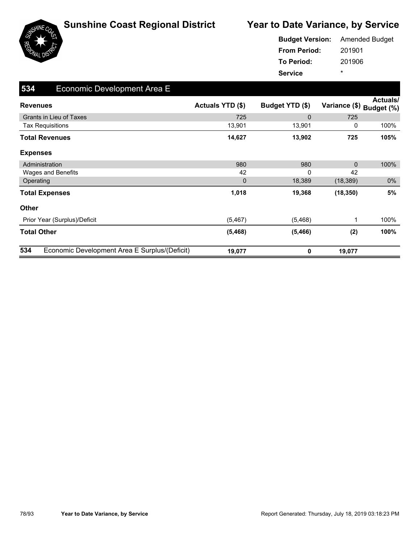

|                     | <b>Budget Version:</b> Amended Budget |
|---------------------|---------------------------------------|
| <b>From Period:</b> | 201901                                |
| <b>To Period:</b>   | 201906                                |
| <b>Service</b>      | ÷                                     |

| 534<br>Economic Development Area E                   |                  |                 |               |                               |
|------------------------------------------------------|------------------|-----------------|---------------|-------------------------------|
| <b>Revenues</b>                                      | Actuals YTD (\$) | Budget YTD (\$) | Variance (\$) | <b>Actuals/</b><br>Budget (%) |
| <b>Grants in Lieu of Taxes</b>                       | 725              | $\Omega$        | 725           |                               |
| <b>Tax Requisitions</b>                              | 13,901           | 13,901          | 0             | 100%                          |
| <b>Total Revenues</b>                                | 14,627           | 13,902          | 725           | 105%                          |
| <b>Expenses</b>                                      |                  |                 |               |                               |
| Administration                                       | 980              | 980             | $\mathbf{0}$  | 100%                          |
| Wages and Benefits                                   | 42               | $\Omega$        | 42            |                               |
| Operating                                            | $\mathbf 0$      | 18,389          | (18, 389)     | 0%                            |
| <b>Total Expenses</b>                                | 1,018            | 19,368          | (18, 350)     | 5%                            |
| Other                                                |                  |                 |               |                               |
| Prior Year (Surplus)/Deficit                         | (5, 467)         | (5, 468)        | 1             | 100%                          |
| <b>Total Other</b>                                   | (5, 468)         | (5,466)         | (2)           | 100%                          |
| 534<br>Economic Development Area E Surplus/(Deficit) | 19,077           | 0               | 19,077        |                               |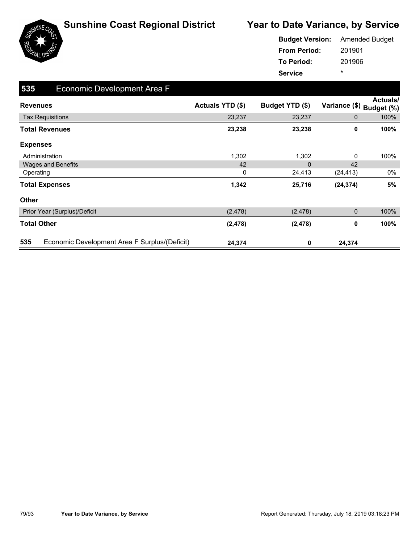

|                     | <b>Budget Version:</b> Amended Budget |
|---------------------|---------------------------------------|
| <b>From Period:</b> | 201901                                |
| <b>To Period:</b>   | 201906                                |
| <b>Service</b>      | ÷                                     |

| 535<br>Economic Development Area F                   |                  |                 |               |                               |
|------------------------------------------------------|------------------|-----------------|---------------|-------------------------------|
| <b>Revenues</b>                                      | Actuals YTD (\$) | Budget YTD (\$) | Variance (\$) | <b>Actuals/</b><br>Budget (%) |
| <b>Tax Requisitions</b>                              | 23,237           | 23,237          | 0             | 100%                          |
| <b>Total Revenues</b>                                | 23,238           | 23,238          | 0             | 100%                          |
| <b>Expenses</b>                                      |                  |                 |               |                               |
| Administration                                       | 1,302            | 1,302           | 0             | 100%                          |
| <b>Wages and Benefits</b>                            | 42               | $\Omega$        | 42            |                               |
| Operating                                            | 0                | 24,413          | (24, 413)     | 0%                            |
| <b>Total Expenses</b>                                | 1,342            | 25,716          | (24, 374)     | 5%                            |
| <b>Other</b>                                         |                  |                 |               |                               |
| Prior Year (Surplus)/Deficit                         | (2, 478)         | (2, 478)        | 0             | 100%                          |
| <b>Total Other</b>                                   | (2, 478)         | (2, 478)        | 0             | 100%                          |
| 535<br>Economic Development Area F Surplus/(Deficit) | 24,374           | 0               | 24,374        |                               |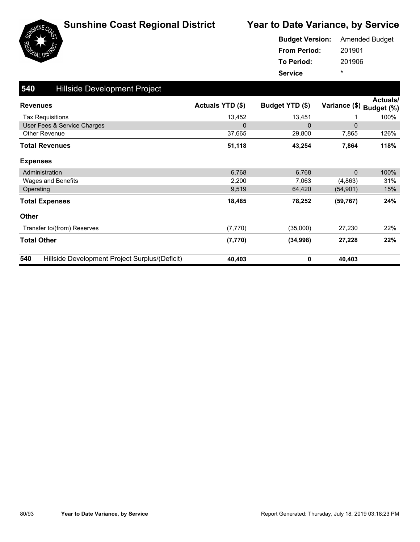



#### 201901 201906 **From Period: To Period: Service** \* **Budget Version:** Amended Budget

| 540<br><b>Hillside Development Project</b>            |                  |                 |               |                        |
|-------------------------------------------------------|------------------|-----------------|---------------|------------------------|
| <b>Revenues</b>                                       | Actuals YTD (\$) | Budget YTD (\$) | Variance (\$) | Actuals/<br>Budget (%) |
| <b>Tax Requisitions</b>                               | 13,452           | 13,451          |               | 100%                   |
| User Fees & Service Charges                           | 0                | $\mathbf 0$     | $\Omega$      |                        |
| Other Revenue                                         | 37,665           | 29,800          | 7,865         | 126%                   |
| <b>Total Revenues</b>                                 | 51,118           | 43,254          | 7,864         | 118%                   |
| <b>Expenses</b>                                       |                  |                 |               |                        |
| Administration                                        | 6,768            | 6,768           | $\Omega$      | 100%                   |
| Wages and Benefits                                    | 2,200            | 7,063           | (4,863)       | 31%                    |
| Operating                                             | 9,519            | 64,420          | (54, 901)     | 15%                    |
| <b>Total Expenses</b>                                 | 18,485           | 78,252          | (59, 767)     | 24%                    |
| <b>Other</b>                                          |                  |                 |               |                        |
| Transfer to/(from) Reserves                           | (7, 770)         | (35,000)        | 27,230        | 22%                    |
| <b>Total Other</b>                                    | (7, 770)         | (34,998)        | 27,228        | 22%                    |
| 540<br>Hillside Development Project Surplus/(Deficit) | 40,403           | 0               | 40,403        |                        |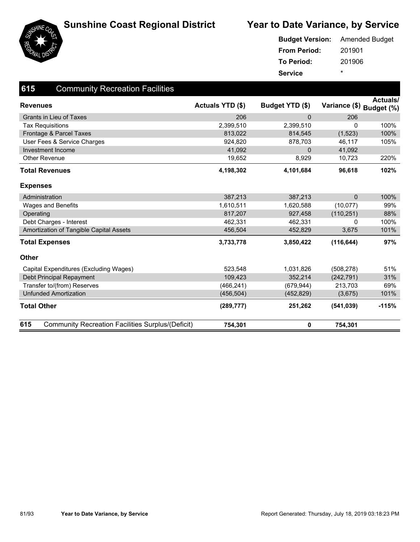



|                     | <b>Budget Version:</b> Amended Budget |
|---------------------|---------------------------------------|
| <b>From Period:</b> | 201901                                |
| To Period:          | 201906                                |
| <b>Service</b>      | ÷                                     |

| 615<br><b>Community Recreation Facilities</b>                   |                  |                 |                          |                 |
|-----------------------------------------------------------------|------------------|-----------------|--------------------------|-----------------|
| <b>Revenues</b>                                                 | Actuals YTD (\$) | Budget YTD (\$) | Variance (\$) Budget (%) | <b>Actuals/</b> |
| <b>Grants in Lieu of Taxes</b>                                  | 206              | $\mathbf{0}$    | 206                      |                 |
| <b>Tax Requisitions</b>                                         | 2,399,510        | 2,399,510       | 0                        | 100%            |
| Frontage & Parcel Taxes                                         | 813,022          | 814,545         | (1, 523)                 | 100%            |
| User Fees & Service Charges                                     | 924.820          | 878,703         | 46,117                   | 105%            |
| Investment Income                                               | 41,092           | $\mathbf{0}$    | 41,092                   |                 |
| Other Revenue                                                   | 19,652           | 8,929           | 10,723                   | 220%            |
| <b>Total Revenues</b>                                           | 4,198,302        | 4,101,684       | 96,618                   | 102%            |
| <b>Expenses</b>                                                 |                  |                 |                          |                 |
| Administration                                                  | 387,213          | 387,213         | $\mathbf{0}$             | 100%            |
| <b>Wages and Benefits</b>                                       | 1,610,511        | 1,620,588       | (10,077)                 | 99%             |
| Operating                                                       | 817,207          | 927,458         | (110, 251)               | 88%             |
| Debt Charges - Interest                                         | 462,331          | 462,331         | 0                        | 100%            |
| Amortization of Tangible Capital Assets                         | 456,504          | 452,829         | 3,675                    | 101%            |
| <b>Total Expenses</b>                                           | 3,733,778        | 3,850,422       | (116, 644)               | 97%             |
| <b>Other</b>                                                    |                  |                 |                          |                 |
| Capital Expenditures (Excluding Wages)                          | 523,548          | 1,031,826       | (508, 278)               | 51%             |
| Debt Principal Repayment                                        | 109,423          | 352,214         | (242, 791)               | 31%             |
| Transfer to/(from) Reserves                                     | (466, 241)       | (679, 944)      | 213,703                  | 69%             |
| <b>Unfunded Amortization</b>                                    | (456, 504)       | (452, 829)      | (3,675)                  | 101%            |
| <b>Total Other</b>                                              | (289, 777)       | 251,262         | (541, 039)               | $-115%$         |
| 615<br><b>Community Recreation Facilities Surplus/(Deficit)</b> | 754,301          | 0               | 754,301                  |                 |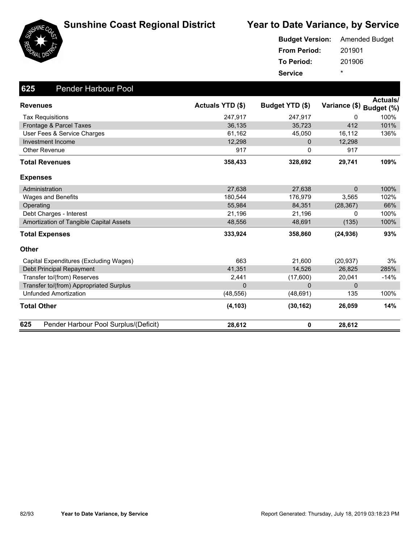





|                     | <b>Budget Version:</b> Amended Budget |
|---------------------|---------------------------------------|
| <b>From Period:</b> | 201901                                |
| <b>To Period:</b>   | 201906                                |
| <b>Service</b>      | ÷                                     |

| 625<br><b>Pender Harbour Pool</b>            |                         |                 |                          |                 |
|----------------------------------------------|-------------------------|-----------------|--------------------------|-----------------|
| <b>Revenues</b>                              | <b>Actuals YTD (\$)</b> | Budget YTD (\$) | Variance (\$) Budget (%) | <b>Actuals/</b> |
| <b>Tax Requisitions</b>                      | 247,917                 | 247,917         | 0                        | 100%            |
| Frontage & Parcel Taxes                      | 36,135                  | 35,723          | 412                      | 101%            |
| User Fees & Service Charges                  | 61,162                  | 45,050          | 16,112                   | 136%            |
| <b>Investment Income</b>                     | 12,298                  | $\mathbf{0}$    | 12,298                   |                 |
| <b>Other Revenue</b>                         | 917                     | 0               | 917                      |                 |
| <b>Total Revenues</b>                        | 358,433                 | 328,692         | 29,741                   | 109%            |
| <b>Expenses</b>                              |                         |                 |                          |                 |
| Administration                               | 27,638                  | 27,638          | $\mathbf{0}$             | 100%            |
| Wages and Benefits                           | 180.544                 | 176,979         | 3,565                    | 102%            |
| Operating                                    | 55,984                  | 84,351          | (28, 367)                | 66%             |
| Debt Charges - Interest                      | 21,196                  | 21,196          | 0                        | 100%            |
| Amortization of Tangible Capital Assets      | 48,556                  | 48,691          | (135)                    | 100%            |
| <b>Total Expenses</b>                        | 333,924                 | 358,860         | (24, 936)                | 93%             |
| <b>Other</b>                                 |                         |                 |                          |                 |
| Capital Expenditures (Excluding Wages)       | 663                     | 21,600          | (20, 937)                | 3%              |
| Debt Principal Repayment                     | 41,351                  | 14,526          | 26,825                   | 285%            |
| Transfer to/(from) Reserves                  | 2,441                   | (17,600)        | 20,041                   | $-14%$          |
| Transfer to/(from) Appropriated Surplus      | $\mathbf{0}$            | $\Omega$        | 0                        |                 |
| <b>Unfunded Amortization</b>                 | (48, 556)               | (48, 691)       | 135                      | 100%            |
| <b>Total Other</b>                           | (4, 103)                | (30, 162)       | 26,059                   | 14%             |
| 625<br>Pender Harbour Pool Surplus/(Deficit) | 28,612                  | 0               | 28,612                   |                 |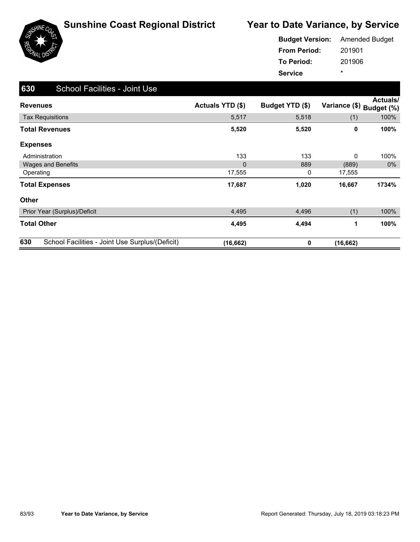

|                     | <b>Budget Version:</b> Amended Budget |
|---------------------|---------------------------------------|
| <b>From Period:</b> | 201901                                |
| <b>To Period:</b>   | 201906                                |
| <b>Service</b>      | ÷                                     |

| 630<br><b>School Facilities - Joint Use</b>            |                  |                 |               |                               |
|--------------------------------------------------------|------------------|-----------------|---------------|-------------------------------|
| <b>Revenues</b>                                        | Actuals YTD (\$) | Budget YTD (\$) | Variance (\$) | <b>Actuals/</b><br>Budget (%) |
| <b>Tax Requisitions</b>                                | 5,517            | 5,518           | (1)           | 100%                          |
| <b>Total Revenues</b>                                  | 5,520            | 5,520           | 0             | 100%                          |
| <b>Expenses</b>                                        |                  |                 |               |                               |
| Administration                                         | 133              | 133             | 0             | 100%                          |
| <b>Wages and Benefits</b>                              | $\mathbf 0$      | 889             | (889)         | $0\%$                         |
| Operating                                              | 17,555           | 0               | 17,555        |                               |
| <b>Total Expenses</b>                                  | 17,687           | 1,020           | 16,667        | 1734%                         |
| Other                                                  |                  |                 |               |                               |
| Prior Year (Surplus)/Deficit                           | 4,495            | 4,496           | (1)           | 100%                          |
| <b>Total Other</b>                                     | 4,495            | 4,494           | 1             | 100%                          |
| 630<br>School Facilities - Joint Use Surplus/(Deficit) | (16, 662)        | 0               | (16, 662)     |                               |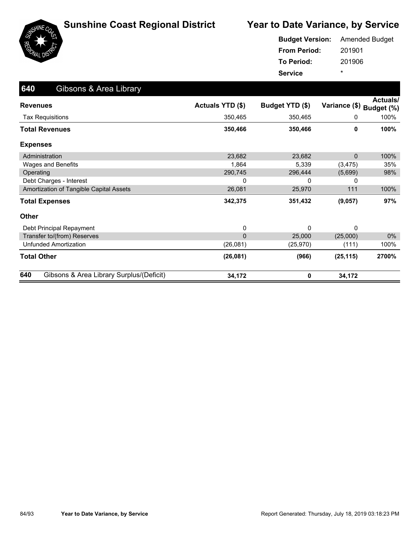

|                     | <b>Budget Version:</b> Amended Budget |
|---------------------|---------------------------------------|
| <b>From Period:</b> | 201901                                |
| To Period:          | 201906                                |
| <b>Service</b>      | ÷                                     |

| 640<br>Gibsons & Area Library                   |                  |                 |               |                        |
|-------------------------------------------------|------------------|-----------------|---------------|------------------------|
| <b>Revenues</b>                                 | Actuals YTD (\$) | Budget YTD (\$) | Variance (\$) | Actuals/<br>Budget (%) |
| Tax Requisitions                                | 350,465          | 350,465         | 0             | 100%                   |
| <b>Total Revenues</b>                           | 350,466          | 350,466         | 0             | 100%                   |
| <b>Expenses</b>                                 |                  |                 |               |                        |
| Administration                                  | 23,682           | 23,682          | 0             | 100%                   |
| Wages and Benefits                              | 1,864            | 5,339           | (3, 475)      | 35%                    |
| Operating                                       | 290,745          | 296,444         | (5,699)       | 98%                    |
| Debt Charges - Interest                         | 0                | 0               | 0             |                        |
| Amortization of Tangible Capital Assets         | 26,081           | 25,970          | 111           | 100%                   |
| <b>Total Expenses</b>                           | 342,375          | 351,432         | (9,057)       | 97%                    |
| <b>Other</b>                                    |                  |                 |               |                        |
| Debt Principal Repayment                        | 0                | $\Omega$        | 0             |                        |
| Transfer to/(from) Reserves                     | $\overline{0}$   | 25,000          | (25,000)      | $0\%$                  |
| <b>Unfunded Amortization</b>                    | (26,081)         | (25, 970)       | (111)         | 100%                   |
| <b>Total Other</b>                              | (26,081)         | (966)           | (25, 115)     | 2700%                  |
| 640<br>Gibsons & Area Library Surplus/(Deficit) | 34,172           | 0               | 34,172        |                        |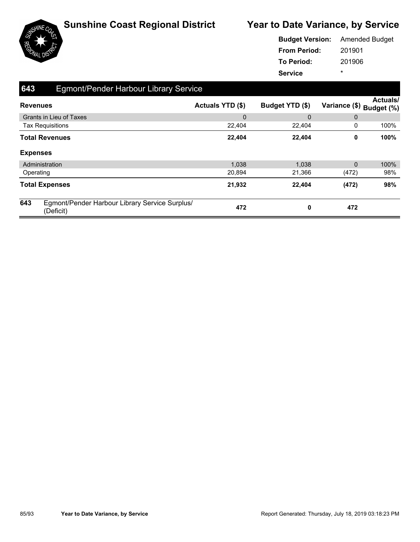

| <b>Budget Version:</b> | <b>Amended Budget</b> |
|------------------------|-----------------------|
| <b>From Period:</b>    | 201901                |
| <b>To Period:</b>      | 201906                |
| <b>Service</b>         | ÷                     |

| 643<br>Egmont/Pender Harbour Library Service |                                                             |                  |                 |                          |                 |
|----------------------------------------------|-------------------------------------------------------------|------------------|-----------------|--------------------------|-----------------|
| <b>Revenues</b>                              |                                                             | Actuals YTD (\$) | Budget YTD (\$) | Variance (\$) Budget (%) | <b>Actuals/</b> |
|                                              | Grants in Lieu of Taxes                                     | $\mathbf 0$      | $\mathbf{0}$    | 0                        |                 |
|                                              | <b>Tax Requisitions</b>                                     | 22,404           | 22,404          | 0                        | 100%            |
|                                              | <b>Total Revenues</b>                                       | 22,404           | 22,404          | 0                        | 100%            |
| <b>Expenses</b>                              |                                                             |                  |                 |                          |                 |
|                                              | Administration                                              | 1,038            | 1,038           | 0                        | 100%            |
| Operating                                    |                                                             | 20,894           | 21,366          | (472)                    | 98%             |
|                                              | <b>Total Expenses</b>                                       | 21,932           | 22,404          | (472)                    | 98%             |
| 643                                          | Egmont/Pender Harbour Library Service Surplus/<br>(Deficit) | 472              | 0               | 472                      |                 |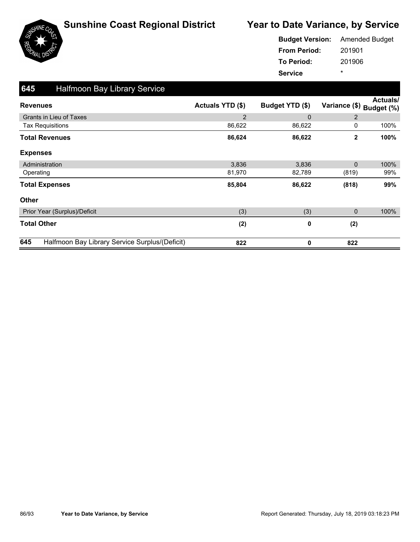

| <b>Budget Version:</b> | <b>Amended Budget</b> |
|------------------------|-----------------------|
| <b>From Period:</b>    | 201901                |
| <b>To Period:</b>      | 201906                |
| <b>Service</b>         | ÷                     |

| 645<br><b>Halfmoon Bay Library Service</b>            |                  |                 |                |                        |
|-------------------------------------------------------|------------------|-----------------|----------------|------------------------|
| <b>Revenues</b>                                       | Actuals YTD (\$) | Budget YTD (\$) | Variance (\$)  | Actuals/<br>Budget (%) |
| <b>Grants in Lieu of Taxes</b>                        | 2                | $\mathbf{0}$    | $\overline{2}$ |                        |
| <b>Tax Requisitions</b>                               | 86,622           | 86,622          | 0              | 100%                   |
| <b>Total Revenues</b>                                 | 86,624           | 86,622          | $\mathbf{2}$   | 100%                   |
| <b>Expenses</b>                                       |                  |                 |                |                        |
| Administration                                        | 3,836            | 3,836           | $\mathbf 0$    | 100%                   |
| Operating                                             | 81,970           | 82,789          | (819)          | 99%                    |
| <b>Total Expenses</b>                                 | 85,804           | 86,622          | (818)          | 99%                    |
| <b>Other</b>                                          |                  |                 |                |                        |
| Prior Year (Surplus)/Deficit                          | (3)              | (3)             | $\mathbf 0$    | 100%                   |
| <b>Total Other</b>                                    | (2)              | 0               | (2)            |                        |
| 645<br>Halfmoon Bay Library Service Surplus/(Deficit) | 822              | 0               | 822            |                        |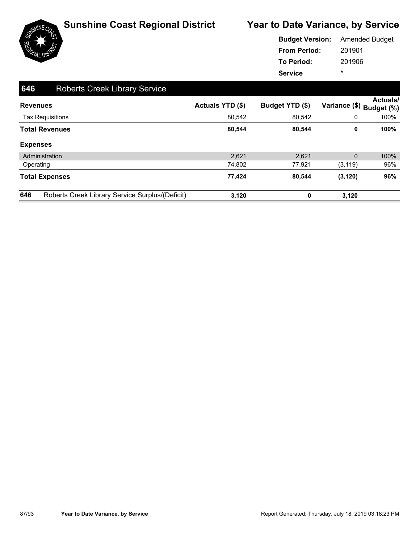

|                     | <b>Budget Version:</b> Amended Budget |  |  |  |
|---------------------|---------------------------------------|--|--|--|
| <b>From Period:</b> | 201901                                |  |  |  |
| <b>To Period:</b>   | 201906                                |  |  |  |
| <b>Service</b>      | ÷                                     |  |  |  |

| 646 | <b>Roberts Creek Library Service</b>            |                  |                 |                |                               |
|-----|-------------------------------------------------|------------------|-----------------|----------------|-------------------------------|
|     | <b>Revenues</b>                                 | Actuals YTD (\$) | Budget YTD (\$) | Variance (\$)  | <b>Actuals/</b><br>Budget (%) |
|     | <b>Tax Requisitions</b>                         | 80,542           | 80,542          | 0              | 100%                          |
|     | <b>Total Revenues</b>                           | 80,544           | 80,544          | 0              | 100%                          |
|     | <b>Expenses</b>                                 |                  |                 |                |                               |
|     | Administration                                  | 2,621            | 2,621           | $\overline{0}$ | 100%                          |
|     | Operating                                       | 74,802           | 77,921          | (3, 119)       | 96%                           |
|     | <b>Total Expenses</b>                           | 77,424           | 80,544          | (3, 120)       | 96%                           |
| 646 | Roberts Creek Library Service Surplus/(Deficit) | 3,120            | 0               | 3,120          |                               |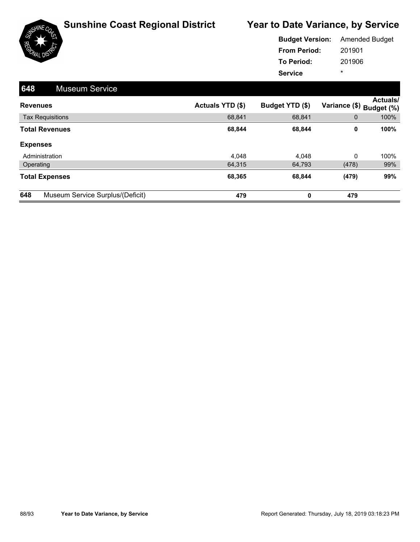

|                     | <b>Budget Version:</b> Amended Budget |
|---------------------|---------------------------------------|
| <b>From Period:</b> | 201901                                |
| <b>To Period:</b>   | 201906                                |
| <b>Service</b>      | ÷                                     |

| 648<br><b>Museum Service</b>            |                  |                 |                          |                 |
|-----------------------------------------|------------------|-----------------|--------------------------|-----------------|
| <b>Revenues</b>                         | Actuals YTD (\$) | Budget YTD (\$) | Variance (\$) Budget (%) | <b>Actuals/</b> |
| <b>Tax Requisitions</b>                 | 68,841           | 68,841          | 0                        | 100%            |
| <b>Total Revenues</b>                   | 68,844           | 68,844          | 0                        | 100%            |
| <b>Expenses</b>                         |                  |                 |                          |                 |
| Administration                          | 4.048            | 4.048           | 0                        | 100%            |
| Operating                               | 64,315           | 64,793          | (478)                    | 99%             |
| <b>Total Expenses</b>                   | 68,365           | 68,844          | (479)                    | 99%             |
| 648<br>Museum Service Surplus/(Deficit) | 479              | 0               | 479                      |                 |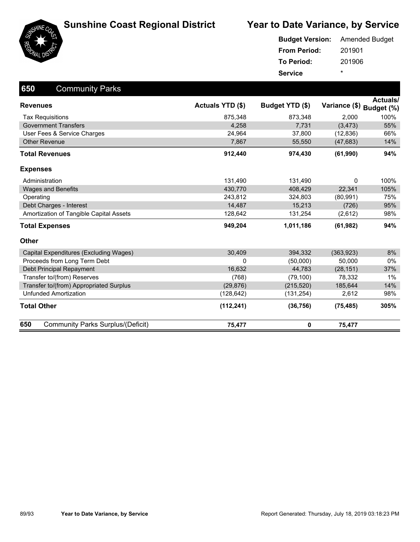





| <b>Budget Version:</b> | <b>Amended Budget</b> |
|------------------------|-----------------------|
| <b>From Period:</b>    | 201901                |
| To Period:             | 201906                |
| <b>Service</b>         | ÷                     |

| 650<br><b>Community Parks</b>                   |                         |                 |               |                               |
|-------------------------------------------------|-------------------------|-----------------|---------------|-------------------------------|
| <b>Revenues</b>                                 | <b>Actuals YTD (\$)</b> | Budget YTD (\$) | Variance (\$) | <b>Actuals/</b><br>Budget (%) |
| <b>Tax Requisitions</b>                         | 875,348                 | 873,348         | 2,000         | 100%                          |
| <b>Government Transfers</b>                     | 4,258                   | 7,731           | (3, 473)      | 55%                           |
| User Fees & Service Charges                     | 24,964                  | 37,800          | (12, 836)     | 66%                           |
| <b>Other Revenue</b>                            | 7,867                   | 55,550          | (47, 683)     | 14%                           |
| <b>Total Revenues</b>                           | 912,440                 | 974,430         | (61,990)      | 94%                           |
| <b>Expenses</b>                                 |                         |                 |               |                               |
| Administration                                  | 131.490                 | 131,490         | 0             | 100%                          |
| <b>Wages and Benefits</b>                       | 430,770                 | 408,429         | 22,341        | 105%                          |
| Operating                                       | 243,812                 | 324,803         | (80, 991)     | 75%                           |
| Debt Charges - Interest                         | 14.487                  | 15,213          | (726)         | 95%                           |
| Amortization of Tangible Capital Assets         | 128,642                 | 131,254         | (2,612)       | 98%                           |
| <b>Total Expenses</b>                           | 949,204                 | 1,011,186       | (61, 982)     | 94%                           |
| <b>Other</b>                                    |                         |                 |               |                               |
| Capital Expenditures (Excluding Wages)          | 30,409                  | 394,332         | (363,923)     | 8%                            |
| Proceeds from Long Term Debt                    | 0                       | (50,000)        | 50,000        | 0%                            |
| Debt Principal Repayment                        | 16,632                  | 44,783          | (28, 151)     | 37%                           |
| Transfer to/(from) Reserves                     | (768)                   | (79, 100)       | 78,332        | $1\%$                         |
| Transfer to/(from) Appropriated Surplus         | (29, 876)               | (215, 520)      | 185,644       | 14%                           |
| <b>Unfunded Amortization</b>                    | (128, 642)              | (131, 254)      | 2,612         | 98%                           |
| <b>Total Other</b>                              | (112, 241)              | (36, 756)       | (75, 485)     | 305%                          |
| 650<br><b>Community Parks Surplus/(Deficit)</b> | 75,477                  | 0               | 75,477        |                               |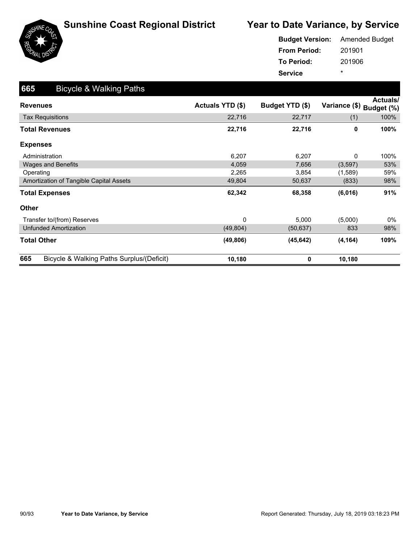

| <b>Budget Version:</b> Amended Budget |        |  |  |  |
|---------------------------------------|--------|--|--|--|
| <b>From Period:</b>                   | 201901 |  |  |  |
| To Period:                            | 201906 |  |  |  |
| <b>Service</b>                        | ÷      |  |  |  |

| 665<br><b>Bicycle &amp; Walking Paths</b>        |                  |                 |               |                               |
|--------------------------------------------------|------------------|-----------------|---------------|-------------------------------|
| <b>Revenues</b>                                  | Actuals YTD (\$) | Budget YTD (\$) | Variance (\$) | <b>Actuals/</b><br>Budget (%) |
| <b>Tax Requisitions</b>                          | 22,716           | 22,717          | (1)           | 100%                          |
| <b>Total Revenues</b>                            | 22,716           | 22,716          | 0             | 100%                          |
| <b>Expenses</b>                                  |                  |                 |               |                               |
| Administration                                   | 6,207            | 6,207           | 0             | 100%                          |
| <b>Wages and Benefits</b>                        | 4,059            | 7,656           | (3, 597)      | 53%                           |
| Operating                                        | 2,265            | 3,854           | (1,589)       | 59%                           |
| Amortization of Tangible Capital Assets          | 49,804           | 50,637          | (833)         | 98%                           |
| <b>Total Expenses</b>                            | 62,342           | 68,358          | (6,016)       | 91%                           |
| <b>Other</b>                                     |                  |                 |               |                               |
| Transfer to/(from) Reserves                      | 0                | 5,000           | (5,000)       | 0%                            |
| <b>Unfunded Amortization</b>                     | (49, 804)        | (50, 637)       | 833           | 98%                           |
| <b>Total Other</b>                               | (49, 806)        | (45, 642)       | (4, 164)      | 109%                          |
| 665<br>Bicycle & Walking Paths Surplus/(Deficit) | 10,180           | 0               | 10,180        |                               |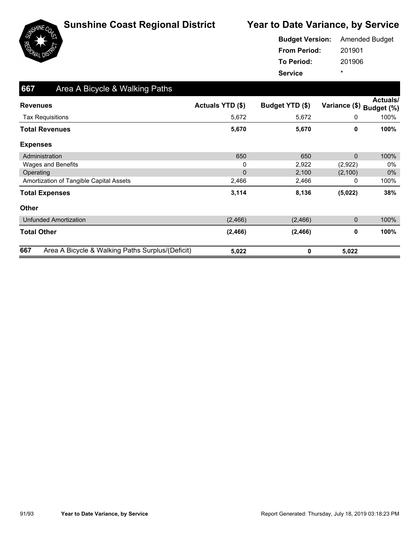

|                     | <b>Budget Version:</b> Amended Budget |  |  |  |
|---------------------|---------------------------------------|--|--|--|
| <b>From Period:</b> | 201901                                |  |  |  |
| To Period:          | 201906                                |  |  |  |
| <b>Service</b>      | ÷                                     |  |  |  |

| 667<br>Area A Bicycle & Walking Paths                   |                  |                 |                          |          |
|---------------------------------------------------------|------------------|-----------------|--------------------------|----------|
| <b>Revenues</b>                                         | Actuals YTD (\$) | Budget YTD (\$) | Variance (\$) Budget (%) | Actuals/ |
| <b>Tax Requisitions</b>                                 | 5,672            | 5,672           | 0                        | 100%     |
| Total Revenues                                          | 5,670            | 5,670           | 0                        | 100%     |
| <b>Expenses</b>                                         |                  |                 |                          |          |
| Administration                                          | 650              | 650             | 0                        | 100%     |
| Wages and Benefits                                      | 0                | 2,922           | (2,922)                  | $0\%$    |
| Operating                                               | $\mathbf 0$      | 2,100           | (2, 100)                 | $0\%$    |
| Amortization of Tangible Capital Assets                 | 2,466            | 2,466           | 0                        | 100%     |
| <b>Total Expenses</b>                                   | 3,114            | 8,136           | (5,022)                  | 38%      |
| <b>Other</b>                                            |                  |                 |                          |          |
| <b>Unfunded Amortization</b>                            | (2, 466)         | (2, 466)        | 0                        | 100%     |
| <b>Total Other</b>                                      | (2, 466)         | (2, 466)        | 0                        | 100%     |
| 667<br>Area A Bicycle & Walking Paths Surplus/(Deficit) | 5,022            | 0               | 5,022                    |          |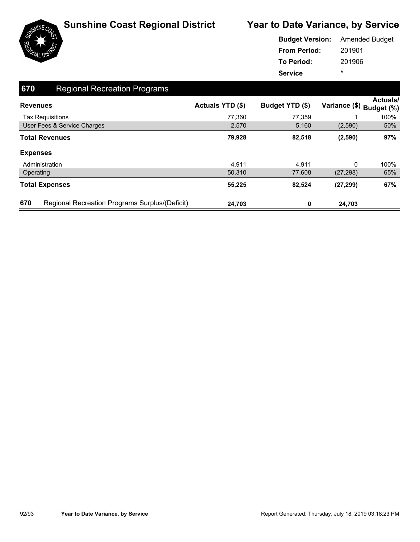

|                     | <b>Budget Version:</b> Amended Budget |  |  |
|---------------------|---------------------------------------|--|--|
| <b>From Period:</b> | 201901                                |  |  |
| <b>To Period:</b>   | 201906                                |  |  |
| <b>Service</b>      | ÷                                     |  |  |

| 670<br><b>Regional Recreation Programs</b>            |                         |                 |               |                               |
|-------------------------------------------------------|-------------------------|-----------------|---------------|-------------------------------|
| <b>Revenues</b>                                       | <b>Actuals YTD (\$)</b> | Budget YTD (\$) | Variance (\$) | <b>Actuals/</b><br>Budget (%) |
| <b>Tax Requisitions</b>                               | 77.360                  | 77,359          |               | 100%                          |
| User Fees & Service Charges                           | 2,570                   | 5,160           | (2,590)       | 50%                           |
| <b>Total Revenues</b>                                 | 79,928                  | 82,518          | (2,590)       | 97%                           |
| <b>Expenses</b>                                       |                         |                 |               |                               |
| Administration                                        | 4.911                   | 4.911           | 0             | 100%                          |
| Operating                                             | 50,310                  | 77,608          | (27, 298)     | 65%                           |
| <b>Total Expenses</b>                                 | 55,225                  | 82,524          | (27, 299)     | 67%                           |
| 670<br>Regional Recreation Programs Surplus/(Deficit) | 24,703                  | 0               | 24,703        |                               |